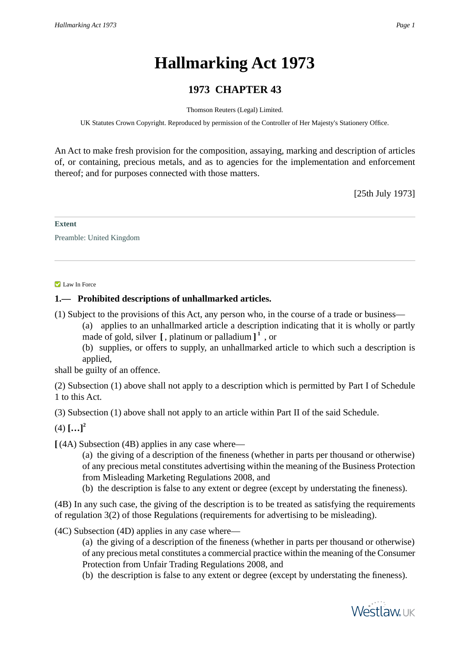# **Hallmarking Act 1973**

# **1973 CHAPTER 43**

Thomson Reuters (Legal) Limited.

UK Statutes Crown Copyright. Reproduced by permission of the Controller of Her Majesty's Stationery Office.

An Act to make fresh provision for the composition, assaying, marking and description of articles of, or containing, precious metals, and as to agencies for the implementation and enforcement thereof; and for purposes connected with those matters.

[25th July 1973]

#### **Extent**

Preamble: United Kingdom

#### Law In Force

# **1.— Prohibited descriptions of unhallmarked articles.**

(1) Subject to the provisions of this Act, any person who, in the course of a trade or business—

(a) applies to an unhallmarked article a description indicating that it is wholly or partly made of gold, silver **[** , platinum or palladium **] 1** , or

(b) supplies, or offers to supply, an unhallmarked article to which such a description is applied,

shall be guilty of an offence.

(2) Subsection (1) above shall not apply to a description which is permitted by Part I of Schedule 1 to this Act.

(3) Subsection (1) above shall not apply to an article within Part II of the said Schedule.

 $(4)$   $[...]^2$ 

**[** (4A) Subsection (4B) applies in any case where—

(a) the giving of a description of the fineness (whether in parts per thousand or otherwise) of any precious metal constitutes advertising within the meaning of the Business Protection from Misleading Marketing Regulations 2008, and

(b) the description is false to any extent or degree (except by understating the fineness).

(4B) In any such case, the giving of the description is to be treated as satisfying the requirements of regulation 3(2) of those Regulations (requirements for advertising to be misleading).

(4C) Subsection (4D) applies in any case where—

(a) the giving of a description of the fineness (whether in parts per thousand or otherwise) of any precious metal constitutes a commercial practice within the meaning of the Consumer Protection from Unfair Trading Regulations 2008, and

(b) the description is false to any extent or degree (except by understating the fineness).

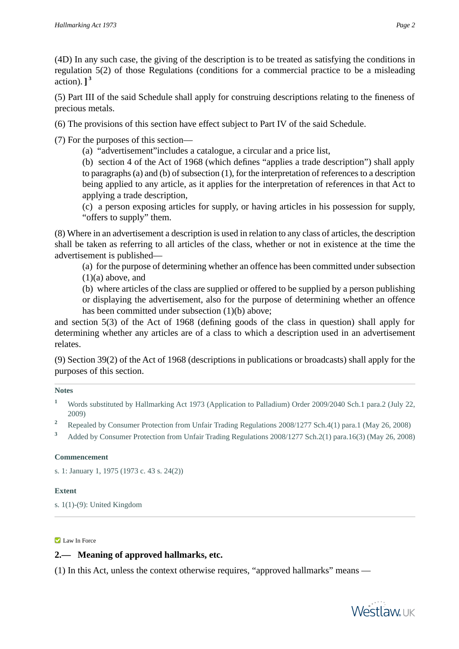(4D) In any such case, the giving of the description is to be treated as satisfying the conditions in regulation 5(2) of those Regulations (conditions for a commercial practice to be a misleading action). **] 3**

(5) Part III of the said Schedule shall apply for construing descriptions relating to the fineness of precious metals.

(6) The provisions of this section have effect subject to Part IV of the said Schedule.

(7) For the purposes of this section—

(a) "advertisement"includes a catalogue, a circular and a price list,

(b) section 4 of the Act of 1968 (which defines "applies a trade description") shall apply to paragraphs (a) and (b) of subsection (1), for the interpretation of references to a description being applied to any article, as it applies for the interpretation of references in that Act to applying a trade description,

(c) a person exposing articles for supply, or having articles in his possession for supply, "offers to supply" them.

(8) Where in an advertisement a description is used in relation to any class of articles, the description shall be taken as referring to all articles of the class, whether or not in existence at the time the advertisement is published—

(a) for the purpose of determining whether an offence has been committed under subsection  $(1)(a)$  above, and

(b) where articles of the class are supplied or offered to be supplied by a person publishing or displaying the advertisement, also for the purpose of determining whether an offence has been committed under subsection (1)(b) above;

and section 5(3) of the Act of 1968 (defining goods of the class in question) shall apply for determining whether any articles are of a class to which a description used in an advertisement relates.

(9) Section 39(2) of the Act of 1968 (descriptions in publications or broadcasts) shall apply for the purposes of this section.

#### **Notes**

- **<sup>1</sup>** Words substituted by Hallmarking Act 1973 (Application to Palladium) Order 2009/2040 Sch.1 para.2 (July 22, 2009)
- <sup>2</sup> Repealed by Consumer Protection from Unfair Trading Regulations 2008/1277 Sch.4(1) para.1 (May 26, 2008)
- **<sup>3</sup>** Added by Consumer Protection from Unfair Trading Regulations 2008/1277 Sch.2(1) para.16(3) (May 26, 2008)

## **Commencement**

s. 1: January 1, 1975 (1973 c. 43 s. 24(2))

#### **Extent**

s. 1(1)-(9): United Kingdom

### **Law In Force**

# **2.— Meaning of approved hallmarks, etc.**

(1) In this Act, unless the context otherwise requires, "approved hallmarks" means —

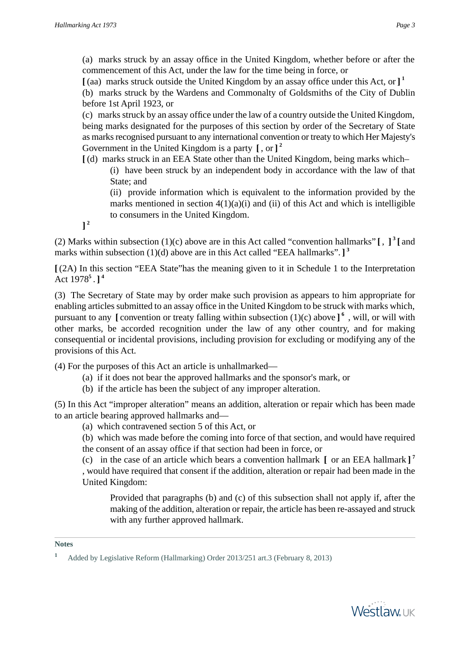**[** (aa) marks struck outside the United Kingdom by an assay office under this Act, or **] 1**

(b) marks struck by the Wardens and Commonalty of Goldsmiths of the City of Dublin before 1st April 1923, or

(c) marks struck by an assay office under the law of a country outside the United Kingdom, being marks designated for the purposes of this section by order of the Secretary of State as marks recognised pursuant to any international convention or treaty to which Her Majesty's Government in the United Kingdom is a party **[** , or **] 2**

**[** (d) marks struck in an EEA State other than the United Kingdom, being marks which–

(i) have been struck by an independent body in accordance with the law of that State; and

(ii) provide information which is equivalent to the information provided by the marks mentioned in section  $4(1)(a)(i)$  and (ii) of this Act and which is intelligible to consumers in the United Kingdom.

**] 2**

(2) Marks within subsection (1)(c) above are in this Act called "convention hallmarks"  $\left[ , \right]$  and marks within subsection (1)(d) above are in this Act called "EEA hallmarks". **] 3**

**[** (2A) In this section "EEA State"has the meaning given to it in Schedule 1 to the Interpretation Act 1978**<sup>5</sup>** . **] 4**

(3) The Secretary of State may by order make such provision as appears to him appropriate for enabling articles submitted to an assay office in the United Kingdom to be struck with marks which, pursuant to any **[** convention or treaty falling within subsection (1)(c) above **] 6** , will, or will with other marks, be accorded recognition under the law of any other country, and for making consequential or incidental provisions, including provision for excluding or modifying any of the provisions of this Act.

(4) For the purposes of this Act an article is unhallmarked—

- (a) if it does not bear the approved hallmarks and the sponsor's mark, or
- (b) if the article has been the subject of any improper alteration.

(5) In this Act "improper alteration" means an addition, alteration or repair which has been made to an article bearing approved hallmarks and—

(a) which contravened section 5 of this Act, or

(b) which was made before the coming into force of that section, and would have required the consent of an assay office if that section had been in force, or

(c) in the case of an article which bears a convention hallmark **[** or an EEA hallmark **] 7**

, would have required that consent if the addition, alteration or repair had been made in the United Kingdom:

Provided that paragraphs (b) and (c) of this subsection shall not apply if, after the making of the addition, alteration or repair, the article has been re-assayed and struck with any further approved hallmark.

**Notes**



**<sup>1</sup>** Added by Legislative Reform (Hallmarking) Order 2013/251 art.3 (February 8, 2013)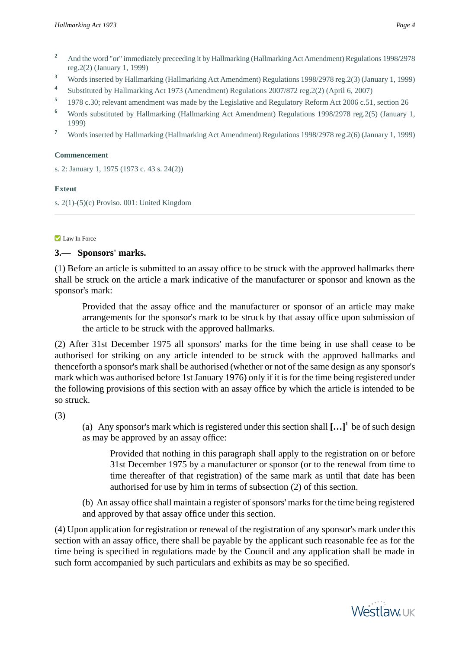- <sup>2</sup> And the word "or" immediately preceeding it by Hallmarking (Hallmarking Act Amendment) Regulations 1998/2978 reg.2(2) (January 1, 1999)
- **<sup>3</sup>** Words inserted by Hallmarking (Hallmarking Act Amendment) Regulations 1998/2978 reg.2(3) (January 1, 1999)
- **4** Substituted by Hallmarking Act 1973 (Amendment) Regulations 2007/872 reg.2(2) (April 6, 2007)
- **5** 1978 c.30; relevant amendment was made by the Legislative and Regulatory Reform Act 2006 c.51, section 26
- **<sup>6</sup>** Words substituted by Hallmarking (Hallmarking Act Amendment) Regulations 1998/2978 reg.2(5) (January 1, 1999)
- **<sup>7</sup>** Words inserted by Hallmarking (Hallmarking Act Amendment) Regulations 1998/2978 reg.2(6) (January 1, 1999)

#### **Commencement**

s. 2: January 1, 1975 (1973 c. 43 s. 24(2))

#### **Extent**

s. 2(1)-(5)(c) Proviso. 001: United Kingdom

#### **Law In Force**

# **3.— Sponsors' marks.**

(1) Before an article is submitted to an assay office to be struck with the approved hallmarks there shall be struck on the article a mark indicative of the manufacturer or sponsor and known as the sponsor's mark:

Provided that the assay office and the manufacturer or sponsor of an article may make arrangements for the sponsor's mark to be struck by that assay office upon submission of the article to be struck with the approved hallmarks.

(2) After 31st December 1975 all sponsors' marks for the time being in use shall cease to be authorised for striking on any article intended to be struck with the approved hallmarks and thenceforth a sponsor's mark shall be authorised (whether or not of the same design as any sponsor's mark which was authorised before 1st January 1976) only if it is for the time being registered under the following provisions of this section with an assay office by which the article is intended to be so struck.

(3)

(a) Any sponsor's mark which is registered under this section shall **[…]<sup>1</sup>** be of such design as may be approved by an assay office:

Provided that nothing in this paragraph shall apply to the registration on or before 31st December 1975 by a manufacturer or sponsor (or to the renewal from time to time thereafter of that registration) of the same mark as until that date has been authorised for use by him in terms of subsection (2) of this section.

(b) An assay office shall maintain a register of sponsors' marks for the time being registered and approved by that assay office under this section.

(4) Upon application for registration or renewal of the registration of any sponsor's mark under this section with an assay office, there shall be payable by the applicant such reasonable fee as for the time being is specified in regulations made by the Council and any application shall be made in such form accompanied by such particulars and exhibits as may be so specified.

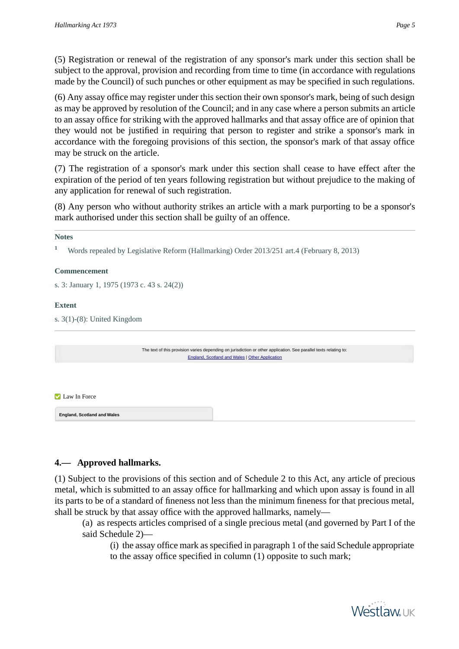(5) Registration or renewal of the registration of any sponsor's mark under this section shall be subject to the approval, provision and recording from time to time (in accordance with regulations made by the Council) of such punches or other equipment as may be specified in such regulations.

(6) Any assay office may register under this section their own sponsor's mark, being of such design as may be approved by resolution of the Council; and in any case where a person submits an article to an assay office for striking with the approved hallmarks and that assay office are of opinion that they would not be justified in requiring that person to register and strike a sponsor's mark in accordance with the foregoing provisions of this section, the sponsor's mark of that assay office may be struck on the article.

(7) The registration of a sponsor's mark under this section shall cease to have effect after the expiration of the period of ten years following registration but without prejudice to the making of any application for renewal of such registration.

(8) Any person who without authority strikes an article with a mark purporting to be a sponsor's mark authorised under this section shall be guilty of an offence.

**<sup>1</sup>** Words repealed by Legislative Reform (Hallmarking) Order 2013/251 art.4 (February 8, 2013)

#### **Commencement**

s. 3: January 1, 1975 (1973 c. 43 s. 24(2))

## **Extent**

s. 3(1)-(8): United Kingdom

<span id="page-4-0"></span>

|                                    | The text of this provision varies depending on jurisdiction or other application. See parallel texts relating to:<br><b>England, Scotland and Wales   Other Application</b> |  |
|------------------------------------|-----------------------------------------------------------------------------------------------------------------------------------------------------------------------------|--|
|                                    |                                                                                                                                                                             |  |
| Law In Force                       |                                                                                                                                                                             |  |
| <b>England, Scotland and Wales</b> |                                                                                                                                                                             |  |

# **4.— Approved hallmarks.**

(1) Subject to the provisions of this section and of Schedule 2 to this Act, any article of precious metal, which is submitted to an assay office for hallmarking and which upon assay is found in all its parts to be of a standard of fineness not less than the minimum fineness for that precious metal, shall be struck by that assay office with the approved hallmarks, namely—

(a) as respects articles comprised of a single precious metal (and governed by Part I of the said Schedule 2)—

(i) the assay office mark as specified in paragraph 1 of the said Schedule appropriate to the assay office specified in column (1) opposite to such mark;

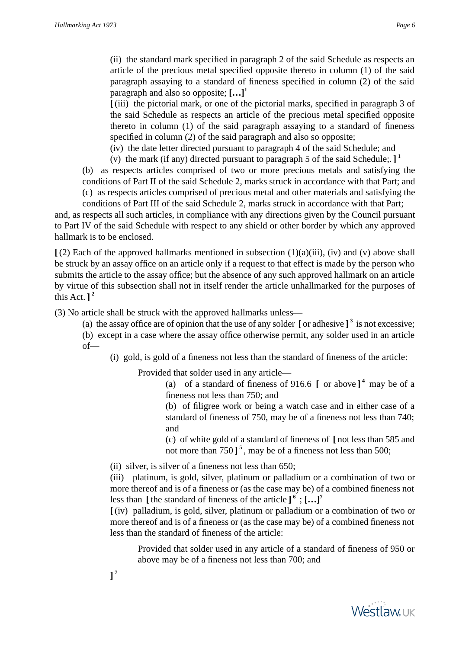(ii) the standard mark specified in paragraph 2 of the said Schedule as respects an article of the precious metal specified opposite thereto in column (1) of the said paragraph assaying to a standard of fineness specified in column (2) of the said paragraph and also so opposite; **[…]<sup>1</sup>**

**[** (iii) the pictorial mark, or one of the pictorial marks, specified in paragraph 3 of the said Schedule as respects an article of the precious metal specified opposite thereto in column (1) of the said paragraph assaying to a standard of fineness specified in column (2) of the said paragraph and also so opposite;

(iv) the date letter directed pursuant to paragraph 4 of the said Schedule; and

(v) the mark (if any) directed pursuant to paragraph 5 of the said Schedule;. **] 1** (b) as respects articles comprised of two or more precious metals and satisfying the conditions of Part II of the said Schedule 2, marks struck in accordance with that Part; and (c) as respects articles comprised of precious metal and other materials and satisfying the

conditions of Part III of the said Schedule 2, marks struck in accordance with that Part; and, as respects all such articles, in compliance with any directions given by the Council pursuant to Part IV of the said Schedule with respect to any shield or other border by which any approved hallmark is to be enclosed.

 $\int (2)$  Each of the approved hallmarks mentioned in subsection  $(1)(a)(iii)$ , (iv) and (v) above shall be struck by an assay office on an article only if a request to that effect is made by the person who submits the article to the assay office; but the absence of any such approved hallmark on an article by virtue of this subsection shall not in itself render the article unhallmarked for the purposes of this Act.  $]$ <sup>2</sup>

(3) No article shall be struck with the approved hallmarks unless—

(a) the assay office are of opinion that the use of any solder  $\left[$  or adhesive  $\right]$ <sup>3</sup> is not excessive; (b) except in a case where the assay office otherwise permit, any solder used in an article of—

(i) gold, is gold of a fineness not less than the standard of fineness of the article:

Provided that solder used in any article—

(a) of a standard of fineness of 916.6 **[** or above **] 4** may be of a fineness not less than 750; and

(b) of filigree work or being a watch case and in either case of a standard of fineness of 750, may be of a fineness not less than 740; and

(c) of white gold of a standard of fineness of **[** not less than 585 and not more than 750 **] 5** , may be of a fineness not less than 500;

(ii) silver, is silver of a fineness not less than 650;

(iii) platinum, is gold, silver, platinum or palladium or a combination of two or more thereof and is of a fineness or (as the case may be) of a combined fineness not less than **[** the standard of fineness of the article **] 6** ; **[…]<sup>7</sup>**

**[** (iv) palladium, is gold, silver, platinum or palladium or a combination of two or more thereof and is of a fineness or (as the case may be) of a combined fineness not less than the standard of fineness of the article:

Provided that solder used in any article of a standard of fineness of 950 or above may be of a fineness not less than 700; and

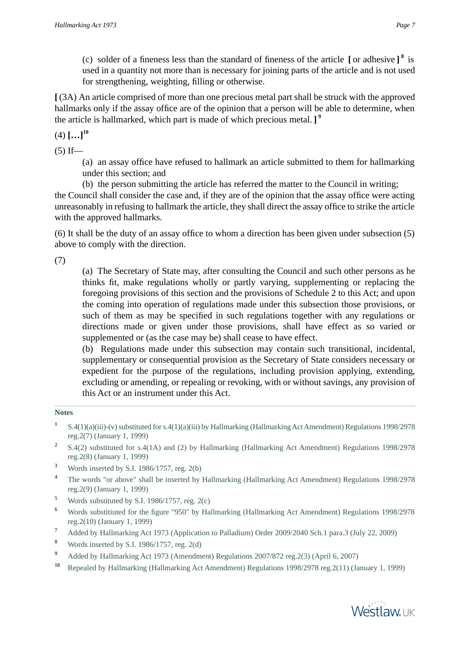(c) solder of a fineness less than the standard of fineness of the article **[** or adhesive **] 8** is used in a quantity not more than is necessary for joining parts of the article and is not used for strengthening, weighting, filling or otherwise.

**[** (3A) An article comprised of more than one precious metal part shall be struck with the approved hallmarks only if the assay office are of the opinion that a person will be able to determine, when the article is hallmarked, which part is made of which precious metal. **] 9**

 $(4)$   $[...]$ <sup>10</sup>

 $(5)$  If—

(a) an assay office have refused to hallmark an article submitted to them for hallmarking under this section; and

(b) the person submitting the article has referred the matter to the Council in writing;

the Council shall consider the case and, if they are of the opinion that the assay office were acting unreasonably in refusing to hallmark the article, they shall direct the assay office to strike the article with the approved hallmarks.

(6) It shall be the duty of an assay office to whom a direction has been given under subsection (5) above to comply with the direction.

(7)

(a) The Secretary of State may, after consulting the Council and such other persons as he thinks fit, make regulations wholly or partly varying, supplementing or replacing the foregoing provisions of this section and the provisions of Schedule 2 to this Act; and upon the coming into operation of regulations made under this subsection those provisions, or such of them as may be specified in such regulations together with any regulations or directions made or given under those provisions, shall have effect as so varied or supplemented or (as the case may be) shall cease to have effect.

(b) Regulations made under this subsection may contain such transitional, incidental, supplementary or consequential provision as the Secretary of State considers necessary or expedient for the purpose of the regulations, including provision applying, extending, excluding or amending, or repealing or revoking, with or without savings, any provision of this Act or an instrument under this Act.

## **Notes**

- **1** S.4(1)(a)(iii)-(v) substituted for s.4(1)(a)(iii) by Hallmarking (Hallmarking Act Amendment) Regulations 1998/2978 reg.2(7) (January 1, 1999)
- **2** S.4(2) substituted for s.4(1A) and (2) by Hallmarking (Hallmarking Act Amendment) Regulations 1998/2978 reg.2(8) (January 1, 1999)
- **<sup>3</sup>** Words inserted by S.I. 1986/1757, reg. 2(b)
- <sup>4</sup> The words "or above" shall be inserted by Hallmarking (Hallmarking Act Amendment) Regulations 1998/2978 reg.2(9) (January 1, 1999)
- **<sup>5</sup>** Words substituted by S.I. 1986/1757, reg. 2(c)
- **<sup>6</sup>** Words substitiuted for the figure "950" by Hallmarking (Hallmarking Act Amendment) Regulations 1998/2978 reg.2(10) (January 1, 1999)
- **<sup>7</sup>** Added by Hallmarking Act 1973 (Application to Palladium) Order 2009/2040 Sch.1 para.3 (July 22, 2009)
- **<sup>8</sup>** Words inserted by S.I. 1986/1757, reg. 2(d)
- **<sup>9</sup>** Added by Hallmarking Act 1973 (Amendment) Regulations 2007/872 reg.2(3) (April 6, 2007)
- **<sup>10</sup>** Repealed by Hallmarking (Hallmarking Act Amendment) Regulations 1998/2978 reg.2(11) (January 1, 1999)

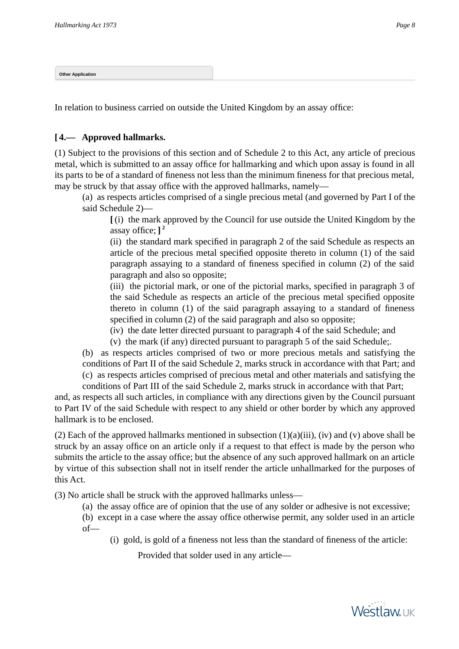<span id="page-7-0"></span>**Other Application**

In relation to business carried on outside the United Kingdom by an assay office:

# **[ 4.— Approved hallmarks.**

(1) Subject to the provisions of this section and of Schedule 2 to this Act, any article of precious metal, which is submitted to an assay office for hallmarking and which upon assay is found in all its parts to be of a standard of fineness not less than the minimum fineness for that precious metal, may be struck by that assay office with the approved hallmarks, namely—

(a) as respects articles comprised of a single precious metal (and governed by Part I of the said Schedule 2)—

**[** (i) the mark approved by the Council for use outside the United Kingdom by the assay office; **] 2**

(ii) the standard mark specified in paragraph 2 of the said Schedule as respects an article of the precious metal specified opposite thereto in column (1) of the said paragraph assaying to a standard of fineness specified in column (2) of the said paragraph and also so opposite;

(iii) the pictorial mark, or one of the pictorial marks, specified in paragraph 3 of the said Schedule as respects an article of the precious metal specified opposite thereto in column (1) of the said paragraph assaying to a standard of fineness specified in column (2) of the said paragraph and also so opposite;

(iv) the date letter directed pursuant to paragraph 4 of the said Schedule; and

(v) the mark (if any) directed pursuant to paragraph 5 of the said Schedule;.

(b) as respects articles comprised of two or more precious metals and satisfying the conditions of Part II of the said Schedule 2, marks struck in accordance with that Part; and (c) as respects articles comprised of precious metal and other materials and satisfying the conditions of Part III of the said Schedule 2, marks struck in accordance with that Part;

and, as respects all such articles, in compliance with any directions given by the Council pursuant to Part IV of the said Schedule with respect to any shield or other border by which any approved hallmark is to be enclosed.

(2) Each of the approved hallmarks mentioned in subsection  $(1)(a)(iii)$ , (iv) and (v) above shall be struck by an assay office on an article only if a request to that effect is made by the person who submits the article to the assay office; but the absence of any such approved hallmark on an article by virtue of this subsection shall not in itself render the article unhallmarked for the purposes of this Act.

(3) No article shall be struck with the approved hallmarks unless—

(a) the assay office are of opinion that the use of any solder or adhesive is not excessive;

(b) except in a case where the assay office otherwise permit, any solder used in an article of—

(i) gold, is gold of a fineness not less than the standard of fineness of the article:

Provided that solder used in any article—

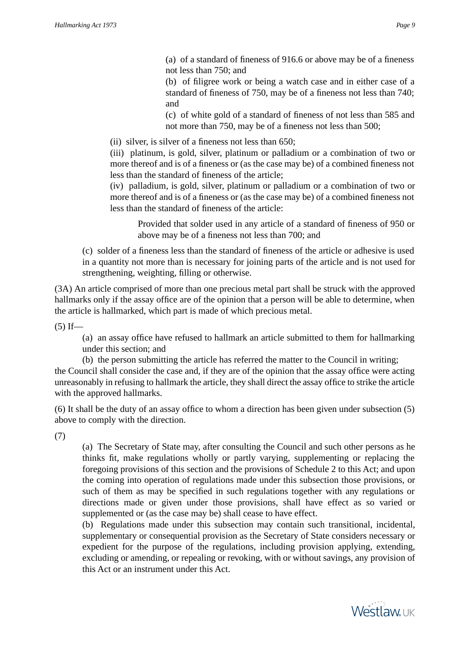(a) of a standard of fineness of 916.6 or above may be of a fineness not less than 750; and

(b) of filigree work or being a watch case and in either case of a standard of fineness of 750, may be of a fineness not less than 740; and

(c) of white gold of a standard of fineness of not less than 585 and not more than 750, may be of a fineness not less than 500;

(ii) silver, is silver of a fineness not less than 650;

(iii) platinum, is gold, silver, platinum or palladium or a combination of two or more thereof and is of a fineness or (as the case may be) of a combined fineness not less than the standard of fineness of the article;

(iv) palladium, is gold, silver, platinum or palladium or a combination of two or more thereof and is of a fineness or (as the case may be) of a combined fineness not less than the standard of fineness of the article:

Provided that solder used in any article of a standard of fineness of 950 or above may be of a fineness not less than 700; and

(c) solder of a fineness less than the standard of fineness of the article or adhesive is used in a quantity not more than is necessary for joining parts of the article and is not used for strengthening, weighting, filling or otherwise.

(3A) An article comprised of more than one precious metal part shall be struck with the approved hallmarks only if the assay office are of the opinion that a person will be able to determine, when the article is hallmarked, which part is made of which precious metal.

 $(5)$  If—

(a) an assay office have refused to hallmark an article submitted to them for hallmarking under this section; and

(b) the person submitting the article has referred the matter to the Council in writing; the Council shall consider the case and, if they are of the opinion that the assay office were acting unreasonably in refusing to hallmark the article, they shall direct the assay office to strike the article with the approved hallmarks.

(6) It shall be the duty of an assay office to whom a direction has been given under subsection (5) above to comply with the direction.

(7)

(a) The Secretary of State may, after consulting the Council and such other persons as he thinks fit, make regulations wholly or partly varying, supplementing or replacing the foregoing provisions of this section and the provisions of Schedule 2 to this Act; and upon the coming into operation of regulations made under this subsection those provisions, or such of them as may be specified in such regulations together with any regulations or directions made or given under those provisions, shall have effect as so varied or supplemented or (as the case may be) shall cease to have effect.

(b) Regulations made under this subsection may contain such transitional, incidental, supplementary or consequential provision as the Secretary of State considers necessary or expedient for the purpose of the regulations, including provision applying, extending, excluding or amending, or repealing or revoking, with or without savings, any provision of this Act or an instrument under this Act.

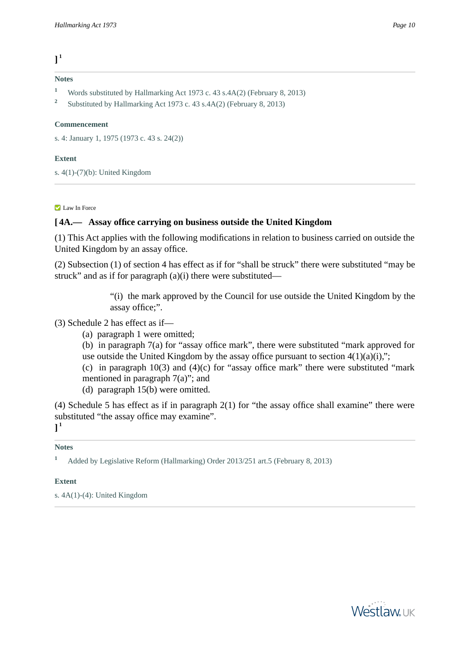**] 1**

#### **Notes**

- **<sup>1</sup>** Words substituted by Hallmarking Act 1973 c. 43 s.4A(2) (February 8, 2013)
- **2** Substituted by Hallmarking Act 1973 c. 43 s.4A(2) (February 8, 2013)

## **Commencement**

s. 4: January 1, 1975 (1973 c. 43 s. 24(2))

## **Extent**

s. 4(1)-(7)(b): United Kingdom

#### **Law In Force**

# **[ 4A.— Assay office carrying on business outside the United Kingdom**

(1) This Act applies with the following modifications in relation to business carried on outside the United Kingdom by an assay office.

(2) Subsection (1) of section 4 has effect as if for "shall be struck" there were substituted "may be struck" and as if for paragraph (a)(i) there were substituted—

> "(i) the mark approved by the Council for use outside the United Kingdom by the assay office;".

# (3) Schedule 2 has effect as if—

- (a) paragraph 1 were omitted;
- (b) in paragraph 7(a) for "assay office mark", there were substituted "mark approved for use outside the United Kingdom by the assay office pursuant to section  $4(1)(a)(i)$ ,";
- (c) in paragraph  $10(3)$  and  $(4)(c)$  for "assay office mark" there were substituted "mark" mentioned in paragraph 7(a)"; and
- (d) paragraph 15(b) were omitted.

(4) Schedule 5 has effect as if in paragraph 2(1) for "the assay office shall examine" there were substituted "the assay office may examine".

# **] 1**

#### **Notes**

**<sup>1</sup>** Added by Legislative Reform (Hallmarking) Order 2013/251 art.5 (February 8, 2013)

## **Extent**

s. 4A(1)-(4): United Kingdom

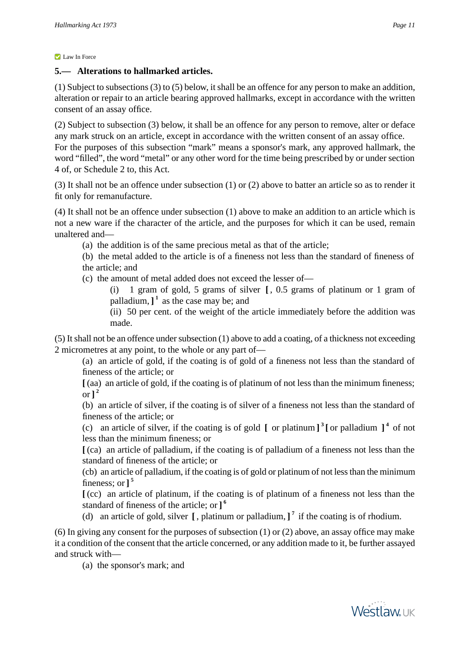#### **Law In Force**

# **5.— Alterations to hallmarked articles.**

(1) Subject to subsections (3) to (5) below, it shall be an offence for any person to make an addition, alteration or repair to an article bearing approved hallmarks, except in accordance with the written consent of an assay office.

(2) Subject to subsection (3) below, it shall be an offence for any person to remove, alter or deface any mark struck on an article, except in accordance with the written consent of an assay office. For the purposes of this subsection "mark" means a sponsor's mark, any approved hallmark, the word "filled", the word "metal" or any other word for the time being prescribed by or under section 4 of, or Schedule 2 to, this Act.

(3) It shall not be an offence under subsection (1) or (2) above to batter an article so as to render it fit only for remanufacture.

(4) It shall not be an offence under subsection (1) above to make an addition to an article which is not a new ware if the character of the article, and the purposes for which it can be used, remain unaltered and—

- (a) the addition is of the same precious metal as that of the article;
- (b) the metal added to the article is of a fineness not less than the standard of fineness of the article; and
- (c) the amount of metal added does not exceed the lesser of—

(i) 1 gram of gold, 5 grams of silver **[** , 0.5 grams of platinum or 1 gram of palladium, **] 1** as the case may be; and

(ii) 50 per cent. of the weight of the article immediately before the addition was made.

(5) It shall not be an offence under subsection (1) above to add a coating, of a thickness not exceeding 2 micrometres at any point, to the whole or any part of—

(a) an article of gold, if the coating is of gold of a fineness not less than the standard of fineness of the article; or

**[** (aa) an article of gold, if the coating is of platinum of not less than the minimum fineness;  $\text{or }$  $]$ <sup>2</sup>

(b) an article of silver, if the coating is of silver of a fineness not less than the standard of fineness of the article; or

(c) an article of silver, if the coating is of gold  $\left[$  or platinum  $\right]$ <sup>3</sup> [or palladium  $\left[$ <sup>4</sup> of not less than the minimum fineness; or

**[** (ca) an article of palladium, if the coating is of palladium of a fineness not less than the standard of fineness of the article; or

(cb) an article of palladium, if the coating is of gold or platinum of not less than the minimum fineness; or **] 5**

**[** (cc) an article of platinum, if the coating is of platinum of a fineness not less than the standard of fineness of the article; or **] 6**

(d) an article of gold, silver **[** , platinum or palladium, **] 7** if the coating is of rhodium.

(6) In giving any consent for the purposes of subsection (1) or (2) above, an assay office may make it a condition of the consent that the article concerned, or any addition made to it, be further assayed and struck with—

(a) the sponsor's mark; and

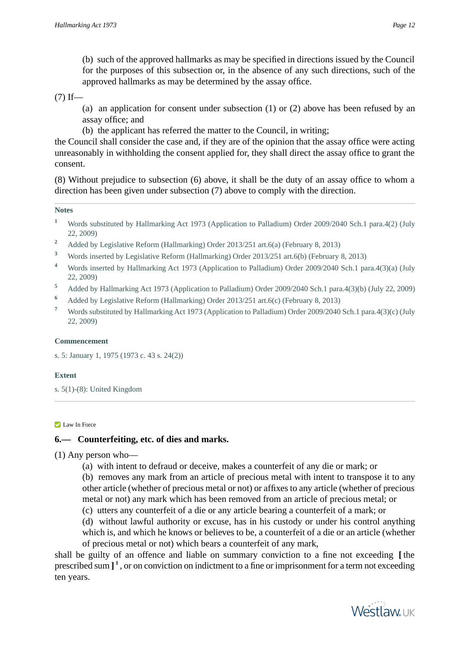(b) such of the approved hallmarks as may be specified in directions issued by the Council for the purposes of this subsection or, in the absence of any such directions, such of the approved hallmarks as may be determined by the assay office.

 $(7)$  If—

(a) an application for consent under subsection (1) or (2) above has been refused by an assay office; and

(b) the applicant has referred the matter to the Council, in writing;

the Council shall consider the case and, if they are of the opinion that the assay office were acting unreasonably in withholding the consent applied for, they shall direct the assay office to grant the consent.

(8) Without prejudice to subsection (6) above, it shall be the duty of an assay office to whom a direction has been given under subsection (7) above to comply with the direction.

## **Notes**

- **<sup>1</sup>** Words substituted by Hallmarking Act 1973 (Application to Palladium) Order 2009/2040 Sch.1 para.4(2) (July 22, 2009)
- <sup>2</sup> Added by Legislative Reform (Hallmarking) Order 2013/251 art.6(a) (February 8, 2013)
- **<sup>3</sup>** Words inserted by Legislative Reform (Hallmarking) Order 2013/251 art.6(b) (February 8, 2013)
- **<sup>4</sup>** Words inserted by Hallmarking Act 1973 (Application to Palladium) Order 2009/2040 Sch.1 para.4(3)(a) (July 22, 2009)
- **<sup>5</sup>** Added by Hallmarking Act 1973 (Application to Palladium) Order 2009/2040 Sch.1 para.4(3)(b) (July 22, 2009)
- **<sup>6</sup>** Added by Legislative Reform (Hallmarking) Order 2013/251 art.6(c) (February 8, 2013)
- **<sup>7</sup>** Words substituted by Hallmarking Act 1973 (Application to Palladium) Order 2009/2040 Sch.1 para.4(3)(c) (July 22, 2009)

## **Commencement**

s. 5: January 1, 1975 (1973 c. 43 s. 24(2))

## **Extent**

s. 5(1)-(8): United Kingdom

#### **Law In Force**

# **6.— Counterfeiting, etc. of dies and marks.**

(1) Any person who—

- (a) with intent to defraud or deceive, makes a counterfeit of any die or mark; or
- (b) removes any mark from an article of precious metal with intent to transpose it to any other article (whether of precious metal or not) or affixes to any article (whether of precious metal or not) any mark which has been removed from an article of precious metal; or
- (c) utters any counterfeit of a die or any article bearing a counterfeit of a mark; or
- (d) without lawful authority or excuse, has in his custody or under his control anything which is, and which he knows or believes to be, a counterfeit of a die or an article (whether of precious metal or not) which bears a counterfeit of any mark,

shall be guilty of an offence and liable on summary conviction to a fine not exceeding **[** the prescribed sum **] 1** , or on conviction on indictment to a fine or imprisonment for a term not exceeding ten years.

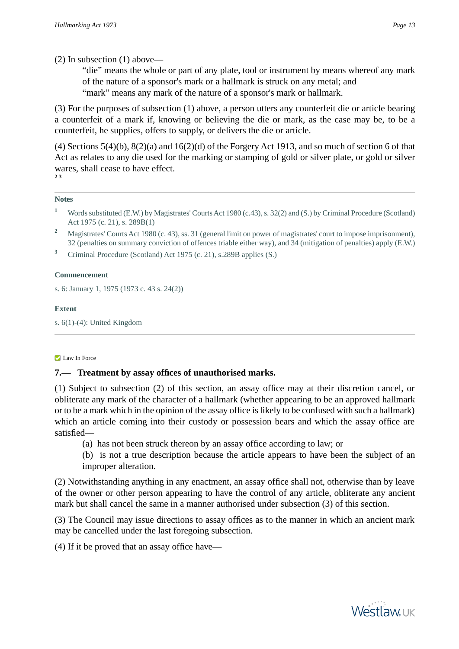(2) In subsection (1) above—

"die" means the whole or part of any plate, tool or instrument by means whereof any mark of the nature of a sponsor's mark or a hallmark is struck on any metal; and "mark" means any mark of the nature of a sponsor's mark or hallmark.

(3) For the purposes of subsection (1) above, a person utters any counterfeit die or article bearing a counterfeit of a mark if, knowing or believing the die or mark, as the case may be, to be a counterfeit, he supplies, offers to supply, or delivers the die or article.

(4) Sections  $5(4)(b)$ ,  $8(2)(a)$  and  $16(2)(d)$  of the Forgery Act 1913, and so much of section 6 of that Act as relates to any die used for the marking or stamping of gold or silver plate, or gold or silver wares, shall cease to have effect. **2 3**

## **Notes**

- **<sup>1</sup>** Words substituted (E.W.) by Magistrates' Courts Act 1980 (c.43), s. 32(2) and (S.) by Criminal Procedure (Scotland) Act 1975 (c. 21), s. 289B(1)
- **<sup>2</sup>** Magistrates' Courts Act 1980 (c. 43), ss. 31 (general limit on power of magistrates' court to impose imprisonment), 32 (penalties on summary conviction of offences triable either way), and 34 (mitigation of penalties) apply (E.W.)
- **<sup>3</sup>** Criminal Procedure (Scotland) Act 1975 (c. 21), s.289B applies (S.)

## **Commencement**

s. 6: January 1, 1975 (1973 c. 43 s. 24(2))

## **Extent**

s. 6(1)-(4): United Kingdom

#### **Law In Force**

## **7.— Treatment by assay offices of unauthorised marks.**

(1) Subject to subsection (2) of this section, an assay office may at their discretion cancel, or obliterate any mark of the character of a hallmark (whether appearing to be an approved hallmark or to be a mark which in the opinion of the assay office is likely to be confused with such a hallmark) which an article coming into their custody or possession bears and which the assay office are satisfied—

(a) has not been struck thereon by an assay office according to law; or

(b) is not a true description because the article appears to have been the subject of an improper alteration.

(2) Notwithstanding anything in any enactment, an assay office shall not, otherwise than by leave of the owner or other person appearing to have the control of any article, obliterate any ancient mark but shall cancel the same in a manner authorised under subsection (3) of this section.

(3) The Council may issue directions to assay offices as to the manner in which an ancient mark may be cancelled under the last foregoing subsection.

(4) If it be proved that an assay office have—

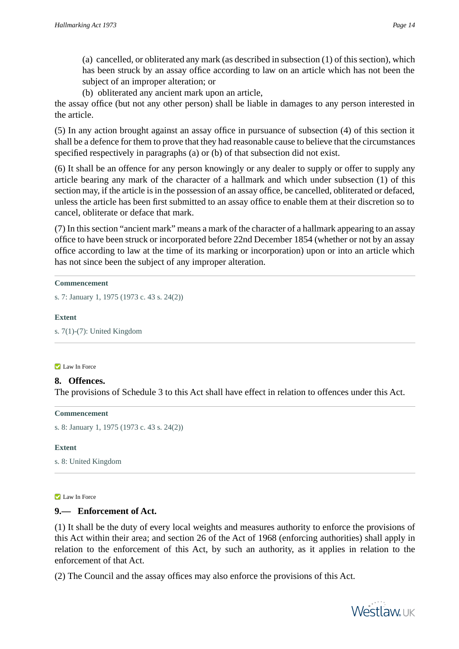(a) cancelled, or obliterated any mark (as described in subsection (1) of this section), which has been struck by an assay office according to law on an article which has not been the subject of an improper alteration; or

(b) obliterated any ancient mark upon an article,

the assay office (but not any other person) shall be liable in damages to any person interested in the article.

(5) In any action brought against an assay office in pursuance of subsection (4) of this section it shall be a defence for them to prove that they had reasonable cause to believe that the circumstances specified respectively in paragraphs (a) or (b) of that subsection did not exist.

(6) It shall be an offence for any person knowingly or any dealer to supply or offer to supply any article bearing any mark of the character of a hallmark and which under subsection (1) of this section may, if the article is in the possession of an assay office, be cancelled, obliterated or defaced, unless the article has been first submitted to an assay office to enable them at their discretion so to cancel, obliterate or deface that mark.

(7) In this section "ancient mark" means a mark of the character of a hallmark appearing to an assay office to have been struck or incorporated before 22nd December 1854 (whether or not by an assay office according to law at the time of its marking or incorporation) upon or into an article which has not since been the subject of any improper alteration.

#### **Commencement**

s. 7: January 1, 1975 (1973 c. 43 s. 24(2))

#### **Extent**

s. 7(1)-(7): United Kingdom

#### **Law In Force**

# **8. Offences.**

The provisions of Schedule 3 to this Act shall have effect in relation to offences under this Act.

#### **Commencement**

s. 8: January 1, 1975 (1973 c. 43 s. 24(2))

#### **Extent**

s. 8: United Kingdom

#### **Law In Force**

# **9.— Enforcement of Act.**

(1) It shall be the duty of every local weights and measures authority to enforce the provisions of this Act within their area; and section 26 of the Act of 1968 (enforcing authorities) shall apply in relation to the enforcement of this Act, by such an authority, as it applies in relation to the enforcement of that Act.

(2) The Council and the assay offices may also enforce the provisions of this Act.

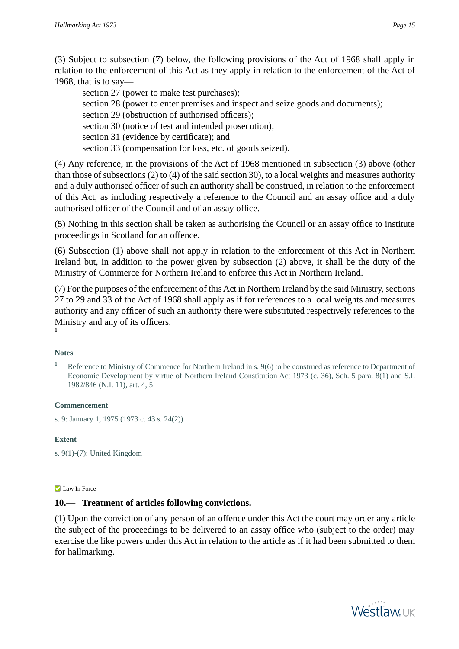(3) Subject to subsection (7) below, the following provisions of the Act of 1968 shall apply in relation to the enforcement of this Act as they apply in relation to the enforcement of the Act of 1968, that is to say—

section 27 (power to make test purchases); section 28 (power to enter premises and inspect and seize goods and documents); section 29 (obstruction of authorised officers); section 30 (notice of test and intended prosecution); section 31 (evidence by certificate); and section 33 (compensation for loss, etc. of goods seized).

(4) Any reference, in the provisions of the Act of 1968 mentioned in subsection (3) above (other than those of subsections (2) to (4) of the said section 30), to a local weights and measures authority and a duly authorised officer of such an authority shall be construed, in relation to the enforcement of this Act, as including respectively a reference to the Council and an assay office and a duly authorised officer of the Council and of an assay office.

(5) Nothing in this section shall be taken as authorising the Council or an assay office to institute proceedings in Scotland for an offence.

(6) Subsection (1) above shall not apply in relation to the enforcement of this Act in Northern Ireland but, in addition to the power given by subsection (2) above, it shall be the duty of the Ministry of Commerce for Northern Ireland to enforce this Act in Northern Ireland.

(7) For the purposes of the enforcement of this Act in Northern Ireland by the said Ministry, sections 27 to 29 and 33 of the Act of 1968 shall apply as if for references to a local weights and measures authority and any officer of such an authority there were substituted respectively references to the Ministry and any of its officers. **1**

#### **Notes**

#### **Commencement**

s. 9: January 1, 1975 (1973 c. 43 s. 24(2))

#### **Extent**

s. 9(1)-(7): United Kingdom

#### **Law In Force**

# **10.— Treatment of articles following convictions.**

(1) Upon the conviction of any person of an offence under this Act the court may order any article the subject of the proceedings to be delivered to an assay office who (subject to the order) may exercise the like powers under this Act in relation to the article as if it had been submitted to them for hallmarking.



<sup>&</sup>lt;sup>1</sup> Reference to Ministry of Commence for Northern Ireland in s. 9(6) to be construed as reference to Department of Economic Development by virtue of Northern Ireland Constitution Act 1973 (c. 36), Sch. 5 para. 8(1) and S.I. 1982/846 (N.I. 11), art. 4, 5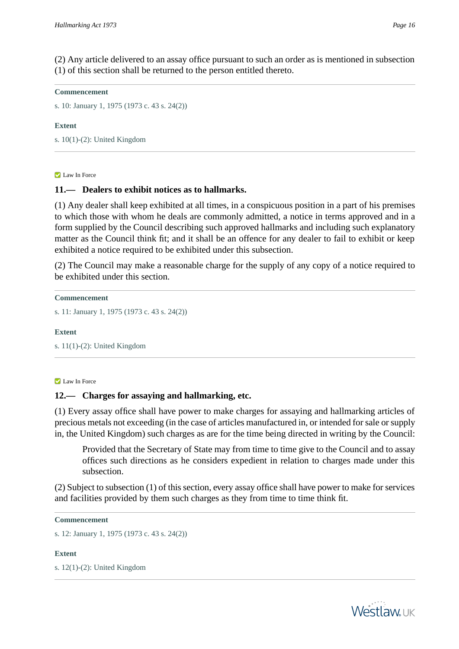(2) Any article delivered to an assay office pursuant to such an order as is mentioned in subsection (1) of this section shall be returned to the person entitled thereto.

#### **Commencement**

s. 10: January 1, 1975 (1973 c. 43 s. 24(2))

#### **Extent**

s. 10(1)-(2): United Kingdom

**Law In Force** 

## **11.— Dealers to exhibit notices as to hallmarks.**

(1) Any dealer shall keep exhibited at all times, in a conspicuous position in a part of his premises to which those with whom he deals are commonly admitted, a notice in terms approved and in a form supplied by the Council describing such approved hallmarks and including such explanatory matter as the Council think fit; and it shall be an offence for any dealer to fail to exhibit or keep exhibited a notice required to be exhibited under this subsection.

(2) The Council may make a reasonable charge for the supply of any copy of a notice required to be exhibited under this section.

**Commencement**

```
s. 11: January 1, 1975 (1973 c. 43 s. 24(2))
```
#### **Extent**

s. 11(1)-(2): United Kingdom

#### **Law In Force**

## **12.— Charges for assaying and hallmarking, etc.**

(1) Every assay office shall have power to make charges for assaying and hallmarking articles of precious metals not exceeding (in the case of articles manufactured in, or intended for sale or supply in, the United Kingdom) such charges as are for the time being directed in writing by the Council:

Provided that the Secretary of State may from time to time give to the Council and to assay offices such directions as he considers expedient in relation to charges made under this subsection.

(2) Subject to subsection (1) of this section, every assay office shall have power to make for services and facilities provided by them such charges as they from time to time think fit.

```
Commencement
```

```
s. 12: January 1, 1975 (1973 c. 43 s. 24(2))
```
# **Extent**

s. 12(1)-(2): United Kingdom



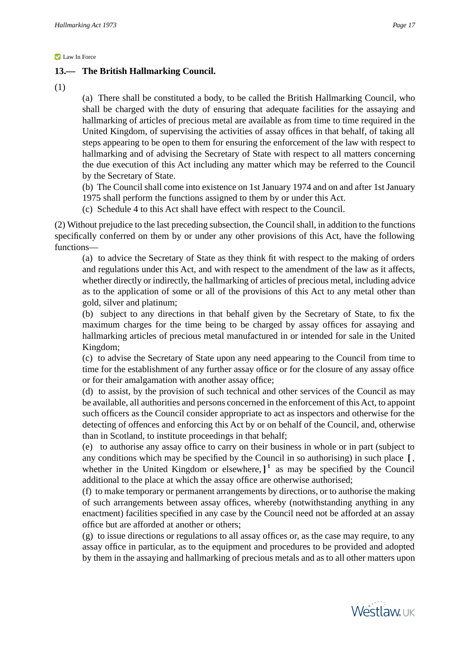# **13.— The British Hallmarking Council.**

(1)

(a) There shall be constituted a body, to be called the British Hallmarking Council, who shall be charged with the duty of ensuring that adequate facilities for the assaying and hallmarking of articles of precious metal are available as from time to time required in the United Kingdom, of supervising the activities of assay offices in that behalf, of taking all steps appearing to be open to them for ensuring the enforcement of the law with respect to hallmarking and of advising the Secretary of State with respect to all matters concerning the due execution of this Act including any matter which may be referred to the Council by the Secretary of State.

(b) The Council shall come into existence on 1st January 1974 and on and after 1st January 1975 shall perform the functions assigned to them by or under this Act.

(c) Schedule 4 to this Act shall have effect with respect to the Council.

(2) Without prejudice to the last preceding subsection, the Council shall, in addition to the functions specifically conferred on them by or under any other provisions of this Act, have the following functions—

(a) to advice the Secretary of State as they think fit with respect to the making of orders and regulations under this Act, and with respect to the amendment of the law as it affects, whether directly or indirectly, the hallmarking of articles of precious metal, including advice as to the application of some or all of the provisions of this Act to any metal other than gold, silver and platinum;

(b) subject to any directions in that behalf given by the Secretary of State, to fix the maximum charges for the time being to be charged by assay offices for assaying and hallmarking articles of precious metal manufactured in or intended for sale in the United Kingdom;

(c) to advise the Secretary of State upon any need appearing to the Council from time to time for the establishment of any further assay office or for the closure of any assay office or for their amalgamation with another assay office;

(d) to assist, by the provision of such technical and other services of the Council as may be available, all authorities and persons concerned in the enforcement of this Act, to appoint such officers as the Council consider appropriate to act as inspectors and otherwise for the detecting of offences and enforcing this Act by or on behalf of the Council, and, otherwise than in Scotland, to institute proceedings in that behalf;

(e) to authorise any assay office to carry on their business in whole or in part (subject to any conditions which may be specified by the Council in so authorising) in such place **[** , whether in the United Kingdom or elsewhere,  $]$ <sup>1</sup> as may be specified by the Council additional to the place at which the assay office are otherwise authorised;

(f) to make temporary or permanent arrangements by directions, or to authorise the making of such arrangements between assay offices, whereby (notwithstanding anything in any enactment) facilities specified in any case by the Council need not be afforded at an assay office but are afforded at another or others;

(g) to issue directions or regulations to all assay offices or, as the case may require, to any assay office in particular, as to the equipment and procedures to be provided and adopted by them in the assaying and hallmarking of precious metals and as to all other matters upon

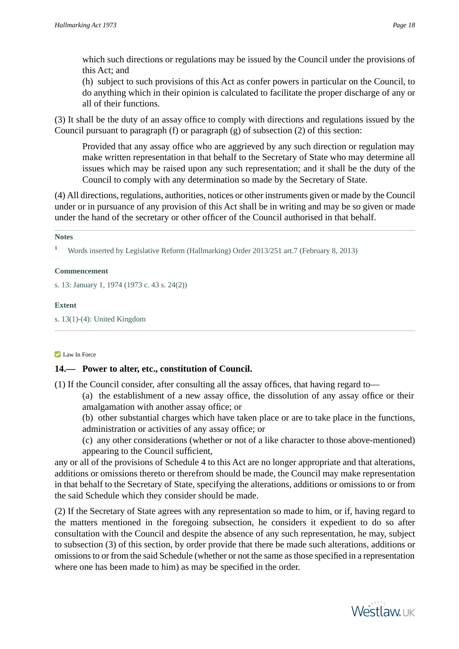which such directions or regulations may be issued by the Council under the provisions of this Act; and

(h) subject to such provisions of this Act as confer powers in particular on the Council, to do anything which in their opinion is calculated to facilitate the proper discharge of any or all of their functions.

(3) It shall be the duty of an assay office to comply with directions and regulations issued by the Council pursuant to paragraph (f) or paragraph (g) of subsection (2) of this section:

Provided that any assay office who are aggrieved by any such direction or regulation may make written representation in that behalf to the Secretary of State who may determine all issues which may be raised upon any such representation; and it shall be the duty of the Council to comply with any determination so made by the Secretary of State.

(4) All directions, regulations, authorities, notices or other instruments given or made by the Council under or in pursuance of any provision of this Act shall be in writing and may be so given or made under the hand of the secretary or other officer of the Council authorised in that behalf.

#### **Notes**

**<sup>1</sup>** Words inserted by Legislative Reform (Hallmarking) Order 2013/251 art.7 (February 8, 2013)

#### **Commencement**

s. 13: January 1, 1974 (1973 c. 43 s. 24(2))

#### **Extent**

s. 13(1)-(4): United Kingdom

#### **Law In Force**

## **14.— Power to alter, etc., constitution of Council.**

(1) If the Council consider, after consulting all the assay offices, that having regard to—

(a) the establishment of a new assay office, the dissolution of any assay office or their amalgamation with another assay office; or

- (b) other substantial charges which have taken place or are to take place in the functions, administration or activities of any assay office; or
- (c) any other considerations (whether or not of a like character to those above-mentioned) appearing to the Council sufficient,

any or all of the provisions of Schedule 4 to this Act are no longer appropriate and that alterations, additions or omissions thereto or therefrom should be made, the Council may make representation in that behalf to the Secretary of State, specifying the alterations, additions or omissions to or from the said Schedule which they consider should be made.

(2) If the Secretary of State agrees with any representation so made to him, or if, having regard to the matters mentioned in the foregoing subsection, he considers it expedient to do so after consultation with the Council and despite the absence of any such representation, he may, subject to subsection (3) of this section, by order provide that there be made such alterations, additions or omissions to or from the said Schedule (whether or not the same as those specified in a representation where one has been made to him) as may be specified in the order.

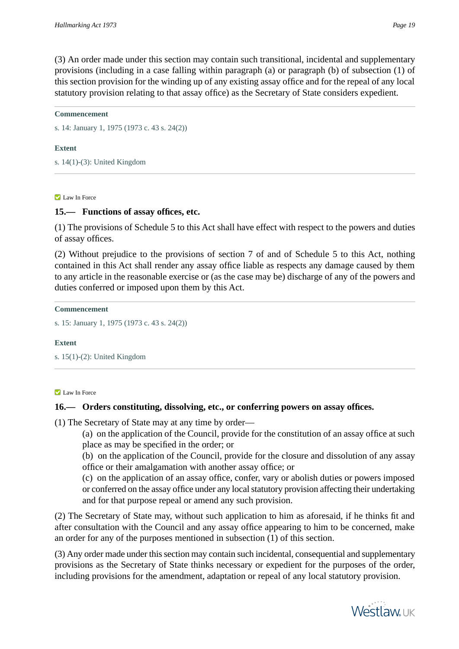(3) An order made under this section may contain such transitional, incidental and supplementary provisions (including in a case falling within paragraph (a) or paragraph (b) of subsection (1) of this section provision for the winding up of any existing assay office and for the repeal of any local statutory provision relating to that assay office) as the Secretary of State considers expedient.

#### **Commencement**

s. 14: January 1, 1975 (1973 c. 43 s. 24(2))

#### **Extent**

s. 14(1)-(3): United Kingdom

#### **Law In Force**

## **15.— Functions of assay offices, etc.**

(1) The provisions of Schedule 5 to this Act shall have effect with respect to the powers and duties of assay offices.

(2) Without prejudice to the provisions of section 7 of and of Schedule 5 to this Act, nothing contained in this Act shall render any assay office liable as respects any damage caused by them to any article in the reasonable exercise or (as the case may be) discharge of any of the powers and duties conferred or imposed upon them by this Act.

**Commencement**

```
s. 15: January 1, 1975 (1973 c. 43 s. 24(2))
```
#### **Extent**

s. 15(1)-(2): United Kingdom

#### **Law In Force**

## **16.— Orders constituting, dissolving, etc., or conferring powers on assay offices.**

(1) The Secretary of State may at any time by order—

(a) on the application of the Council, provide for the constitution of an assay office at such place as may be specified in the order; or

(b) on the application of the Council, provide for the closure and dissolution of any assay office or their amalgamation with another assay office; or

(c) on the application of an assay office, confer, vary or abolish duties or powers imposed or conferred on the assay office under any local statutory provision affecting their undertaking and for that purpose repeal or amend any such provision.

(2) The Secretary of State may, without such application to him as aforesaid, if he thinks fit and after consultation with the Council and any assay office appearing to him to be concerned, make an order for any of the purposes mentioned in subsection (1) of this section.

(3) Any order made under this section may contain such incidental, consequential and supplementary provisions as the Secretary of State thinks necessary or expedient for the purposes of the order, including provisions for the amendment, adaptation or repeal of any local statutory provision.

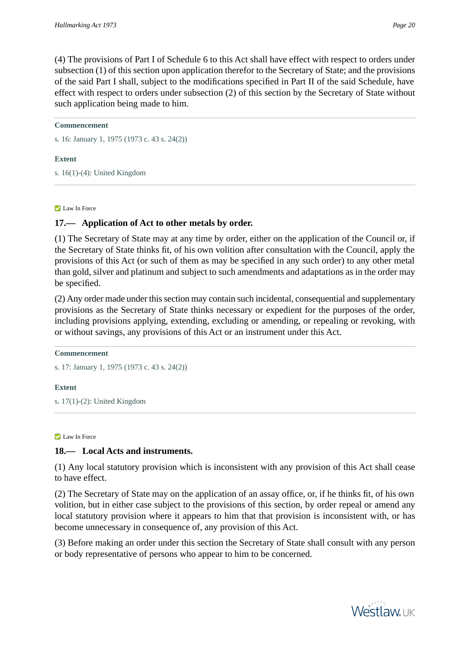(4) The provisions of Part I of Schedule 6 to this Act shall have effect with respect to orders under subsection (1) of this section upon application therefor to the Secretary of State; and the provisions of the said Part I shall, subject to the modifications specified in Part II of the said Schedule, have effect with respect to orders under subsection (2) of this section by the Secretary of State without such application being made to him.

#### **Commencement**

s. 16: January 1, 1975 (1973 c. 43 s. 24(2))

#### **Extent**

s. 16(1)-(4): United Kingdom

#### **Law In Force**

## **17.— Application of Act to other metals by order.**

(1) The Secretary of State may at any time by order, either on the application of the Council or, if the Secretary of State thinks fit, of his own volition after consultation with the Council, apply the provisions of this Act (or such of them as may be specified in any such order) to any other metal than gold, silver and platinum and subject to such amendments and adaptations as in the order may be specified.

(2) Any order made under this section may contain such incidental, consequential and supplementary provisions as the Secretary of State thinks necessary or expedient for the purposes of the order, including provisions applying, extending, excluding or amending, or repealing or revoking, with or without savings, any provisions of this Act or an instrument under this Act.

#### **Commencement**

s. 17: January 1, 1975 (1973 c. 43 s. 24(2))

#### **Extent**

s. 17(1)-(2): United Kingdom

#### **Law In Force**

## **18.— Local Acts and instruments.**

(1) Any local statutory provision which is inconsistent with any provision of this Act shall cease to have effect.

(2) The Secretary of State may on the application of an assay office, or, if he thinks fit, of his own volition, but in either case subject to the provisions of this section, by order repeal or amend any local statutory provision where it appears to him that that provision is inconsistent with, or has become unnecessary in consequence of, any provision of this Act.

(3) Before making an order under this section the Secretary of State shall consult with any person or body representative of persons who appear to him to be concerned.

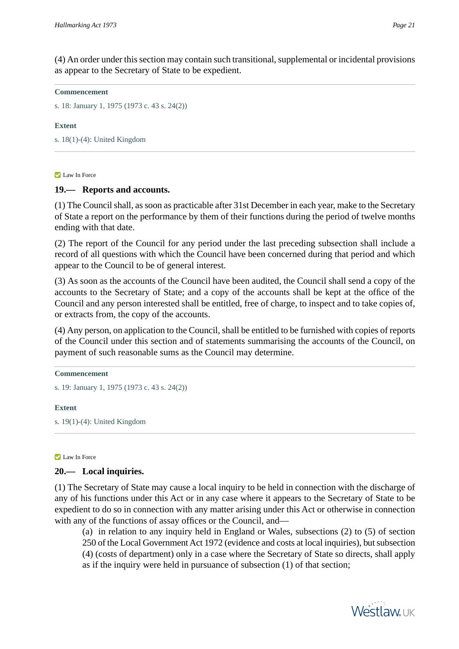(4) An order under this section may contain such transitional, supplemental or incidental provisions as appear to the Secretary of State to be expedient.

#### **Commencement**

s. 18: January 1, 1975 (1973 c. 43 s. 24(2))

#### **Extent**

s. 18(1)-(4): United Kingdom

#### **Law In Force**

## **19.— Reports and accounts.**

(1) The Council shall, as soon as practicable after 31st December in each year, make to the Secretary of State a report on the performance by them of their functions during the period of twelve months ending with that date.

(2) The report of the Council for any period under the last preceding subsection shall include a record of all questions with which the Council have been concerned during that period and which appear to the Council to be of general interest.

(3) As soon as the accounts of the Council have been audited, the Council shall send a copy of the accounts to the Secretary of State; and a copy of the accounts shall be kept at the office of the Council and any person interested shall be entitled, free of charge, to inspect and to take copies of, or extracts from, the copy of the accounts.

(4) Any person, on application to the Council, shall be entitled to be furnished with copies of reports of the Council under this section and of statements summarising the accounts of the Council, on payment of such reasonable sums as the Council may determine.

#### **Commencement**

s. 19: January 1, 1975 (1973 c. 43 s. 24(2))

#### **Extent**

s. 19(1)-(4): United Kingdom

#### **Z** Law In Force

## **20.— Local inquiries.**

(1) The Secretary of State may cause a local inquiry to be held in connection with the discharge of any of his functions under this Act or in any case where it appears to the Secretary of State to be expedient to do so in connection with any matter arising under this Act or otherwise in connection with any of the functions of assay offices or the Council, and—

(a) in relation to any inquiry held in England or Wales, subsections (2) to (5) of section 250 of the Local Government Act 1972 (evidence and costs at local inquiries), but subsection (4) (costs of department) only in a case where the Secretary of State so directs, shall apply as if the inquiry were held in pursuance of subsection (1) of that section;

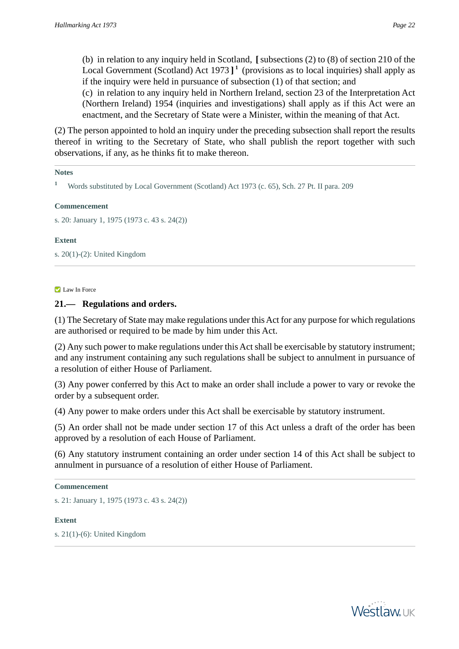(b) in relation to any inquiry held in Scotland, **[**subsections (2) to (8) of section 210 of the Local Government (Scotland) Act 1973 **] 1** (provisions as to local inquiries) shall apply as if the inquiry were held in pursuance of subsection (1) of that section; and

(c) in relation to any inquiry held in Northern Ireland, section 23 of the Interpretation Act (Northern Ireland) 1954 (inquiries and investigations) shall apply as if this Act were an enactment, and the Secretary of State were a Minister, within the meaning of that Act.

(2) The person appointed to hold an inquiry under the preceding subsection shall report the results thereof in writing to the Secretary of State, who shall publish the report together with such observations, if any, as he thinks fit to make thereon.

#### **Notes**

**<sup>1</sup>** Words substituted by Local Government (Scotland) Act 1973 (c. 65), Sch. 27 Pt. II para. 209

#### **Commencement**

s. 20: January 1, 1975 (1973 c. 43 s. 24(2))

#### **Extent**

s. 20(1)-(2): United Kingdom

#### **Law In Force**

## **21.— Regulations and orders.**

(1) The Secretary of State may make regulations under this Act for any purpose for which regulations are authorised or required to be made by him under this Act.

(2) Any such power to make regulations under this Act shall be exercisable by statutory instrument; and any instrument containing any such regulations shall be subject to annulment in pursuance of a resolution of either House of Parliament.

(3) Any power conferred by this Act to make an order shall include a power to vary or revoke the order by a subsequent order.

(4) Any power to make orders under this Act shall be exercisable by statutory instrument.

(5) An order shall not be made under section 17 of this Act unless a draft of the order has been approved by a resolution of each House of Parliament.

(6) Any statutory instrument containing an order under section 14 of this Act shall be subject to annulment in pursuance of a resolution of either House of Parliament.

#### **Commencement**

s. 21: January 1, 1975 (1973 c. 43 s. 24(2))

#### **Extent**

s. 21(1)-(6): United Kingdom

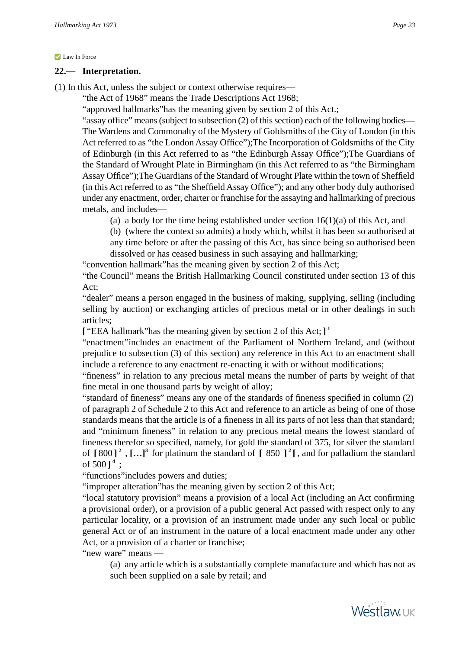#### **Law In Force**

#### **22.— Interpretation.**

(1) In this Act, unless the subject or context otherwise requires—

"the Act of 1968" means the Trade Descriptions Act 1968;

"approved hallmarks"has the meaning given by section 2 of this Act.;

"assay office" means (subject to subsection (2) of this section) each of the following bodies— The Wardens and Commonalty of the Mystery of Goldsmiths of the City of London (in this Act referred to as "the London Assay Office");The Incorporation of Goldsmiths of the City of Edinburgh (in this Act referred to as "the Edinburgh Assay Office");The Guardians of the Standard of Wrought Plate in Birmingham (in this Act referred to as "the Birmingham Assay Office");The Guardians of the Standard of Wrought Plate within the town of Sheffield (in this Act referred to as "the Sheffield Assay Office"); and any other body duly authorised under any enactment, order, charter or franchise for the assaying and hallmarking of precious metals, and includes—

(a) a body for the time being established under section  $16(1)(a)$  of this Act, and

(b) (where the context so admits) a body which, whilst it has been so authorised at any time before or after the passing of this Act, has since being so authorised been dissolved or has ceased business in such assaying and hallmarking;

"convention hallmark"has the meaning given by section 2 of this Act;

"the Council" means the British Hallmarking Council constituted under section 13 of this Act;

"dealer" means a person engaged in the business of making, supplying, selling (including selling by auction) or exchanging articles of precious metal or in other dealings in such articles;

**[** "EEA hallmark"has the meaning given by section 2 of this Act; **] 1**

"enactment"includes an enactment of the Parliament of Northern Ireland, and (without prejudice to subsection (3) of this section) any reference in this Act to an enactment shall include a reference to any enactment re-enacting it with or without modifications;

"fineness" in relation to any precious metal means the number of parts by weight of that fine metal in one thousand parts by weight of alloy;

"standard of fineness" means any one of the standards of fineness specified in column (2) of paragraph 2 of Schedule 2 to this Act and reference to an article as being of one of those standards means that the article is of a fineness in all its parts of not less than that standard; and "minimum fineness" in relation to any precious metal means the lowest standard of fineness therefor so specified, namely, for gold the standard of 375, for silver the standard of **[** 800 **] 2** , **[…]<sup>3</sup>** for platinum the standard of **[** 850 **] 2 [** , and for palladium the standard of  $500$ ]<sup>4</sup>;

"functions"includes powers and duties;

"improper alteration"has the meaning given by section 2 of this Act;

"local statutory provision" means a provision of a local Act (including an Act confirming a provisional order), or a provision of a public general Act passed with respect only to any particular locality, or a provision of an instrument made under any such local or public general Act or of an instrument in the nature of a local enactment made under any other Act, or a provision of a charter or franchise;

"new ware" means —

(a) any article which is a substantially complete manufacture and which has not as such been supplied on a sale by retail; and

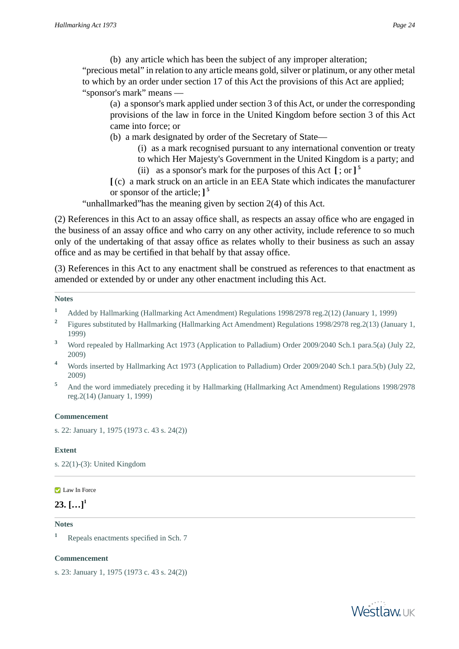(b) any article which has been the subject of any improper alteration; "precious metal" in relation to any article means gold, silver or platinum, or any other metal to which by an order under section 17 of this Act the provisions of this Act are applied; "sponsor's mark" means —

(a) a sponsor's mark applied under section 3 of this Act, or under the corresponding provisions of the law in force in the United Kingdom before section 3 of this Act came into force; or

(b) a mark designated by order of the Secretary of State—

- (i) as a mark recognised pursuant to any international convention or treaty
- to which Her Majesty's Government in the United Kingdom is a party; and
- (ii) as a sponsor's mark for the purposes of this Act **[** ; or **] 5**
- **[** (c) a mark struck on an article in an EEA State which indicates the manufacturer or sponsor of the article; **] 5**

"unhallmarked"has the meaning given by section 2(4) of this Act.

(2) References in this Act to an assay office shall, as respects an assay office who are engaged in the business of an assay office and who carry on any other activity, include reference to so much only of the undertaking of that assay office as relates wholly to their business as such an assay office and as may be certified in that behalf by that assay office.

(3) References in this Act to any enactment shall be construed as references to that enactment as amended or extended by or under any other enactment including this Act.

#### **Notes**

- **<sup>1</sup>** Added by Hallmarking (Hallmarking Act Amendment) Regulations 1998/2978 reg.2(12) (January 1, 1999)
- **2** Figures substituted by Hallmarking (Hallmarking Act Amendment) Regulations 1998/2978 reg.2(13) (January 1, 1999)
- **<sup>3</sup>** Word repealed by Hallmarking Act 1973 (Application to Palladium) Order 2009/2040 Sch.1 para.5(a) (July 22, 2009)
- **<sup>4</sup>** Words inserted by Hallmarking Act 1973 (Application to Palladium) Order 2009/2040 Sch.1 para.5(b) (July 22, 2009)
- <sup>5</sup> And the word immediately preceding it by Hallmarking (Hallmarking Act Amendment) Regulations 1998/2978 reg.2(14) (January 1, 1999)

#### **Commencement**

s. 22: January 1, 1975 (1973 c. 43 s. 24(2))

#### **Extent**

s. 22(1)-(3): United Kingdom

#### **Law In Force**

# $23.$   $[...]^1$

#### **Notes**

**<sup>1</sup>** Repeals enactments specified in Sch. 7

#### **Commencement**

s. 23: January 1, 1975 (1973 c. 43 s. 24(2))

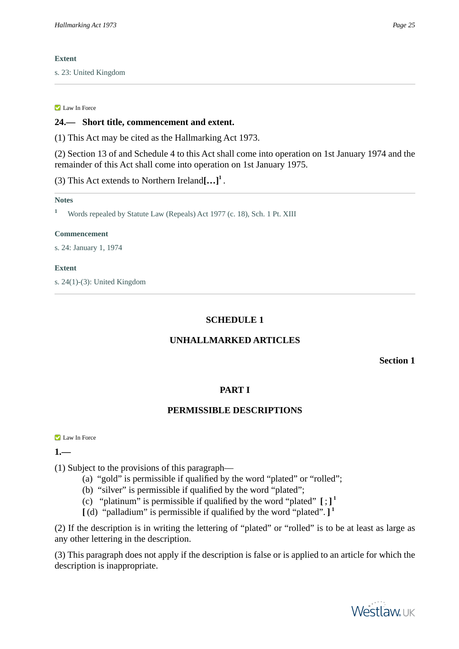### **Extent**

s. 23: United Kingdom

#### **Law In Force**

## **24.— Short title, commencement and extent.**

(1) This Act may be cited as the Hallmarking Act 1973.

(2) Section 13 of and Schedule 4 to this Act shall come into operation on 1st January 1974 and the remainder of this Act shall come into operation on 1st January 1975.

(3) This Act extends to Northern Ireland**[…]<sup>1</sup>** .

#### **Notes**

**<sup>1</sup>** Words repealed by Statute Law (Repeals) Act 1977 (c. 18), Sch. 1 Pt. XIII

#### **Commencement**

s. 24: January 1, 1974

#### **Extent**

s. 24(1)-(3): United Kingdom

# **SCHEDULE 1**

## **UNHALLMARKED ARTICLES**

**Section 1**

## **PART I**

# **PERMISSIBLE DESCRIPTIONS**

**Law In Force** 

# **1.—**

(1) Subject to the provisions of this paragraph—

- (a) "gold" is permissible if qualified by the word "plated" or "rolled";
- (b) "silver" is permissible if qualified by the word "plated";
- (c) "platinum" is permissible if qualified by the word "plated"  $[$ ;  $]$ <sup>1</sup>
- **[** (d) "palladium" is permissible if qualified by the word "plated". **] 1**

(2) If the description is in writing the lettering of "plated" or "rolled" is to be at least as large as any other lettering in the description.

(3) This paragraph does not apply if the description is false or is applied to an article for which the description is inappropriate.

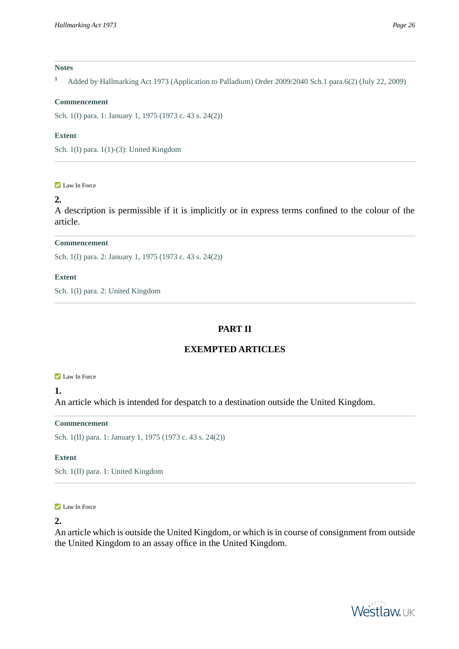#### **Notes**

**<sup>1</sup>** Added by Hallmarking Act 1973 (Application to Palladium) Order 2009/2040 Sch.1 para.6(2) (July 22, 2009)

#### **Commencement**

Sch. 1(I) para. 1: January 1, 1975 (1973 c. 43 s. 24(2))

#### **Extent**

Sch. 1(I) para. 1(1)-(3): United Kingdom

#### **Law In Force**

# **2.**

A description is permissible if it is implicitly or in express terms confined to the colour of the article.

## **Commencement**

Sch. 1(I) para. 2: January 1, 1975 (1973 c. 43 s. 24(2))

#### **Extent**

Sch. 1(I) para. 2: United Kingdom

# **PART II**

## **EXEMPTED ARTICLES**

#### **Law In Force**

#### **1.**

An article which is intended for despatch to a destination outside the United Kingdom.

#### **Commencement**

Sch. 1(II) para. 1: January 1, 1975 (1973 c. 43 s. 24(2))

#### **Extent**

Sch. 1(II) para. 1: United Kingdom

#### **Law In Force**

#### **2.**

An article which is outside the United Kingdom, or which is in course of consignment from outside the United Kingdom to an assay office in the United Kingdom.

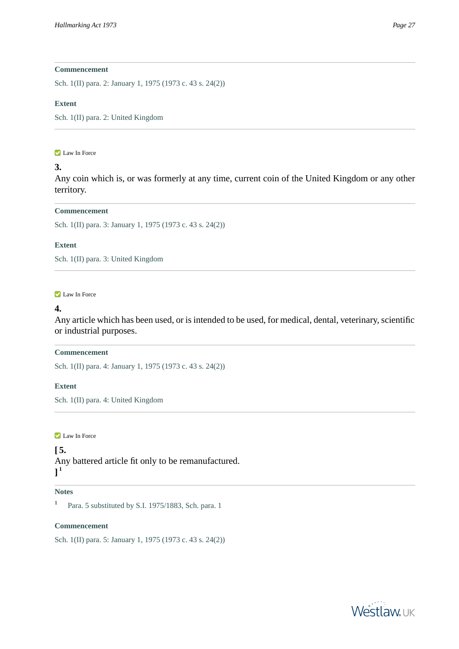## **Commencement**

Sch. 1(II) para. 2: January 1, 1975 (1973 c. 43 s. 24(2))

#### **Extent**

Sch. 1(II) para. 2: United Kingdom

#### **Law In Force**

# **3.**

Any coin which is, or was formerly at any time, current coin of the United Kingdom or any other territory.

#### **Commencement**

Sch. 1(II) para. 3: January 1, 1975 (1973 c. 43 s. 24(2))

#### **Extent**

Sch. 1(II) para. 3: United Kingdom

#### **Law In Force**

## **4.**

Any article which has been used, or is intended to be used, for medical, dental, veterinary, scientific or industrial purposes.

#### **Commencement**

Sch. 1(II) para. 4: January 1, 1975 (1973 c. 43 s. 24(2))

## **Extent**

Sch. 1(II) para. 4: United Kingdom

**Law In Force** 

## **[ 5.**

Any battered article fit only to be remanufactured. **] 1**

## **Notes**

**1** Para. 5 substituted by S.I. 1975/1883, Sch. para. 1

#### **Commencement**

Sch. 1(II) para. 5: January 1, 1975 (1973 c. 43 s. 24(2))

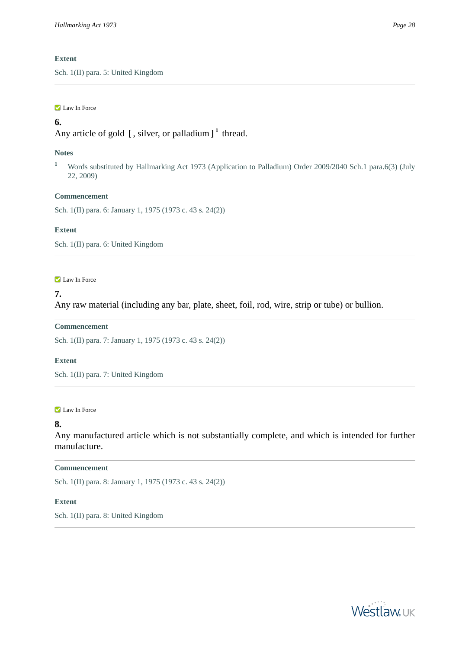#### **Extent**

Sch. 1(II) para. 5: United Kingdom

#### **Law In Force**

## **6.**

Any article of gold **[** , silver, or palladium **] 1** thread.

#### **Notes**

<sup>1</sup> Words substituted by Hallmarking Act 1973 (Application to Palladium) Order 2009/2040 Sch.1 para.6(3) (July 22, 2009)

#### **Commencement**

Sch. 1(II) para. 6: January 1, 1975 (1973 c. 43 s. 24(2))

#### **Extent**

Sch. 1(II) para. 6: United Kingdom

#### **Law In Force**

### **7.**

Any raw material (including any bar, plate, sheet, foil, rod, wire, strip or tube) or bullion.

#### **Commencement**

Sch. 1(II) para. 7: January 1, 1975 (1973 c. 43 s. 24(2))

#### **Extent**

Sch. 1(II) para. 7: United Kingdom

#### **Law In Force**

#### **8.**

Any manufactured article which is not substantially complete, and which is intended for further manufacture.

#### **Commencement**

Sch. 1(II) para. 8: January 1, 1975 (1973 c. 43 s. 24(2))

#### **Extent**

Sch. 1(II) para. 8: United Kingdom

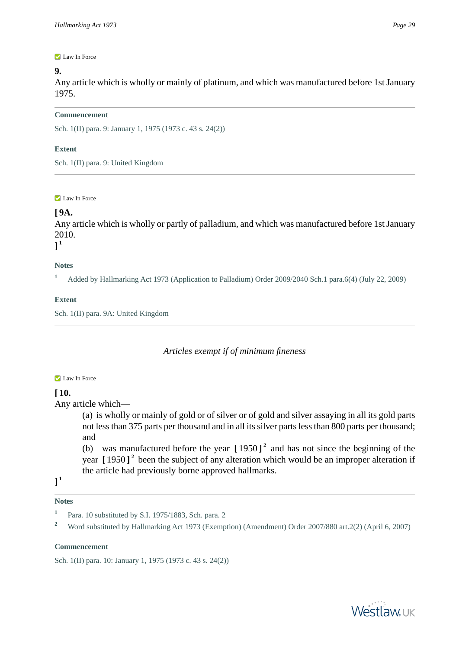# **9.**

Any article which is wholly or mainly of platinum, and which was manufactured before 1st January 1975.

## **Commencement**

Sch. 1(II) para. 9: January 1, 1975 (1973 c. 43 s. 24(2))

# **Extent**

Sch. 1(II) para. 9: United Kingdom

**Law In Force** 

# **[ 9A.**

Any article which is wholly or partly of palladium, and which was manufactured before 1st January 2010.

# **] 1**

# **Notes**

**<sup>1</sup>** Added by Hallmarking Act 1973 (Application to Palladium) Order 2009/2040 Sch.1 para.6(4) (July 22, 2009)

# **Extent**

Sch. 1(II) para. 9A: United Kingdom

# *Articles exempt if of minimum fineness*

## **Law In Force**

# **[ 10.**

Any article which—

(a) is wholly or mainly of gold or of silver or of gold and silver assaying in all its gold parts not less than 375 parts per thousand and in all its silver parts less than 800 parts per thousand; and

(b) was manufactured before the year **[** 1950 **] 2** and has not since the beginning of the year **[** 1950 **] 2** been the subject of any alteration which would be an improper alteration if the article had previously borne approved hallmarks.

**] 1**

## **Notes**

<sup>2</sup> Word substituted by Hallmarking Act 1973 (Exemption) (Amendment) Order 2007/880 art.2(2) (April 6, 2007)

## **Commencement**

Sch. 1(II) para. 10: January 1, 1975 (1973 c. 43 s. 24(2))





**<sup>1</sup>** Para. 10 substituted by S.I. 1975/1883, Sch. para. 2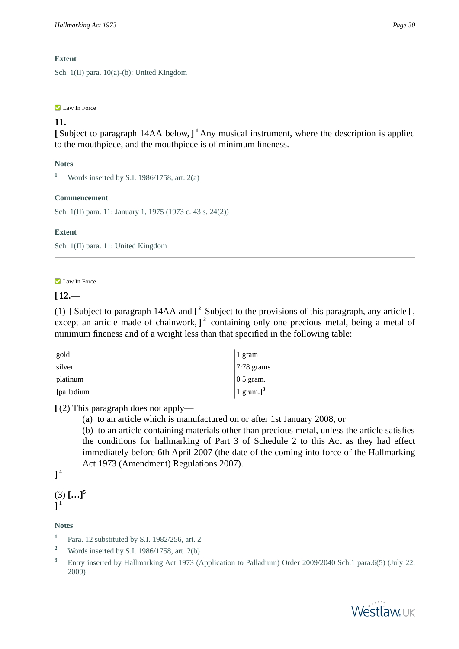## **Extent**

Sch. 1(II) para. 10(a)-(b): United Kingdom

#### Law In Force

## **11.**

**[** Subject to paragraph 14AA below, **] <sup>1</sup>** Any musical instrument, where the description is applied to the mouthpiece, and the mouthpiece is of minimum fineness.

## **Notes**

**<sup>1</sup>** Words inserted by S.I. 1986/1758, art. 2(a)

#### **Commencement**

Sch. 1(II) para. 11: January 1, 1975 (1973 c. 43 s. 24(2))

## **Extent**

Sch. 1(II) para. 11: United Kingdom

#### **Law In Force**

## $[12,-]$

(1) **[** Subject to paragraph 14AA and **] 2** Subject to the provisions of this paragraph, any article **[** , except an article made of chainwork,  $]$ <sup>2</sup> containing only one precious metal, being a metal of minimum fineness and of a weight less than that specified in the following table:

| gold       | 1 gram                           |
|------------|----------------------------------|
| silver     | $7.78$ grams                     |
| platinum   | $ 0.5 \text{ gram.} $            |
| [palladium | $1 \text{ gram.}$ ] <sup>3</sup> |

**[** (2) This paragraph does not apply—

(a) to an article which is manufactured on or after 1st January 2008, or

(b) to an article containing materials other than precious metal, unless the article satisfies the conditions for hallmarking of Part 3 of Schedule 2 to this Act as they had effect immediately before 6th April 2007 (the date of the coming into force of the Hallmarking Act 1973 (Amendment) Regulations 2007).

# **] 4**

(3) **[…]<sup>5</sup> ] 1**

#### **Notes**



**<sup>1</sup>** Para. 12 substituted by S.I. 1982/256, art. 2

**<sup>2</sup>** Words inserted by S.I. 1986/1758, art. 2(b)

<sup>&</sup>lt;sup>3</sup> Entry inserted by Hallmarking Act 1973 (Application to Palladium) Order 2009/2040 Sch.1 para.6(5) (July 22, 2009)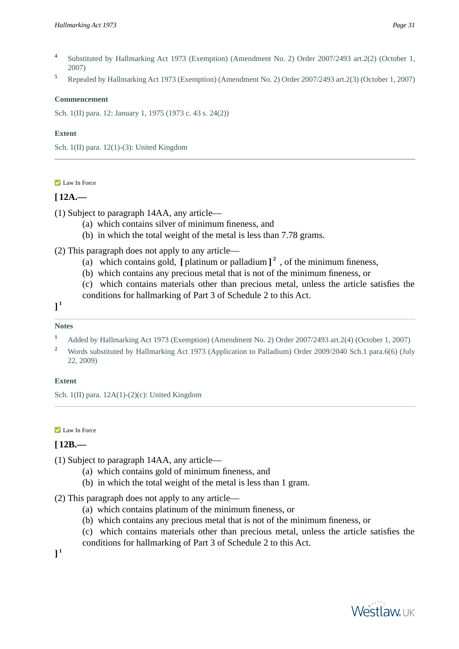- **4** Substituted by Hallmarking Act 1973 (Exemption) (Amendment No. 2) Order 2007/2493 art.2(2) (October 1, 2007)
- **<sup>5</sup>** Repealed by Hallmarking Act 1973 (Exemption) (Amendment No. 2) Order 2007/2493 art.2(3) (October 1, 2007)

#### **Commencement**

Sch. 1(II) para. 12: January 1, 1975 (1973 c. 43 s. 24(2))

### **Extent**

Sch. 1(II) para. 12(1)-(3): United Kingdom

## **Law In Force**

## $[12A]$

(1) Subject to paragraph 14AA, any article—

- (a) which contains silver of minimum fineness, and
- (b) in which the total weight of the metal is less than 7.78 grams.

(2) This paragraph does not apply to any article—

- (a) which contains gold,  $\left[\right]$  platinum or palladium  $\left]$ <sup>2</sup>, of the minimum fineness,
- (b) which contains any precious metal that is not of the minimum fineness, or
- (c) which contains materials other than precious metal, unless the article satisfies the

conditions for hallmarking of Part 3 of Schedule 2 to this Act.

**] 1**

### **Notes**

- **<sup>1</sup>** Added by Hallmarking Act 1973 (Exemption) (Amendment No. 2) Order 2007/2493 art.2(4) (October 1, 2007)
- <sup>2</sup> Words substituted by Hallmarking Act 1973 (Application to Palladium) Order 2009/2040 Sch.1 para.6(6) (July 22, 2009)

## **Extent**

Sch. 1(II) para. 12A(1)-(2)(c): United Kingdom

#### **Law In Force**

# **[ 12B.—**

- (1) Subject to paragraph 14AA, any article—
	- (a) which contains gold of minimum fineness, and
	- (b) in which the total weight of the metal is less than 1 gram.
- (2) This paragraph does not apply to any article—
	- (a) which contains platinum of the minimum fineness, or
	- (b) which contains any precious metal that is not of the minimum fineness, or
	- (c) which contains materials other than precious metal, unless the article satisfies the
	- conditions for hallmarking of Part 3 of Schedule 2 to this Act.

**] 1**

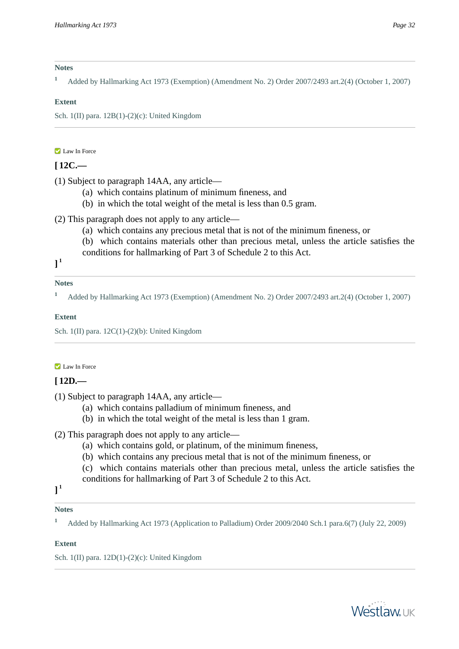#### **Notes**

**<sup>1</sup>** Added by Hallmarking Act 1973 (Exemption) (Amendment No. 2) Order 2007/2493 art.2(4) (October 1, 2007)

## **Extent**

Sch. 1(II) para. 12B(1)-(2)(c): United Kingdom

### **Law In Force**

# **[ 12C.—**

(1) Subject to paragraph 14AA, any article—

- (a) which contains platinum of minimum fineness, and
- (b) in which the total weight of the metal is less than 0.5 gram.

(2) This paragraph does not apply to any article—

- (a) which contains any precious metal that is not of the minimum fineness, or
- (b) which contains materials other than precious metal, unless the article satisfies the conditions for hallmarking of Part 3 of Schedule 2 to this Act.

**] 1**

## **Notes**

**<sup>1</sup>** Added by Hallmarking Act 1973 (Exemption) (Amendment No. 2) Order 2007/2493 art.2(4) (October 1, 2007)

## **Extent**

Sch. 1(II) para. 12C(1)-(2)(b): United Kingdom

## **Law In Force**

## **[ 12D.—**

(1) Subject to paragraph 14AA, any article—

- (a) which contains palladium of minimum fineness, and
- (b) in which the total weight of the metal is less than 1 gram.
- (2) This paragraph does not apply to any article—
	- (a) which contains gold, or platinum, of the minimum fineness,
	- (b) which contains any precious metal that is not of the minimum fineness, or
	- (c) which contains materials other than precious metal, unless the article satisfies the
	- conditions for hallmarking of Part 3 of Schedule 2 to this Act.

# **] 1**

# **Notes**

**<sup>1</sup>** Added by Hallmarking Act 1973 (Application to Palladium) Order 2009/2040 Sch.1 para.6(7) (July 22, 2009)

## **Extent**

Sch. 1(II) para. 12D(1)-(2)(c): United Kingdom

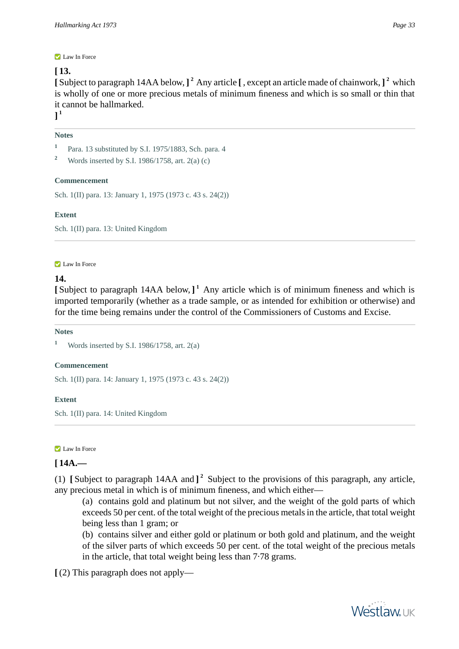#### **Law In Force**

## **[ 13.**

**[** Subject to paragraph 14AA below, **] <sup>2</sup>** Any article **[** , except an article made of chainwork, **] 2** which is wholly of one or more precious metals of minimum fineness and which is so small or thin that it cannot be hallmarked.

**] 1**

## **Notes**

**1** Para. 13 substituted by S.I. 1975/1883, Sch. para. 4

## **Commencement**

Sch. 1(II) para. 13: January 1, 1975 (1973 c. 43 s. 24(2))

## **Extent**

Sch. 1(II) para. 13: United Kingdom

#### **Law In Force**

## **14.**

**[** Subject to paragraph 14AA below, **] <sup>1</sup>** Any article which is of minimum fineness and which is imported temporarily (whether as a trade sample, or as intended for exhibition or otherwise) and for the time being remains under the control of the Commissioners of Customs and Excise.

#### **Notes**

**<sup>1</sup>** Words inserted by S.I. 1986/1758, art. 2(a)

#### **Commencement**

Sch. 1(II) para. 14: January 1, 1975 (1973 c. 43 s. 24(2))

#### **Extent**

Sch. 1(II) para. 14: United Kingdom

#### **Law In Force**

# **[ 14A.—**

(1) **[** Subject to paragraph 14AA and **] 2** Subject to the provisions of this paragraph, any article, any precious metal in which is of minimum fineness, and which either—

(a) contains gold and platinum but not silver, and the weight of the gold parts of which exceeds 50 per cent. of the total weight of the precious metals in the article, that total weight being less than 1 gram; or

(b) contains silver and either gold or platinum or both gold and platinum, and the weight of the silver parts of which exceeds 50 per cent. of the total weight of the precious metals in the article, that total weight being less than 7·78 grams.

**[** (2) This paragraph does not apply—



**<sup>2</sup>** Words inserted by S.I. 1986/1758, art. 2(a) (c)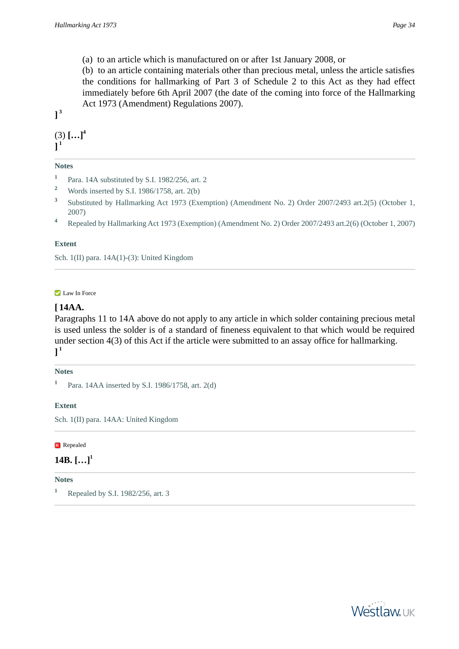(a) to an article which is manufactured on or after 1st January 2008, or

(b) to an article containing materials other than precious metal, unless the article satisfies the conditions for hallmarking of Part 3 of Schedule 2 to this Act as they had effect immediately before 6th April 2007 (the date of the coming into force of the Hallmarking Act 1973 (Amendment) Regulations 2007).

**] 3**

(3) **[…]<sup>4</sup> ] 1**

## **Notes**

- **1** Para. 14A substituted by S.I. 1982/256, art. 2
- **<sup>2</sup>** Words inserted by S.I. 1986/1758, art. 2(b)
- **3** Substituted by Hallmarking Act 1973 (Exemption) (Amendment No. 2) Order 2007/2493 art.2(5) (October 1, 2007)
- **<sup>4</sup>** Repealed by Hallmarking Act 1973 (Exemption) (Amendment No. 2) Order 2007/2493 art.2(6) (October 1, 2007)

#### **Extent**

Sch. 1(II) para. 14A(1)-(3): United Kingdom

#### **Law In Force**

# **[ 14AA.**

Paragraphs 11 to 14A above do not apply to any article in which solder containing precious metal is used unless the solder is of a standard of fineness equivalent to that which would be required under section 4(3) of this Act if the article were submitted to an assay office for hallmarking. **] 1**

#### **Notes**

## **Extent**

Sch. 1(II) para. 14AA: United Kingdom

**R** Repealed

# **14B. […]<sup>1</sup>**

**Notes**

**<sup>1</sup>** Repealed by S.I. 1982/256, art. 3



**<sup>1</sup>** Para. 14AA inserted by S.I. 1986/1758, art. 2(d)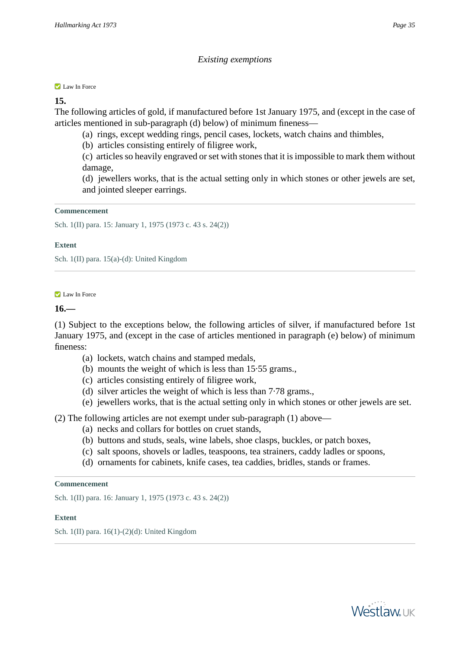#### **Law In Force**

## **15.**

The following articles of gold, if manufactured before 1st January 1975, and (except in the case of articles mentioned in sub-paragraph (d) below) of minimum fineness—

- (a) rings, except wedding rings, pencil cases, lockets, watch chains and thimbles,
- (b) articles consisting entirely of filigree work,

(c) articles so heavily engraved or set with stones that it is impossible to mark them without damage,

(d) jewellers works, that is the actual setting only in which stones or other jewels are set, and jointed sleeper earrings.

#### **Commencement**

Sch. 1(II) para. 15: January 1, 1975 (1973 c. 43 s. 24(2))

#### **Extent**

Sch. 1(II) para. 15(a)-(d): United Kingdom

#### **Law In Force**

## **16.—**

(1) Subject to the exceptions below, the following articles of silver, if manufactured before 1st January 1975, and (except in the case of articles mentioned in paragraph (e) below) of minimum fineness:

- (a) lockets, watch chains and stamped medals,
- (b) mounts the weight of which is less than 15·55 grams.,
- (c) articles consisting entirely of filigree work,
- (d) silver articles the weight of which is less than 7·78 grams.,
- (e) jewellers works, that is the actual setting only in which stones or other jewels are set.

## (2) The following articles are not exempt under sub-paragraph (1) above—

- (a) necks and collars for bottles on cruet stands,
- (b) buttons and studs, seals, wine labels, shoe clasps, buckles, or patch boxes,
- (c) salt spoons, shovels or ladles, teaspoons, tea strainers, caddy ladles or spoons,
- (d) ornaments for cabinets, knife cases, tea caddies, bridles, stands or frames.

#### **Commencement**

Sch. 1(II) para. 16: January 1, 1975 (1973 c. 43 s. 24(2))

#### **Extent**

Sch. 1(II) para. 16(1)-(2)(d): United Kingdom

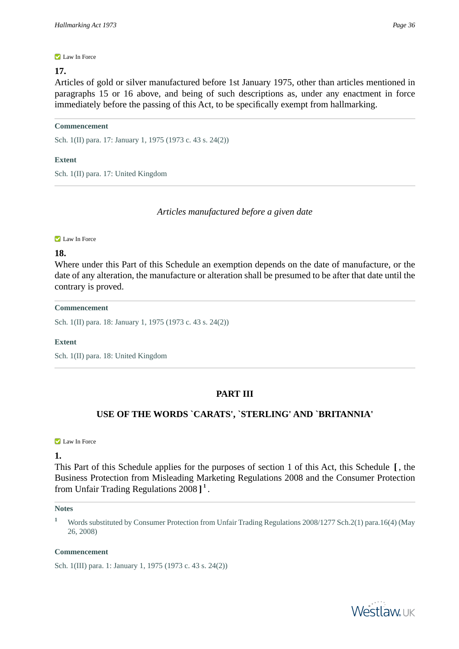#### **Law In Force**

## **17.**

Articles of gold or silver manufactured before 1st January 1975, other than articles mentioned in paragraphs 15 or 16 above, and being of such descriptions as, under any enactment in force immediately before the passing of this Act, to be specifically exempt from hallmarking.

#### **Commencement**

Sch. 1(II) para. 17: January 1, 1975 (1973 c. 43 s. 24(2))

## **Extent**

Sch. 1(II) para. 17: United Kingdom

*Articles manufactured before a given date*

#### **Law In Force**

## **18.**

Where under this Part of this Schedule an exemption depends on the date of manufacture, or the date of any alteration, the manufacture or alteration shall be presumed to be after that date until the contrary is proved.

#### **Commencement**

Sch. 1(II) para. 18: January 1, 1975 (1973 c. 43 s. 24(2))

#### **Extent**

Sch. 1(II) para. 18: United Kingdom

# **PART III**

# **USE OF THE WORDS `CARATS', `STERLING' AND `BRITANNIA'**

#### **Law In Force**

**1.** 

This Part of this Schedule applies for the purposes of section 1 of this Act, this Schedule **[** , the Business Protection from Misleading Marketing Regulations 2008 and the Consumer Protection from Unfair Trading Regulations 2008 **] 1** .

#### **Notes**

**<sup>1</sup>** Words substituted by Consumer Protection from Unfair Trading Regulations 2008/1277 Sch.2(1) para.16(4) (May 26, 2008)

#### **Commencement**

Sch. 1(III) para. 1: January 1, 1975 (1973 c. 43 s. 24(2))

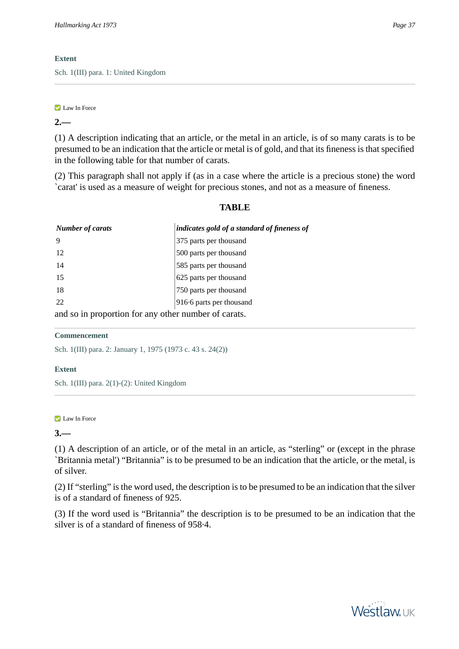# **Extent**

Sch. 1(III) para. 1: United Kingdom

### **Law In Force**

# **2.—**

(1) A description indicating that an article, or the metal in an article, is of so many carats is to be presumed to be an indication that the article or metal is of gold, and that its fineness is that specified in the following table for that number of carats.

(2) This paragraph shall not apply if (as in a case where the article is a precious stone) the word `carat' is used as a measure of weight for precious stones, and not as a measure of fineness.

# **TABLE**

| <b>Number of carats</b> | indicates gold of a standard of fineness of         |
|-------------------------|-----------------------------------------------------|
| 9                       | 375 parts per thousand                              |
| 12                      | 500 parts per thousand                              |
| 14                      | 585 parts per thousand                              |
| 15                      | 625 parts per thousand                              |
| 18                      | 750 parts per thousand                              |
| 22                      | 916.6 parts per thousand                            |
|                         | and so in proportion for any other number of garate |

and so in proportion for any other number of carats.

# **Commencement**

Sch. 1(III) para. 2: January 1, 1975 (1973 c. 43 s. 24(2))

# **Extent**

Sch. 1(III) para. 2(1)-(2): United Kingdom

### **Law In Force**

# **3.—**

(1) A description of an article, or of the metal in an article, as "sterling" or (except in the phrase `Britannia metal') "Britannia" is to be presumed to be an indication that the article, or the metal, is of silver.

(2) If "sterling" is the word used, the description is to be presumed to be an indication that the silver is of a standard of fineness of 925.

(3) If the word used is "Britannia" the description is to be presumed to be an indication that the silver is of a standard of fineness of 958·4.

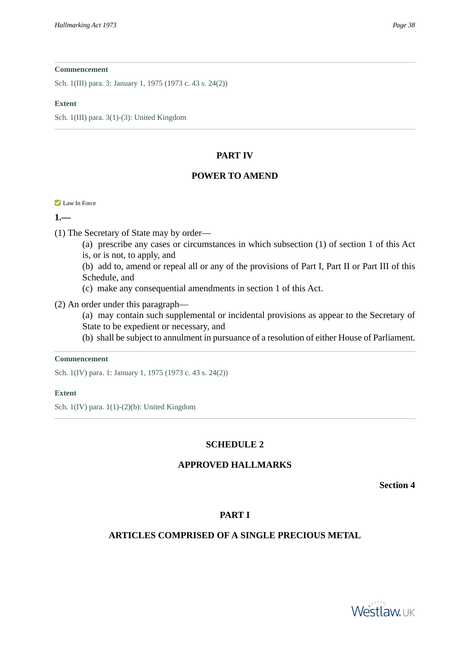Sch. 1(III) para. 3: January 1, 1975 (1973 c. 43 s. 24(2))

#### **Extent**

Sch. 1(III) para. 3(1)-(3): United Kingdom

# **PART IV**

# **POWER TO AMEND**

**Law In Force** 

**1.—** 

(1) The Secretary of State may by order—

(a) prescribe any cases or circumstances in which subsection (1) of section 1 of this Act is, or is not, to apply, and

(b) add to, amend or repeal all or any of the provisions of Part I, Part II or Part III of this Schedule, and

(c) make any consequential amendments in section 1 of this Act.

(2) An order under this paragraph—

(a) may contain such supplemental or incidental provisions as appear to the Secretary of State to be expedient or necessary, and

(b) shall be subject to annulment in pursuance of a resolution of either House of Parliament.

#### **Commencement**

Sch. 1(IV) para. 1: January 1, 1975 (1973 c. 43 s. 24(2))

### **Extent**

Sch. 1(IV) para. 1(1)-(2)(b): United Kingdom

# **SCHEDULE 2**

# **APPROVED HALLMARKS**

**Section 4**

# **PART I**

# **ARTICLES COMPRISED OF A SINGLE PRECIOUS METAL**

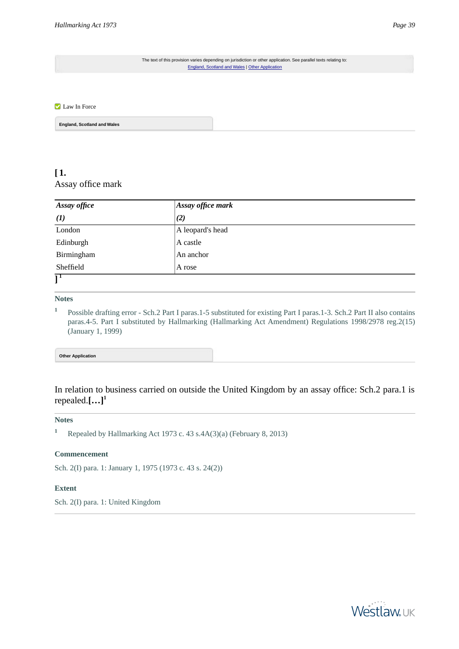The text of this provision varies depending on jurisdiction or other application. See parallel texts relating to: [England, Scotland and Wales](#page-38-0) | [Other Application](#page-38-1)

#### <span id="page-38-0"></span>**Law In Force**

**England, Scotland and Wales**

# **[ 1.**  Assay office mark

| Assay office   | $\vert$ Assay office mark |  |
|----------------|---------------------------|--|
| $\mathbf{I}$   | (2)                       |  |
| London         | A leopard's head          |  |
| Edinburgh      | A castle                  |  |
| Birmingham     | An anchor                 |  |
| Sheffield      | A rose                    |  |
| $\overline{1}$ |                           |  |

#### **]**

#### **Notes**

<span id="page-38-1"></span>**1** Possible drafting error - Sch.2 Part I paras.1-5 substituted for existing Part I paras.1-3. Sch.2 Part II also contains paras.4-5. Part I substituted by Hallmarking (Hallmarking Act Amendment) Regulations 1998/2978 reg.2(15) (January 1, 1999)

#### **Other Application**

In relation to business carried on outside the United Kingdom by an assay office: Sch.2 para.1 is repealed. $[\ldots]$ <sup>1</sup>

#### **Notes**

**<sup>1</sup>** Repealed by Hallmarking Act 1973 c. 43 s.4A(3)(a) (February 8, 2013)

#### **Commencement**

Sch. 2(I) para. 1: January 1, 1975 (1973 c. 43 s. 24(2))

#### **Extent**

Sch. 2(I) para. 1: United Kingdom

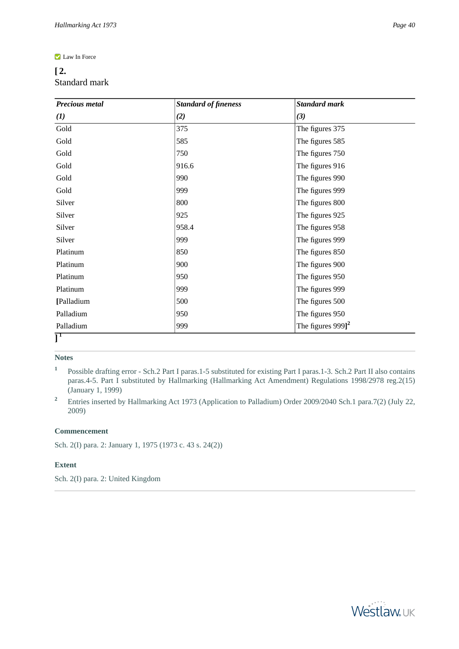#### **Law In Force**

# **[ 2.**  Standard mark

| Precious metal                                | <b>Standard of fineness</b> | <b>Standard mark</b>           |
|-----------------------------------------------|-----------------------------|--------------------------------|
| $\bf{I}$                                      | (2)                         | (3)                            |
| Gold                                          | 375                         | The figures 375                |
| Gold                                          | 585                         | The figures 585                |
| Gold                                          | 750                         | The figures 750                |
| Gold                                          | 916.6                       | The figures 916                |
| Gold                                          | 990                         | The figures 990                |
| Gold                                          | 999                         | The figures 999                |
| Silver                                        | 800                         | The figures 800                |
| Silver                                        | 925                         | The figures 925                |
| Silver                                        | 958.4                       | The figures 958                |
| Silver                                        | 999                         | The figures 999                |
| Platinum                                      | 850                         | The figures 850                |
| Platinum                                      | 900                         | The figures 900                |
| Platinum                                      | 950                         | The figures 950                |
| Platinum                                      | 999                         | The figures 999                |
| [Palladium                                    | 500                         | The figures 500                |
| Palladium                                     | 950                         | The figures 950                |
| Palladium                                     | 999                         | The figures $999$ <sup>2</sup> |
| $\overline{\rm l}^{\scriptscriptstyle \rm I}$ |                             |                                |

# **Notes**

- **1** Possible drafting error - Sch.2 Part I paras.1-5 substituted for existing Part I paras.1-3. Sch.2 Part II also contains paras.4-5. Part I substituted by Hallmarking (Hallmarking Act Amendment) Regulations 1998/2978 reg.2(15) (January 1, 1999)
- <sup>2</sup> Entries inserted by Hallmarking Act 1973 (Application to Palladium) Order 2009/2040 Sch.1 para.7(2) (July 22, 2009)

#### **Commencement**

Sch. 2(I) para. 2: January 1, 1975 (1973 c. 43 s. 24(2))

#### **Extent**

Sch. 2(I) para. 2: United Kingdom

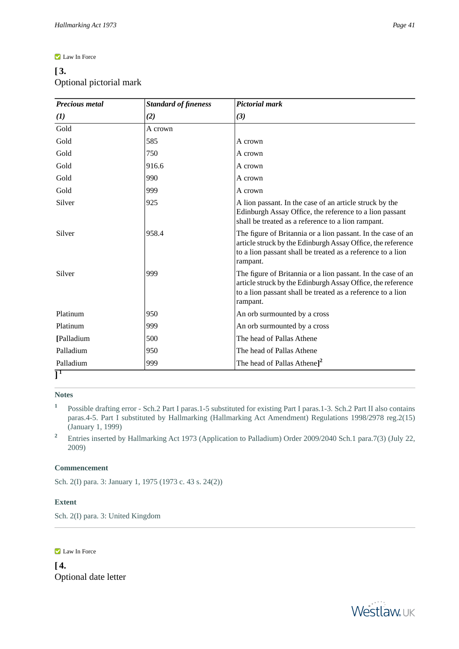#### **Law In Force**

# **[ 3.**  Optional pictorial mark

| <b>Precious metal</b> | <b>Standard of fineness</b> | <b>Pictorial mark</b>                                                                                                                                                                                  |
|-----------------------|-----------------------------|--------------------------------------------------------------------------------------------------------------------------------------------------------------------------------------------------------|
| (1)                   | (2)                         | (3)                                                                                                                                                                                                    |
| Gold                  | A crown                     |                                                                                                                                                                                                        |
| Gold                  | 585                         | A crown                                                                                                                                                                                                |
| Gold                  | 750                         | A crown                                                                                                                                                                                                |
| Gold                  | 916.6                       | A crown                                                                                                                                                                                                |
| Gold                  | 990                         | A crown                                                                                                                                                                                                |
| Gold                  | 999                         | A crown                                                                                                                                                                                                |
| Silver                | 925                         | A lion passant. In the case of an article struck by the<br>Edinburgh Assay Office, the reference to a lion passant<br>shall be treated as a reference to a lion rampant.                               |
| Silver                | 958.4                       | The figure of Britannia or a lion passant. In the case of an<br>article struck by the Edinburgh Assay Office, the reference<br>to a lion passant shall be treated as a reference to a lion<br>rampant. |
| Silver                | 999                         | The figure of Britannia or a lion passant. In the case of an<br>article struck by the Edinburgh Assay Office, the reference<br>to a lion passant shall be treated as a reference to a lion<br>rampant. |
| Platinum              | 950                         | An orb surmounted by a cross                                                                                                                                                                           |
| Platinum              | 999                         | An orb surmounted by a cross                                                                                                                                                                           |
| [Palladium            | 500                         | The head of Pallas Athene                                                                                                                                                                              |
| Palladium             | 950                         | The head of Pallas Athene                                                                                                                                                                              |
| Palladium             | 999                         | The head of Pallas Athene] <sup>2</sup>                                                                                                                                                                |
|                       |                             |                                                                                                                                                                                                        |

**Notes**

- **1** Possible drafting error - Sch.2 Part I paras.1-5 substituted for existing Part I paras.1-3. Sch.2 Part II also contains paras.4-5. Part I substituted by Hallmarking (Hallmarking Act Amendment) Regulations 1998/2978 reg.2(15) (January 1, 1999)
- <sup>2</sup> Entries inserted by Hallmarking Act 1973 (Application to Palladium) Order 2009/2040 Sch.1 para.7(3) (July 22, 2009)

### **Commencement**

Sch. 2(I) para. 3: January 1, 1975 (1973 c. 43 s. 24(2))

#### **Extent**

Sch. 2(I) para. 3: United Kingdom

#### **Law In Force**

**[ 4.**  Optional date letter

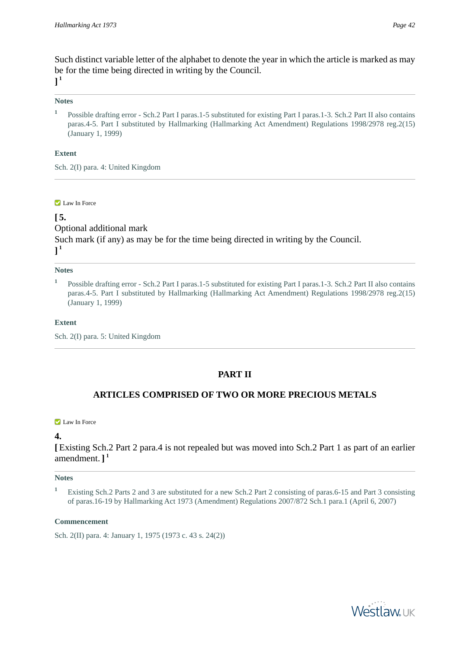Such distinct variable letter of the alphabet to denote the year in which the article is marked as may be for the time being directed in writing by the Council. **] 1**

# **Notes**

**1** Possible drafting error - Sch.2 Part I paras.1-5 substituted for existing Part I paras.1-3. Sch.2 Part II also contains paras.4-5. Part I substituted by Hallmarking (Hallmarking Act Amendment) Regulations 1998/2978 reg.2(15) (January 1, 1999)

# **Extent**

Sch. 2(I) para. 4: United Kingdom

#### **Law In Force**

# **[ 5.**

Optional additional mark Such mark (if any) as may be for the time being directed in writing by the Council. **] 1**

#### **Notes**

**1** Possible drafting error - Sch.2 Part I paras.1-5 substituted for existing Part I paras.1-3. Sch.2 Part II also contains paras.4-5. Part I substituted by Hallmarking (Hallmarking Act Amendment) Regulations 1998/2978 reg.2(15) (January 1, 1999)

#### **Extent**

Sch. 2(I) para. 5: United Kingdom

# **PART II**

# **ARTICLES COMPRISED OF TWO OR MORE PRECIOUS METALS**

### **Law In Force**

# **4.**

**[** Existing Sch.2 Part 2 para.4 is not repealed but was moved into Sch.2 Part 1 as part of an earlier amendment. **] 1**

### **Notes**

**<sup>1</sup>** Existing Sch.2 Parts 2 and 3 are substituted for a new Sch.2 Part 2 consisting of paras.6-15 and Part 3 consisting of paras.16-19 by Hallmarking Act 1973 (Amendment) Regulations 2007/872 Sch.1 para.1 (April 6, 2007)

### **Commencement**

Sch. 2(II) para. 4: January 1, 1975 (1973 c. 43 s. 24(2))

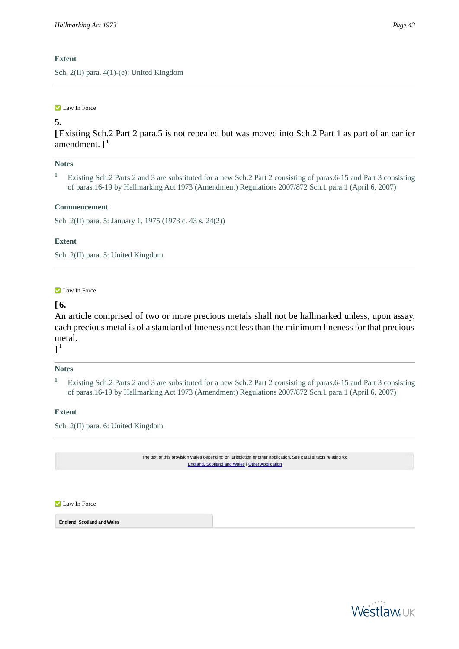# **Extent**

Sch. 2(II) para. 4(1)-(e): United Kingdom

#### **Law In Force**

# **5.**

**[** Existing Sch.2 Part 2 para.5 is not repealed but was moved into Sch.2 Part 1 as part of an earlier amendment. **] 1**

### **Notes**

**<sup>1</sup>** Existing Sch.2 Parts 2 and 3 are substituted for a new Sch.2 Part 2 consisting of paras.6-15 and Part 3 consisting of paras.16-19 by Hallmarking Act 1973 (Amendment) Regulations 2007/872 Sch.1 para.1 (April 6, 2007)

#### **Commencement**

Sch. 2(II) para. 5: January 1, 1975 (1973 c. 43 s. 24(2))

#### **Extent**

Sch. 2(II) para. 5: United Kingdom

#### **Law In Force**

# **[ 6.**

An article comprised of two or more precious metals shall not be hallmarked unless, upon assay, each precious metal is of a standard of fineness not less than the minimum fineness for that precious metal.

# **] 1**

### **Notes**

**<sup>1</sup>** Existing Sch.2 Parts 2 and 3 are substituted for a new Sch.2 Part 2 consisting of paras.6-15 and Part 3 consisting of paras.16-19 by Hallmarking Act 1973 (Amendment) Regulations 2007/872 Sch.1 para.1 (April 6, 2007)

### **Extent**

Sch. 2(II) para. 6: United Kingdom

The text of this provision varies depending on jurisdiction or other application. See parallel texts relating to: [England, Scotland and Wales](#page-42-0) | [Other Application](#page-43-0)

<span id="page-42-0"></span>**Law In Force** 

**England, Scotland and Wales**

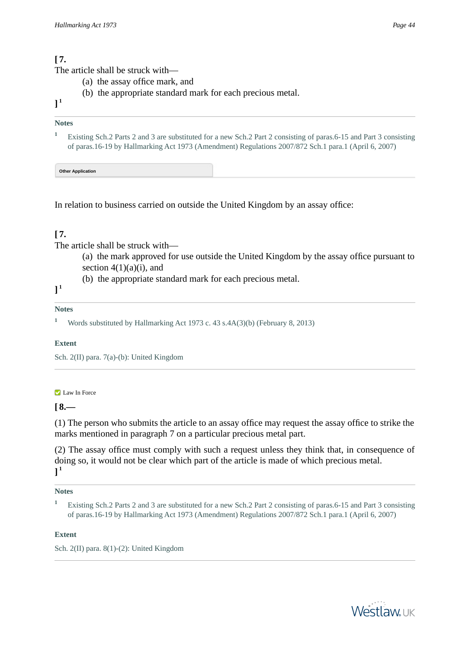# **[ 7.**

The article shall be struck with—

- (a) the assay office mark, and
- (b) the appropriate standard mark for each precious metal.
- **] 1**

# **Notes**

<span id="page-43-0"></span>**<sup>1</sup>** Existing Sch.2 Parts 2 and 3 are substituted for a new Sch.2 Part 2 consisting of paras.6-15 and Part 3 consisting of paras.16-19 by Hallmarking Act 1973 (Amendment) Regulations 2007/872 Sch.1 para.1 (April 6, 2007)

**Other Application**

In relation to business carried on outside the United Kingdom by an assay office:

# **[ 7.**

The article shall be struck with—

- (a) the mark approved for use outside the United Kingdom by the assay office pursuant to section  $4(1)(a)(i)$ , and
- (b) the appropriate standard mark for each precious metal.

**] 1**

# **Notes**

**<sup>1</sup>** Words substituted by Hallmarking Act 1973 c. 43 s.4A(3)(b) (February 8, 2013)

# **Extent**

Sch. 2(II) para. 7(a)-(b): United Kingdom

### **Law In Force**

 $[8 -$ 

(1) The person who submits the article to an assay office may request the assay office to strike the marks mentioned in paragraph 7 on a particular precious metal part.

(2) The assay office must comply with such a request unless they think that, in consequence of doing so, it would not be clear which part of the article is made of which precious metal. **] 1**

### **Notes**

### **Extent**

Sch. 2(II) para. 8(1)-(2): United Kingdom



**<sup>1</sup>** Existing Sch.2 Parts 2 and 3 are substituted for a new Sch.2 Part 2 consisting of paras.6-15 and Part 3 consisting of paras.16-19 by Hallmarking Act 1973 (Amendment) Regulations 2007/872 Sch.1 para.1 (April 6, 2007)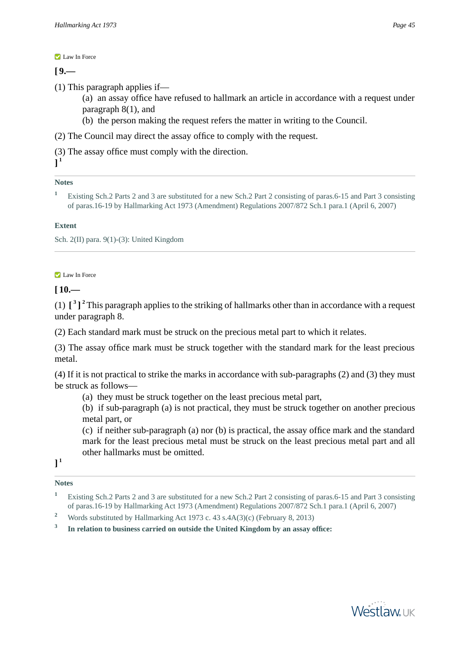**Law In Force** 

 $[9 -$ 

(1) This paragraph applies if—

- (a) an assay office have refused to hallmark an article in accordance with a request under paragraph 8(1), and
- (b) the person making the request refers the matter in writing to the Council.

(2) The Council may direct the assay office to comply with the request.

(3) The assay office must comply with the direction.

**Notes**

**] 1**

```
1 Existing Sch.2 Parts 2 and 3 are substituted for a new Sch.2 Part 2 consisting of paras.6-15 and Part 3 consisting
of paras.16-19 by Hallmarking Act 1973 (Amendment) Regulations 2007/872 Sch.1 para.1 (April 6, 2007)
```
### **Extent**

Sch. 2(II) para. 9(1)-(3): United Kingdom

#### **Law In Force**

**[ 10.—** 

(1) **[ 3 ] <sup>2</sup>** This paragraph applies to the striking of hallmarks other than in accordance with a request under paragraph 8.

(2) Each standard mark must be struck on the precious metal part to which it relates.

(3) The assay office mark must be struck together with the standard mark for the least precious metal.

(4) If it is not practical to strike the marks in accordance with sub-paragraphs (2) and (3) they must be struck as follows—

(a) they must be struck together on the least precious metal part,

(b) if sub-paragraph (a) is not practical, they must be struck together on another precious metal part, or

(c) if neither sub-paragraph (a) nor (b) is practical, the assay office mark and the standard mark for the least precious metal must be struck on the least precious metal part and all other hallmarks must be omitted.

**] 1**

**Notes**

- **<sup>1</sup>** Existing Sch.2 Parts 2 and 3 are substituted for a new Sch.2 Part 2 consisting of paras.6-15 and Part 3 consisting of paras.16-19 by Hallmarking Act 1973 (Amendment) Regulations 2007/872 Sch.1 para.1 (April 6, 2007)
- <sup>2</sup> Words substituted by Hallmarking Act 1973 c. 43 s.4A(3)(c) (February 8, 2013)

**3 In relation to business carried on outside the United Kingdom by an assay office:**

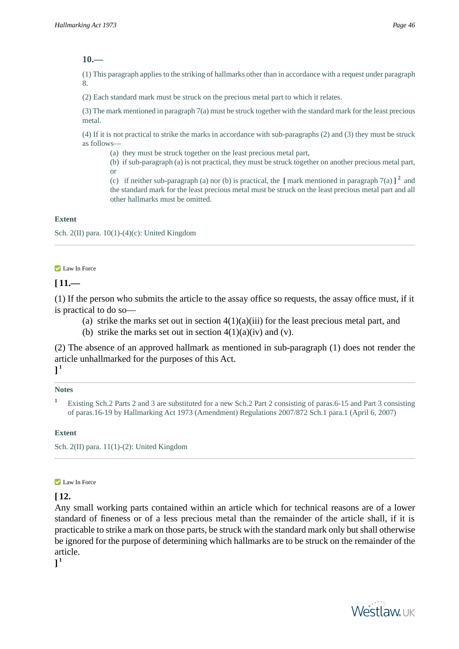### **10.—**

(1) This paragraph applies to the striking of hallmarks other than in accordance with a request under paragraph 8.

(2) Each standard mark must be struck on the precious metal part to which it relates.

(3) The mark mentioned in paragraph 7(a) must be struck together with the standard mark for the least precious metal.

(4) If it is not practical to strike the marks in accordance with sub-paragraphs (2) and (3) they must be struck as follows—

(a) they must be struck together on the least precious metal part,

(b) if sub-paragraph (a) is not practical, they must be struck together on another precious metal part, or

(c) if neither sub-paragraph (a) nor (b) is practical, the  $\left[\right]$  mark mentioned in paragraph 7(a)  $\left[\right]$ <sup>2</sup> and the standard mark for the least precious metal must be struck on the least precious metal part and all other hallmarks must be omitted.

### **Extent**

Sch. 2(II) para.  $10(1)-(4)$ (c): United Kingdom

#### **Law In Force**

### **[ 11.—**

(1) If the person who submits the article to the assay office so requests, the assay office must, if it is practical to do so—

- (a) strike the marks set out in section  $4(1)(a)(iii)$  for the least precious metal part, and
- (b) strike the marks set out in section  $4(1)(a)(iv)$  and (v).

(2) The absence of an approved hallmark as mentioned in sub-paragraph (1) does not render the article unhallmarked for the purposes of this Act. **] 1**

# **Notes**

#### **Extent**

Sch. 2(II) para. 11(1)-(2): United Kingdom

#### **Law In Force**

### **[ 12.**

Any small working parts contained within an article which for technical reasons are of a lower standard of fineness or of a less precious metal than the remainder of the article shall, if it is practicable to strike a mark on those parts, be struck with the standard mark only but shall otherwise be ignored for the purpose of determining which hallmarks are to be struck on the remainder of the article.

**] 1**



**<sup>1</sup>** Existing Sch.2 Parts 2 and 3 are substituted for a new Sch.2 Part 2 consisting of paras.6-15 and Part 3 consisting of paras.16-19 by Hallmarking Act 1973 (Amendment) Regulations 2007/872 Sch.1 para.1 (April 6, 2007)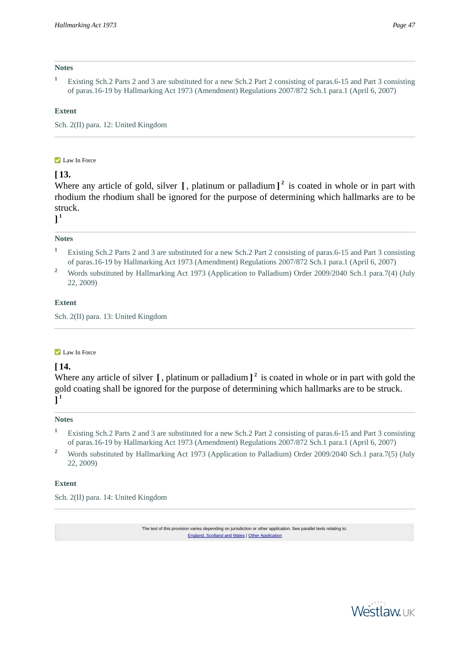#### **Notes**

**<sup>1</sup>** Existing Sch.2 Parts 2 and 3 are substituted for a new Sch.2 Part 2 consisting of paras.6-15 and Part 3 consisting of paras.16-19 by Hallmarking Act 1973 (Amendment) Regulations 2007/872 Sch.1 para.1 (April 6, 2007)

#### **Extent**

Sch. 2(II) para. 12: United Kingdom

#### **Law In Force**

# **[ 13.**

Where any article of gold, silver **[** , platinum or palladium **] 2** is coated in whole or in part with rhodium the rhodium shall be ignored for the purpose of determining which hallmarks are to be struck.

**] 1**

#### **Notes**

- **<sup>1</sup>** Existing Sch.2 Parts 2 and 3 are substituted for a new Sch.2 Part 2 consisting of paras.6-15 and Part 3 consisting of paras.16-19 by Hallmarking Act 1973 (Amendment) Regulations 2007/872 Sch.1 para.1 (April 6, 2007)
- <sup>2</sup> Words substituted by Hallmarking Act 1973 (Application to Palladium) Order 2009/2040 Sch.1 para.7(4) (July 22, 2009)

#### **Extent**

Sch. 2(II) para. 13: United Kingdom

#### **Law In Force**

### **[ 14.**

Where any article of silver **[** , platinum or palladium **] 2** is coated in whole or in part with gold the gold coating shall be ignored for the purpose of determining which hallmarks are to be struck. **] 1**

#### **Notes**

- **<sup>1</sup>** Existing Sch.2 Parts 2 and 3 are substituted for a new Sch.2 Part 2 consisting of paras.6-15 and Part 3 consisting of paras.16-19 by Hallmarking Act 1973 (Amendment) Regulations 2007/872 Sch.1 para.1 (April 6, 2007)
- <sup>2</sup> Words substituted by Hallmarking Act 1973 (Application to Palladium) Order 2009/2040 Sch.1 para.7(5) (July 22, 2009)

#### **Extent**

Sch. 2(II) para. 14: United Kingdom

The text of this provision varies depending on jurisdiction or other application. See parallel texts relating to: [England, Scotland and Wales](#page-47-0) | Other Applic

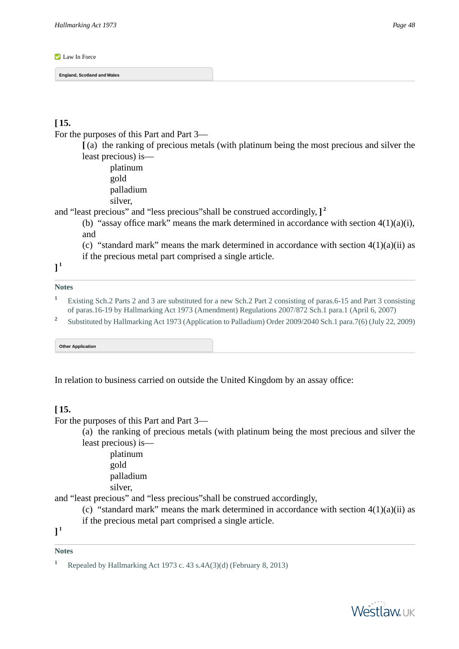#### <span id="page-47-0"></span>**Law In Force**

**England, Scotland and Wales**

# **[ 15.**

For the purposes of this Part and Part 3—

**[** (a) the ranking of precious metals (with platinum being the most precious and silver the least precious) is—

platinum gold palladium silver,

and "least precious" and "less precious"shall be construed accordingly, **] 2**

(b) "assay office mark" means the mark determined in accordance with section  $4(1)(a)(i)$ , and

- (c) "standard mark" means the mark determined in accordance with section  $4(1)(a)(ii)$  as
- if the precious metal part comprised a single article.

**] 1**

# **Notes**

- <span id="page-47-1"></span>**<sup>1</sup>** Existing Sch.2 Parts 2 and 3 are substituted for a new Sch.2 Part 2 consisting of paras.6-15 and Part 3 consisting of paras.16-19 by Hallmarking Act 1973 (Amendment) Regulations 2007/872 Sch.1 para.1 (April 6, 2007)
- **2** Substituted by Hallmarking Act 1973 (Application to Palladium) Order 2009/2040 Sch.1 para.7(6) (July 22, 2009)

**Other Application**

In relation to business carried on outside the United Kingdom by an assay office:

### **[ 15.**

```
For the purposes of this Part and Part 3—
```
(a) the ranking of precious metals (with platinum being the most precious and silver the least precious) is—

platinum

gold

palladium

silver,

and "least precious" and "less precious"shall be construed accordingly,

- (c) "standard mark" means the mark determined in accordance with section  $4(1)(a)(ii)$  as if the precious metal part comprised a single article.
- **] 1**

### **Notes**

**<sup>1</sup>** Repealed by Hallmarking Act 1973 c. 43 s.4A(3)(d) (February 8, 2013)

**Westlaw**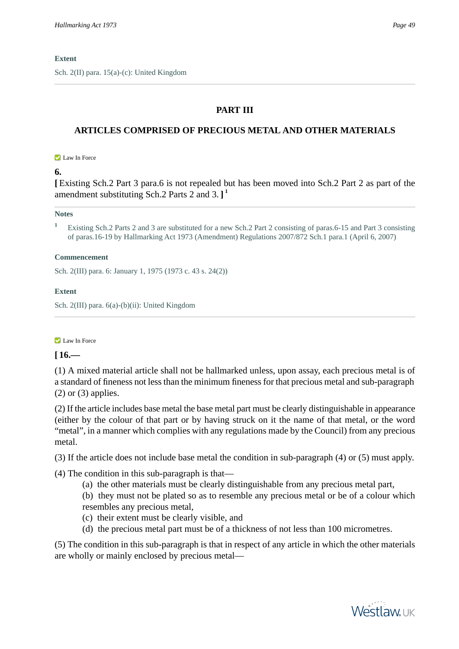Sch. 2(II) para. 15(a)-(c): United Kingdom

# **PART III**

# **ARTICLES COMPRISED OF PRECIOUS METAL AND OTHER MATERIALS**

#### **Z** Law In Force

# **6.**

**[** Existing Sch.2 Part 3 para.6 is not repealed but has been moved into Sch.2 Part 2 as part of the amendment substituting Sch.2 Parts 2 and 3. **] 1**

#### **Notes**

**<sup>1</sup>** Existing Sch.2 Parts 2 and 3 are substituted for a new Sch.2 Part 2 consisting of paras.6-15 and Part 3 consisting of paras.16-19 by Hallmarking Act 1973 (Amendment) Regulations 2007/872 Sch.1 para.1 (April 6, 2007)

#### **Commencement**

Sch. 2(III) para. 6: January 1, 1975 (1973 c. 43 s. 24(2))

### **Extent**

Sch. 2(III) para. 6(a)-(b)(ii): United Kingdom

### **Law In Force**

# **[ 16.—**

(1) A mixed material article shall not be hallmarked unless, upon assay, each precious metal is of a standard of fineness not less than the minimum fineness for that precious metal and sub-paragraph  $(2)$  or  $(3)$  applies.

(2) If the article includes base metal the base metal part must be clearly distinguishable in appearance (either by the colour of that part or by having struck on it the name of that metal, or the word "metal", in a manner which complies with any regulations made by the Council) from any precious metal.

(3) If the article does not include base metal the condition in sub-paragraph (4) or (5) must apply.

(4) The condition in this sub-paragraph is that—

(a) the other materials must be clearly distinguishable from any precious metal part,

(b) they must not be plated so as to resemble any precious metal or be of a colour which resembles any precious metal,

- (c) their extent must be clearly visible, and
- (d) the precious metal part must be of a thickness of not less than 100 micrometres.

(5) The condition in this sub-paragraph is that in respect of any article in which the other materials are wholly or mainly enclosed by precious metal—

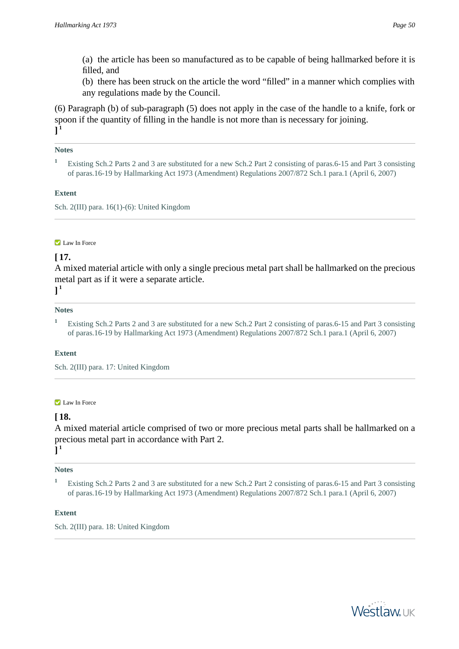(a) the article has been so manufactured as to be capable of being hallmarked before it is filled, and

(b) there has been struck on the article the word "filled" in a manner which complies with any regulations made by the Council.

(6) Paragraph (b) of sub-paragraph (5) does not apply in the case of the handle to a knife, fork or spoon if the quantity of filling in the handle is not more than is necessary for joining. **] 1**

### **Notes**

**<sup>1</sup>** Existing Sch.2 Parts 2 and 3 are substituted for a new Sch.2 Part 2 consisting of paras.6-15 and Part 3 consisting of paras.16-19 by Hallmarking Act 1973 (Amendment) Regulations 2007/872 Sch.1 para.1 (April 6, 2007)

### **Extent**

Sch. 2(III) para. 16(1)-(6): United Kingdom

### **Law In Force**

# **[ 17.**

A mixed material article with only a single precious metal part shall be hallmarked on the precious metal part as if it were a separate article.

**] 1**

### **Notes**

**<sup>1</sup>** Existing Sch.2 Parts 2 and 3 are substituted for a new Sch.2 Part 2 consisting of paras.6-15 and Part 3 consisting of paras.16-19 by Hallmarking Act 1973 (Amendment) Regulations 2007/872 Sch.1 para.1 (April 6, 2007)

### **Extent**

Sch. 2(III) para. 17: United Kingdom

### **Law In Force**

# **[ 18.**

A mixed material article comprised of two or more precious metal parts shall be hallmarked on a precious metal part in accordance with Part 2. **] 1**

### **Notes**

**<sup>1</sup>** Existing Sch.2 Parts 2 and 3 are substituted for a new Sch.2 Part 2 consisting of paras.6-15 and Part 3 consisting of paras.16-19 by Hallmarking Act 1973 (Amendment) Regulations 2007/872 Sch.1 para.1 (April 6, 2007)

### **Extent**

Sch. 2(III) para. 18: United Kingdom

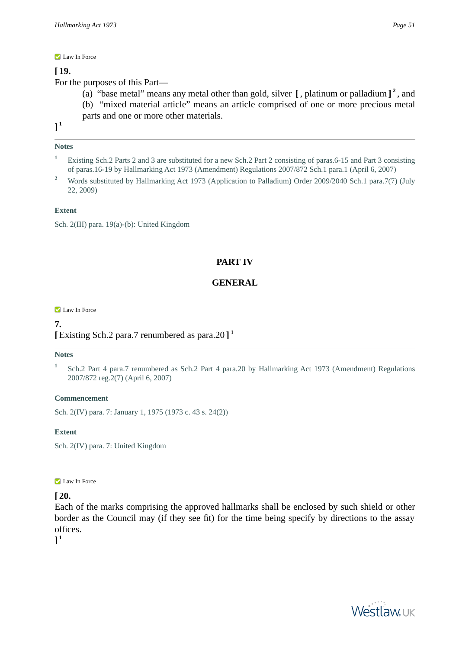#### **Law In Force**

# **[ 19.**

For the purposes of this Part—

(a) "base metal" means any metal other than gold, silver **[** , platinum or palladium **] 2** , and (b) "mixed material article" means an article comprised of one or more precious metal parts and one or more other materials.

**] 1**

# **Notes**

- **<sup>1</sup>** Existing Sch.2 Parts 2 and 3 are substituted for a new Sch.2 Part 2 consisting of paras.6-15 and Part 3 consisting of paras.16-19 by Hallmarking Act 1973 (Amendment) Regulations 2007/872 Sch.1 para.1 (April 6, 2007)
- <sup>2</sup> Words substituted by Hallmarking Act 1973 (Application to Palladium) Order 2009/2040 Sch.1 para.7(7) (July 22, 2009)

# **Extent**

Sch. 2(III) para. 19(a)-(b): United Kingdom

# **PART IV**

# **GENERAL**

#### **Law In Force**

# **7. [** Existing Sch.2 para.7 renumbered as para.20 **] 1**

### **Notes**

**1** Sch.2 Part 4 para.7 renumbered as Sch.2 Part 4 para.20 by Hallmarking Act 1973 (Amendment) Regulations 2007/872 reg.2(7) (April 6, 2007)

### **Commencement**

Sch. 2(IV) para. 7: January 1, 1975 (1973 c. 43 s. 24(2))

### **Extent**

Sch. 2(IV) para. 7: United Kingdom

### **Law In Force**

**[ 20.** 

Each of the marks comprising the approved hallmarks shall be enclosed by such shield or other border as the Council may (if they see fit) for the time being specify by directions to the assay offices.

**] 1**

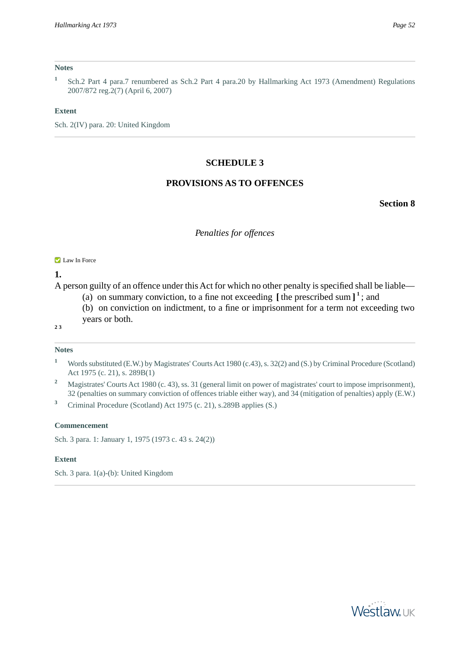#### **Notes**

**1** Sch.2 Part 4 para.7 renumbered as Sch.2 Part 4 para.20 by Hallmarking Act 1973 (Amendment) Regulations 2007/872 reg.2(7) (April 6, 2007)

#### **Extent**

Sch. 2(IV) para. 20: United Kingdom

### **SCHEDULE 3**

# **PROVISIONS AS TO OFFENCES**

**Section 8**

#### *Penalties for offences*

#### **Law In Force**

**1.** 

A person guilty of an offence under this Act for which no other penalty is specified shall be liable—

- (a) on summary conviction, to a fine not exceeding  $\left[$  the prescribed sum  $\right]$ <sup>1</sup>; and
- (b) on conviction on indictment, to a fine or imprisonment for a term not exceeding two years or both.
- **2 3**

#### **Notes**

- **<sup>1</sup>** Words substituted (E.W.) by Magistrates' Courts Act 1980 (c.43), s. 32(2) and (S.) by Criminal Procedure (Scotland) Act 1975 (c. 21), s. 289B(1)
- <sup>2</sup> Magistrates' Courts Act 1980 (c. 43), ss. 31 (general limit on power of magistrates' court to impose imprisonment), 32 (penalties on summary conviction of offences triable either way), and 34 (mitigation of penalties) apply (E.W.)
- **<sup>3</sup>** Criminal Procedure (Scotland) Act 1975 (c. 21), s.289B applies (S.)

#### **Commencement**

Sch. 3 para. 1: January 1, 1975 (1973 c. 43 s. 24(2))

#### **Extent**

Sch. 3 para. 1(a)-(b): United Kingdom

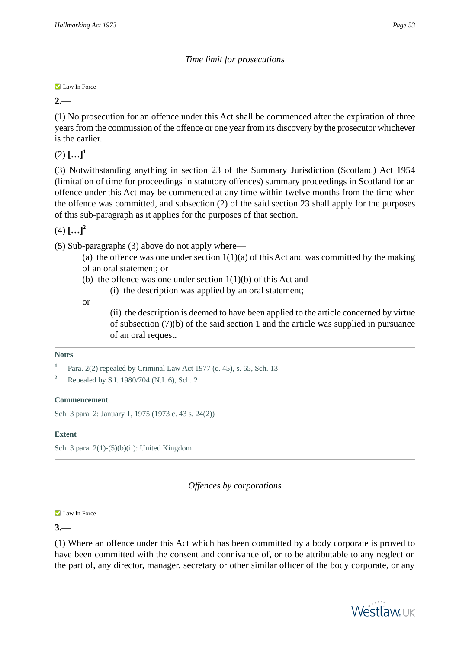# *Time limit for prosecutions*

### **Law In Force**

**2.—** 

(1) No prosecution for an offence under this Act shall be commenced after the expiration of three years from the commission of the offence or one year from its discovery by the prosecutor whichever is the earlier.

 $(2)$   $[...]$ <sup>1</sup>

(3) Notwithstanding anything in section 23 of the Summary Jurisdiction (Scotland) Act 1954 (limitation of time for proceedings in statutory offences) summary proceedings in Scotland for an offence under this Act may be commenced at any time within twelve months from the time when the offence was committed, and subsection (2) of the said section 23 shall apply for the purposes of this sub-paragraph as it applies for the purposes of that section.

 $(4)$   $[...]^2$ 

(5) Sub-paragraphs (3) above do not apply where—

- (a) the offence was one under section  $1(1)(a)$  of this Act and was committed by the making of an oral statement; or
- (b) the offence was one under section  $1(1)(b)$  of this Act and—
	- (i) the description was applied by an oral statement;

or

(ii) the description is deemed to have been applied to the article concerned by virtue of subsection (7)(b) of the said section 1 and the article was supplied in pursuance of an oral request.

# **Notes**

# **Commencement**

Sch. 3 para. 2: January 1, 1975 (1973 c. 43 s. 24(2))

# **Extent**

Sch. 3 para. 2(1)-(5)(b)(ii): United Kingdom

*Offences by corporations*

### **Law In Force**

**3.—** 

(1) Where an offence under this Act which has been committed by a body corporate is proved to have been committed with the consent and connivance of, or to be attributable to any neglect on the part of, any director, manager, secretary or other similar officer of the body corporate, or any



**<sup>1</sup>** Para. 2(2) repealed by Criminal Law Act 1977 (c. 45), s. 65, Sch. 13

**<sup>2</sup>** Repealed by S.I. 1980/704 (N.I. 6), Sch. 2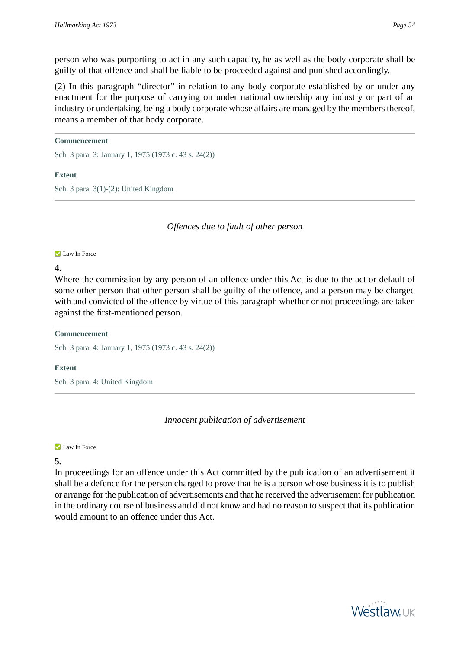person who was purporting to act in any such capacity, he as well as the body corporate shall be guilty of that offence and shall be liable to be proceeded against and punished accordingly.

(2) In this paragraph "director" in relation to any body corporate established by or under any enactment for the purpose of carrying on under national ownership any industry or part of an industry or undertaking, being a body corporate whose affairs are managed by the members thereof, means a member of that body corporate.

# **Commencement**

Sch. 3 para. 3: January 1, 1975 (1973 c. 43 s. 24(2))

# **Extent**

Sch. 3 para. 3(1)-(2): United Kingdom

*Offences due to fault of other person*

### **Law In Force**

# **4.**

Where the commission by any person of an offence under this Act is due to the act or default of some other person that other person shall be guilty of the offence, and a person may be charged with and convicted of the offence by virtue of this paragraph whether or not proceedings are taken against the first-mentioned person.

# **Commencement**

Sch. 3 para. 4: January 1, 1975 (1973 c. 43 s. 24(2))

# **Extent**

Sch. 3 para. 4: United Kingdom

*Innocent publication of advertisement*

### **Law In Force**

# **5.**

In proceedings for an offence under this Act committed by the publication of an advertisement it shall be a defence for the person charged to prove that he is a person whose business it is to publish or arrange for the publication of advertisements and that he received the advertisement for publication in the ordinary course of business and did not know and had no reason to suspect that its publication would amount to an offence under this Act.

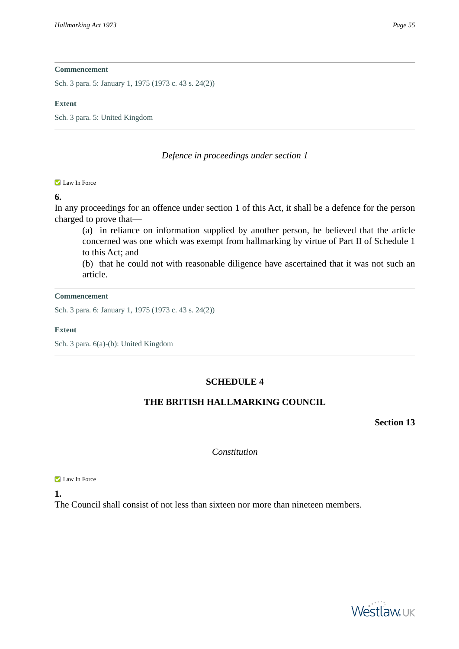Sch. 3 para. 5: January 1, 1975 (1973 c. 43 s. 24(2))

#### **Extent**

Sch. 3 para. 5: United Kingdom

# *Defence in proceedings under section 1*

#### **Law In Force**

# **6.**

In any proceedings for an offence under section 1 of this Act, it shall be a defence for the person charged to prove that—

(a) in reliance on information supplied by another person, he believed that the article concerned was one which was exempt from hallmarking by virtue of Part II of Schedule 1 to this Act; and

(b) that he could not with reasonable diligence have ascertained that it was not such an article.

#### **Commencement**

Sch. 3 para. 6: January 1, 1975 (1973 c. 43 s. 24(2))

### **Extent**

Sch. 3 para. 6(a)-(b): United Kingdom

# **SCHEDULE 4**

# **THE BRITISH HALLMARKING COUNCIL**

**Section 13**

*Constitution*

**Law In Force** 

**1.** 

The Council shall consist of not less than sixteen nor more than nineteen members.

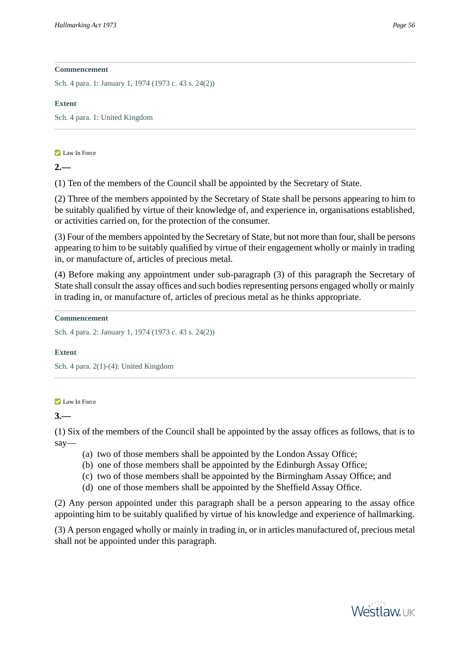Sch. 4 para. 1: January 1, 1974 (1973 c. 43 s. 24(2))

# **Extent**

Sch. 4 para. 1: United Kingdom

# **Z** Law In Force

**2.—** 

(1) Ten of the members of the Council shall be appointed by the Secretary of State.

(2) Three of the members appointed by the Secretary of State shall be persons appearing to him to be suitably qualified by virtue of their knowledge of, and experience in, organisations established, or activities carried on, for the protection of the consumer.

(3) Four of the members appointed by the Secretary of State, but not more than four, shall be persons appearing to him to be suitably qualified by virtue of their engagement wholly or mainly in trading in, or manufacture of, articles of precious metal.

(4) Before making any appointment under sub-paragraph (3) of this paragraph the Secretary of State shall consult the assay offices and such bodies representing persons engaged wholly or mainly in trading in, or manufacture of, articles of precious metal as he thinks appropriate.

**Commencement**

Sch. 4 para. 2: January 1, 1974 (1973 c. 43 s. 24(2))

# **Extent**

Sch. 4 para. 2(1)-(4): United Kingdom

# **Law In Force**

**3.—** 

(1) Six of the members of the Council shall be appointed by the assay offices as follows, that is to say—

- (a) two of those members shall be appointed by the London Assay Office;
- (b) one of those members shall be appointed by the Edinburgh Assay Office;
- (c) two of those members shall be appointed by the Birmingham Assay Office; and
- (d) one of those members shall be appointed by the Sheffield Assay Office.

(2) Any person appointed under this paragraph shall be a person appearing to the assay office appointing him to be suitably qualified by virtue of his knowledge and experience of hallmarking.

(3) A person engaged wholly or mainly in trading in, or in articles manufactured of, precious metal shall not be appointed under this paragraph.

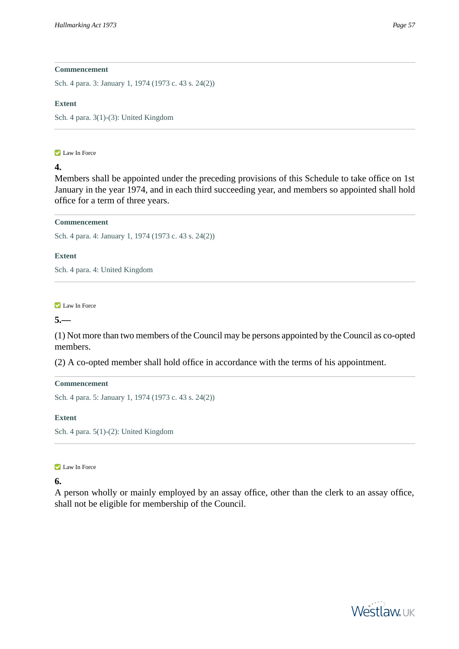Sch. 4 para. 3: January 1, 1974 (1973 c. 43 s. 24(2))

### **Extent**

Sch. 4 para. 3(1)-(3): United Kingdom

#### **Law In Force**

# **4.**

Members shall be appointed under the preceding provisions of this Schedule to take office on 1st January in the year 1974, and in each third succeeding year, and members so appointed shall hold office for a term of three years.

# **Commencement**

Sch. 4 para. 4: January 1, 1974 (1973 c. 43 s. 24(2))

# **Extent**

Sch. 4 para. 4: United Kingdom

**Law In Force** 

**5.—** 

(1) Not more than two members of the Council may be persons appointed by the Council as co-opted members.

(2) A co-opted member shall hold office in accordance with the terms of his appointment.

# **Commencement**

Sch. 4 para. 5: January 1, 1974 (1973 c. 43 s. 24(2))

### **Extent**

Sch. 4 para. 5(1)-(2): United Kingdom

### **Law In Force**

# **6.**

A person wholly or mainly employed by an assay office, other than the clerk to an assay office, shall not be eligible for membership of the Council.

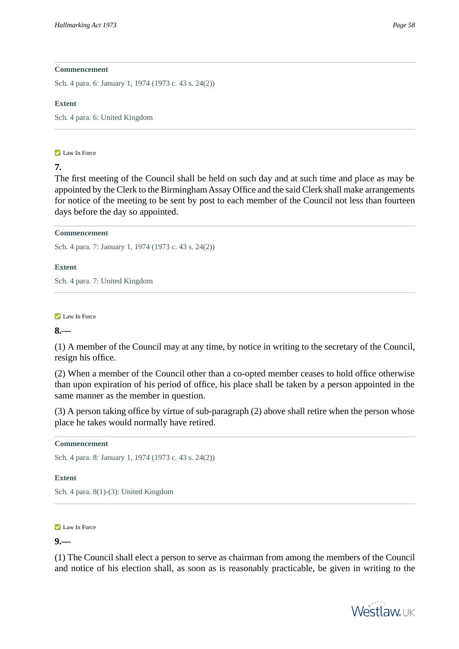Sch. 4 para. 6: January 1, 1974 (1973 c. 43 s. 24(2))

### **Extent**

Sch. 4 para. 6: United Kingdom

### **Law In Force**

# **7.**

The first meeting of the Council shall be held on such day and at such time and place as may be appointed by the Clerk to the Birmingham Assay Office and the said Clerk shall make arrangements for notice of the meeting to be sent by post to each member of the Council not less than fourteen days before the day so appointed.

# **Commencement**

Sch. 4 para. 7: January 1, 1974 (1973 c. 43 s. 24(2))

# **Extent**

Sch. 4 para. 7: United Kingdom

**Law In Force** 

# **8.—**

(1) A member of the Council may at any time, by notice in writing to the secretary of the Council, resign his office.

(2) When a member of the Council other than a co-opted member ceases to hold office otherwise than upon expiration of his period of office, his place shall be taken by a person appointed in the same manner as the member in question.

(3) A person taking office by virtue of sub-paragraph (2) above shall retire when the person whose place he takes would normally have retired.

# **Commencement**

Sch. 4 para. 8: January 1, 1974 (1973 c. 43 s. 24(2))

# **Extent**

Sch. 4 para. 8(1)-(3): United Kingdom

# **Law In Force**

# **9.—**

(1) The Council shall elect a person to serve as chairman from among the members of the Council and notice of his election shall, as soon as is reasonably practicable, be given in writing to the

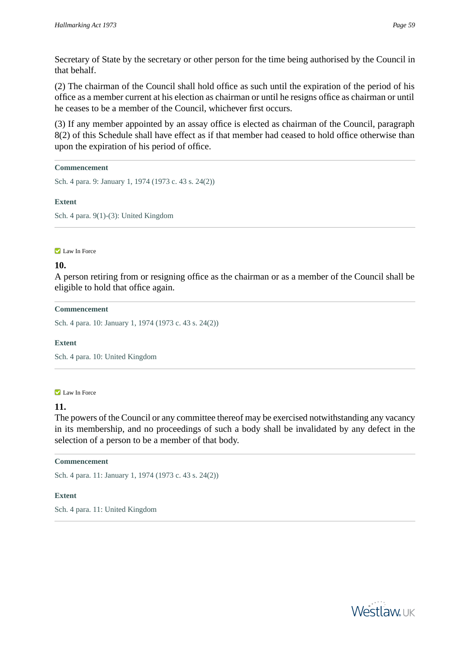Secretary of State by the secretary or other person for the time being authorised by the Council in that behalf.

(2) The chairman of the Council shall hold office as such until the expiration of the period of his office as a member current at his election as chairman or until he resigns office as chairman or until he ceases to be a member of the Council, whichever first occurs.

(3) If any member appointed by an assay office is elected as chairman of the Council, paragraph 8(2) of this Schedule shall have effect as if that member had ceased to hold office otherwise than upon the expiration of his period of office.

### **Commencement**

Sch. 4 para. 9: January 1, 1974 (1973 c. 43 s. 24(2))

# **Extent**

Sch. 4 para. 9(1)-(3): United Kingdom

**Law In Force** 

# **10.**

A person retiring from or resigning office as the chairman or as a member of the Council shall be eligible to hold that office again.

# **Commencement**

Sch. 4 para. 10: January 1, 1974 (1973 c. 43 s. 24(2))

### **Extent**

Sch. 4 para. 10: United Kingdom

### **Law In Force**

# **11.**

The powers of the Council or any committee thereof may be exercised notwithstanding any vacancy in its membership, and no proceedings of such a body shall be invalidated by any defect in the selection of a person to be a member of that body.

### **Commencement**

Sch. 4 para. 11: January 1, 1974 (1973 c. 43 s. 24(2))

# **Extent**

Sch. 4 para. 11: United Kingdom

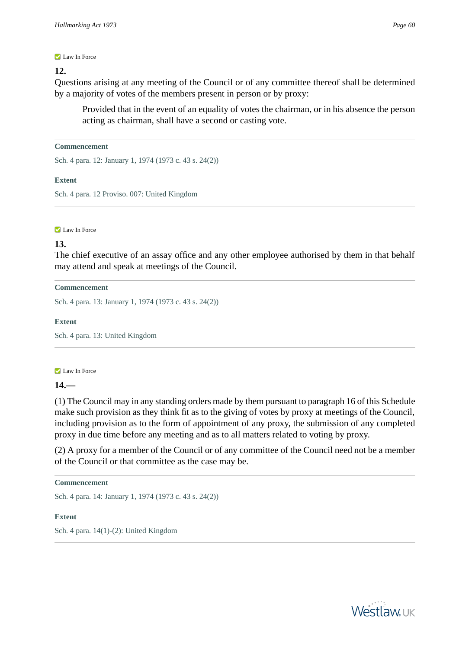#### **Law In Force**

#### **12.**

Questions arising at any meeting of the Council or of any committee thereof shall be determined by a majority of votes of the members present in person or by proxy:

Provided that in the event of an equality of votes the chairman, or in his absence the person acting as chairman, shall have a second or casting vote.

#### **Commencement**

Sch. 4 para. 12: January 1, 1974 (1973 c. 43 s. 24(2))

#### **Extent**

Sch. 4 para. 12 Proviso. 007: United Kingdom

#### **Law In Force**

### **13.**

The chief executive of an assay office and any other employee authorised by them in that behalf may attend and speak at meetings of the Council.

#### **Commencement**

Sch. 4 para. 13: January 1, 1974 (1973 c. 43 s. 24(2))

#### **Extent**

Sch. 4 para. 13: United Kingdom

#### **Law In Force**

**14.—** 

(1) The Council may in any standing orders made by them pursuant to paragraph 16 of this Schedule make such provision as they think fit as to the giving of votes by proxy at meetings of the Council, including provision as to the form of appointment of any proxy, the submission of any completed proxy in due time before any meeting and as to all matters related to voting by proxy.

(2) A proxy for a member of the Council or of any committee of the Council need not be a member of the Council or that committee as the case may be.

#### **Commencement**

Sch. 4 para. 14: January 1, 1974 (1973 c. 43 s. 24(2))

#### **Extent**

Sch. 4 para. 14(1)-(2): United Kingdom

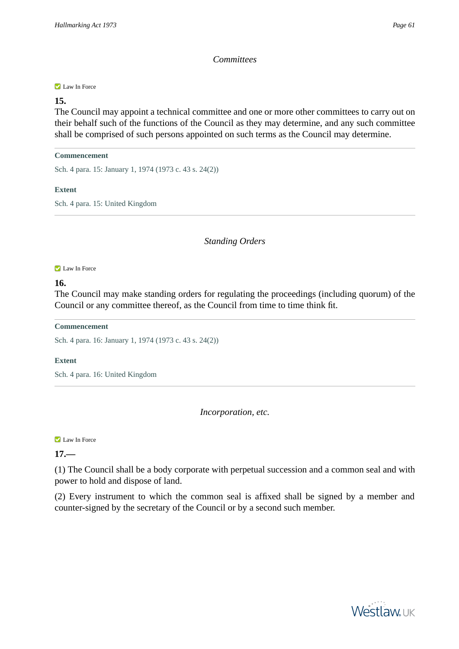# *Committees*

#### **Law In Force**

# **15.**

The Council may appoint a technical committee and one or more other committees to carry out on their behalf such of the functions of the Council as they may determine, and any such committee shall be comprised of such persons appointed on such terms as the Council may determine.

#### **Commencement**

Sch. 4 para. 15: January 1, 1974 (1973 c. 43 s. 24(2))

# **Extent**

Sch. 4 para. 15: United Kingdom

*Standing Orders*

#### **Law In Force**

# **16.**

The Council may make standing orders for regulating the proceedings (including quorum) of the Council or any committee thereof, as the Council from time to time think fit.

### **Commencement**

Sch. 4 para. 16: January 1, 1974 (1973 c. 43 s. 24(2))

### **Extent**

Sch. 4 para. 16: United Kingdom

*Incorporation, etc.*

**Law In Force** 

# **17.—**

(1) The Council shall be a body corporate with perpetual succession and a common seal and with power to hold and dispose of land.

(2) Every instrument to which the common seal is affixed shall be signed by a member and counter-signed by the secretary of the Council or by a second such member.

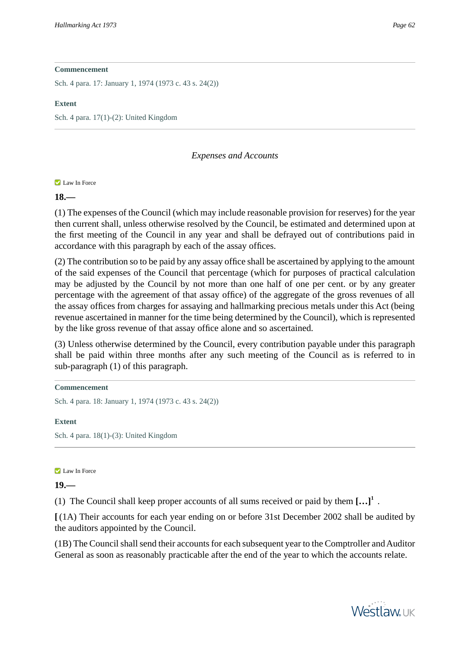Sch. 4 para. 17: January 1, 1974 (1973 c. 43 s. 24(2))

### **Extent**

Sch. 4 para. 17(1)-(2): United Kingdom

# *Expenses and Accounts*

# **Law In Force**

# **18.—**

(1) The expenses of the Council (which may include reasonable provision for reserves) for the year then current shall, unless otherwise resolved by the Council, be estimated and determined upon at the first meeting of the Council in any year and shall be defrayed out of contributions paid in accordance with this paragraph by each of the assay offices.

(2) The contribution so to be paid by any assay office shall be ascertained by applying to the amount of the said expenses of the Council that percentage (which for purposes of practical calculation may be adjusted by the Council by not more than one half of one per cent. or by any greater percentage with the agreement of that assay office) of the aggregate of the gross revenues of all the assay offices from charges for assaying and hallmarking precious metals under this Act (being revenue ascertained in manner for the time being determined by the Council), which is represented by the like gross revenue of that assay office alone and so ascertained.

(3) Unless otherwise determined by the Council, every contribution payable under this paragraph shall be paid within three months after any such meeting of the Council as is referred to in sub-paragraph (1) of this paragraph.

```
Commencement
```
Sch. 4 para. 18: January 1, 1974 (1973 c. 43 s. 24(2))

# **Extent**

Sch. 4 para. 18(1)-(3): United Kingdom

### **Law In Force**

# **19.—**

(1) The Council shall keep proper accounts of all sums received or paid by them **[…]<sup>1</sup>** .

**[** (1A) Their accounts for each year ending on or before 31st December 2002 shall be audited by the auditors appointed by the Council.

(1B) The Council shall send their accounts for each subsequent year to the Comptroller and Auditor General as soon as reasonably practicable after the end of the year to which the accounts relate.

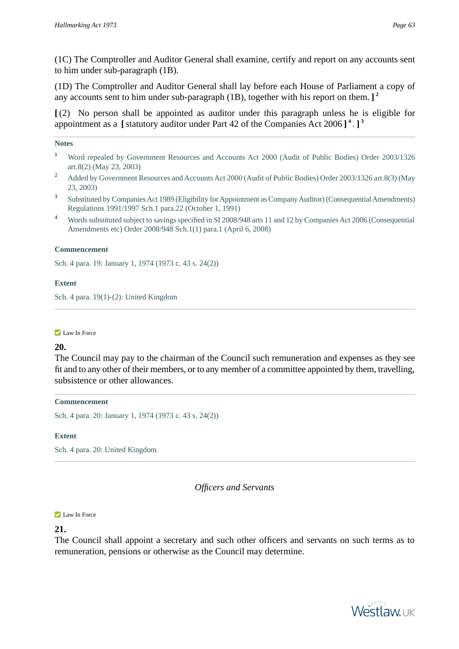(1C) The Comptroller and Auditor General shall examine, certify and report on any accounts sent to him under sub-paragraph (1B).

(1D) The Comptroller and Auditor General shall lay before each House of Parliament a copy of any accounts sent to him under sub-paragraph (1B), together with his report on them. **] 2**

**[** (2) No person shall be appointed as auditor under this paragraph unless he is eligible for appointment as a **[**statutory auditor under Part 42 of the Companies Act 2006 **] 4** . **] 3**

#### **Notes**

- <sup>1</sup> Word repealed by Government Resources and Accounts Act 2000 (Audit of Public Bodies) Order 2003/1326 art.8(2) (May 23, 2003)
- <sup>2</sup> Added by Government Resources and Accounts Act 2000 (Audit of Public Bodies) Order 2003/1326 art.8(3) (May 23, 2003)
- **3** Substituted by Companies Act 1989 (Eligibility for Appointment as Company Auditor) (Consequential Amendments) Regulations 1991/1997 Sch.1 para.22 (October 1, 1991)
- **<sup>4</sup>** Words substituted subject to savings specified in SI 2008/948 arts 11 and 12 by Companies Act 2006 (Consequential Amendments etc) Order 2008/948 Sch.1(1) para.1 (April 6, 2008)

### **Commencement**

Sch. 4 para. 19: January 1, 1974 (1973 c. 43 s. 24(2))

### **Extent**

Sch. 4 para. 19(1)-(2): United Kingdom

**Law In Force** 

### **20.**

The Council may pay to the chairman of the Council such remuneration and expenses as they see fit and to any other of their members, or to any member of a committee appointed by them, travelling, subsistence or other allowances.

#### **Commencement**

Sch. 4 para. 20: January 1, 1974 (1973 c. 43 s. 24(2))

#### **Extent**

Sch. 4 para. 20: United Kingdom

*Officers and Servants*

#### **Law In Force**

# **21.**

The Council shall appoint a secretary and such other officers and servants on such terms as to remuneration, pensions or otherwise as the Council may determine.

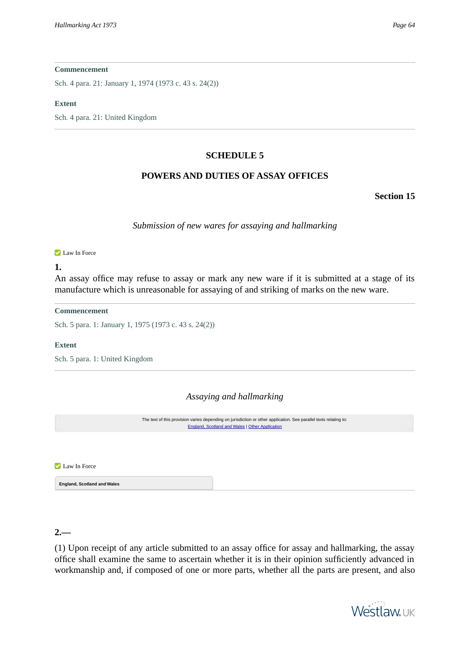Sch. 4 para. 21: January 1, 1974 (1973 c. 43 s. 24(2))

#### **Extent**

Sch. 4 para. 21: United Kingdom

### **SCHEDULE 5**

# **POWERS AND DUTIES OF ASSAY OFFICES**

**Section 15**

*Submission of new wares for assaying and hallmarking*

#### **Law In Force**

#### **1.**

An assay office may refuse to assay or mark any new ware if it is submitted at a stage of its manufacture which is unreasonable for assaying of and striking of marks on the new ware.

#### **Commencement**

Sch. 5 para. 1: January 1, 1975 (1973 c. 43 s. 24(2))

#### **Extent**

Sch. 5 para. 1: United Kingdom

### *Assaying and hallmarking*

The text of this provision varies depending on jurisdiction or other application. See parallel texts relating to: [England, Scotland and Wales](#page-63-0) | [Other Application](#page-64-0)

<span id="page-63-0"></span>Law In Force

**England, Scotland and Wales**

# **2.—**

(1) Upon receipt of any article submitted to an assay office for assay and hallmarking, the assay office shall examine the same to ascertain whether it is in their opinion sufficiently advanced in workmanship and, if composed of one or more parts, whether all the parts are present, and also

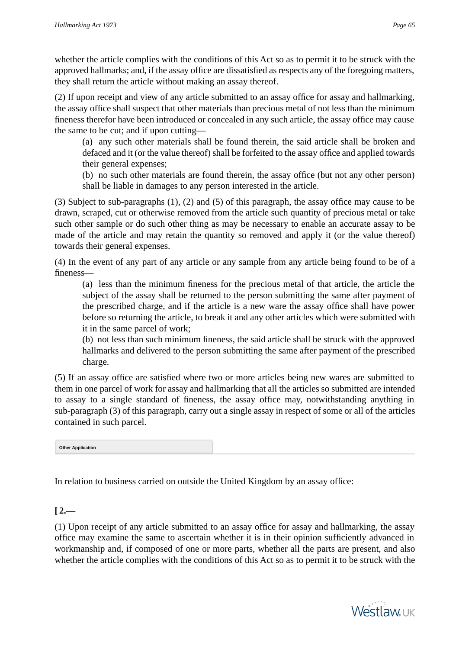whether the article complies with the conditions of this Act so as to permit it to be struck with the approved hallmarks; and, if the assay office are dissatisfied as respects any of the foregoing matters, they shall return the article without making an assay thereof.

(2) If upon receipt and view of any article submitted to an assay office for assay and hallmarking, the assay office shall suspect that other materials than precious metal of not less than the minimum fineness therefor have been introduced or concealed in any such article, the assay office may cause the same to be cut; and if upon cutting—

(a) any such other materials shall be found therein, the said article shall be broken and defaced and it (or the value thereof) shall be forfeited to the assay office and applied towards their general expenses;

(b) no such other materials are found therein, the assay office (but not any other person) shall be liable in damages to any person interested in the article.

(3) Subject to sub-paragraphs (1), (2) and (5) of this paragraph, the assay office may cause to be drawn, scraped, cut or otherwise removed from the article such quantity of precious metal or take such other sample or do such other thing as may be necessary to enable an accurate assay to be made of the article and may retain the quantity so removed and apply it (or the value thereof) towards their general expenses.

(4) In the event of any part of any article or any sample from any article being found to be of a fineness—

(a) less than the minimum fineness for the precious metal of that article, the article the subject of the assay shall be returned to the person submitting the same after payment of the prescribed charge, and if the article is a new ware the assay office shall have power before so returning the article, to break it and any other articles which were submitted with it in the same parcel of work;

(b) not less than such minimum fineness, the said article shall be struck with the approved hallmarks and delivered to the person submitting the same after payment of the prescribed charge.

<span id="page-64-0"></span>(5) If an assay office are satisfied where two or more articles being new wares are submitted to them in one parcel of work for assay and hallmarking that all the articles so submitted are intended to assay to a single standard of fineness, the assay office may, notwithstanding anything in sub-paragraph (3) of this paragraph, carry out a single assay in respect of some or all of the articles contained in such parcel.

**Other Application**

In relation to business carried on outside the United Kingdom by an assay office:

# $[2,-]$

(1) Upon receipt of any article submitted to an assay office for assay and hallmarking, the assay office may examine the same to ascertain whether it is in their opinion sufficiently advanced in workmanship and, if composed of one or more parts, whether all the parts are present, and also whether the article complies with the conditions of this Act so as to permit it to be struck with the

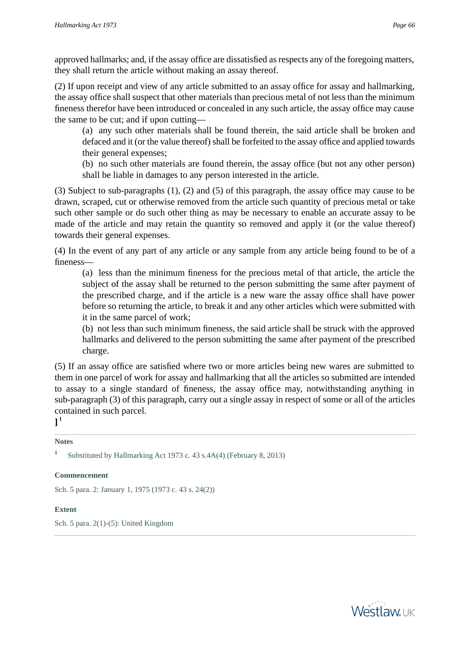approved hallmarks; and, if the assay office are dissatisfied as respects any of the foregoing matters, they shall return the article without making an assay thereof.

(2) If upon receipt and view of any article submitted to an assay office for assay and hallmarking, the assay office shall suspect that other materials than precious metal of not less than the minimum fineness therefor have been introduced or concealed in any such article, the assay office may cause the same to be cut; and if upon cutting—

(a) any such other materials shall be found therein, the said article shall be broken and defaced and it (or the value thereof) shall be forfeited to the assay office and applied towards their general expenses;

(b) no such other materials are found therein, the assay office (but not any other person) shall be liable in damages to any person interested in the article.

(3) Subject to sub-paragraphs (1), (2) and (5) of this paragraph, the assay office may cause to be drawn, scraped, cut or otherwise removed from the article such quantity of precious metal or take such other sample or do such other thing as may be necessary to enable an accurate assay to be made of the article and may retain the quantity so removed and apply it (or the value thereof) towards their general expenses.

(4) In the event of any part of any article or any sample from any article being found to be of a fineness—

(a) less than the minimum fineness for the precious metal of that article, the article the subject of the assay shall be returned to the person submitting the same after payment of the prescribed charge, and if the article is a new ware the assay office shall have power before so returning the article, to break it and any other articles which were submitted with it in the same parcel of work;

(b) not less than such minimum fineness, the said article shall be struck with the approved hallmarks and delivered to the person submitting the same after payment of the prescribed charge.

(5) If an assay office are satisfied where two or more articles being new wares are submitted to them in one parcel of work for assay and hallmarking that all the articles so submitted are intended to assay to a single standard of fineness, the assay office may, notwithstanding anything in sub-paragraph (3) of this paragraph, carry out a single assay in respect of some or all of the articles contained in such parcel.

**] 1**

# **Notes**

**1** Substituted by Hallmarking Act 1973 c. 43 s.4A(4) (February 8, 2013)

# **Commencement**

Sch. 5 para. 2: January 1, 1975 (1973 c. 43 s. 24(2))

# **Extent**

Sch. 5 para. 2(1)-(5): United Kingdom

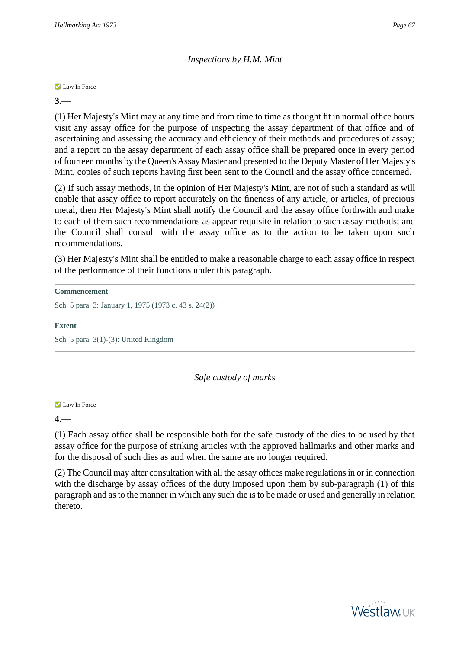# *Inspections by H.M. Mint*

**Law In Force** 

**3.—** 

(1) Her Majesty's Mint may at any time and from time to time as thought fit in normal office hours visit any assay office for the purpose of inspecting the assay department of that office and of ascertaining and assessing the accuracy and efficiency of their methods and procedures of assay; and a report on the assay department of each assay office shall be prepared once in every period of fourteen months by the Queen's Assay Master and presented to the Deputy Master of Her Majesty's Mint, copies of such reports having first been sent to the Council and the assay office concerned.

(2) If such assay methods, in the opinion of Her Majesty's Mint, are not of such a standard as will enable that assay office to report accurately on the fineness of any article, or articles, of precious metal, then Her Majesty's Mint shall notify the Council and the assay office forthwith and make to each of them such recommendations as appear requisite in relation to such assay methods; and the Council shall consult with the assay office as to the action to be taken upon such recommendations.

(3) Her Majesty's Mint shall be entitled to make a reasonable charge to each assay office in respect of the performance of their functions under this paragraph.

```
Commencement
```
Sch. 5 para. 3: January 1, 1975 (1973 c. 43 s. 24(2))

**Extent**

Sch. 5 para. 3(1)-(3): United Kingdom

# *Safe custody of marks*

**Law In Force** 

**4.—** 

(1) Each assay office shall be responsible both for the safe custody of the dies to be used by that assay office for the purpose of striking articles with the approved hallmarks and other marks and for the disposal of such dies as and when the same are no longer required.

(2) The Council may after consultation with all the assay offices make regulations in or in connection with the discharge by assay offices of the duty imposed upon them by sub-paragraph (1) of this paragraph and as to the manner in which any such die is to be made or used and generally in relation thereto.

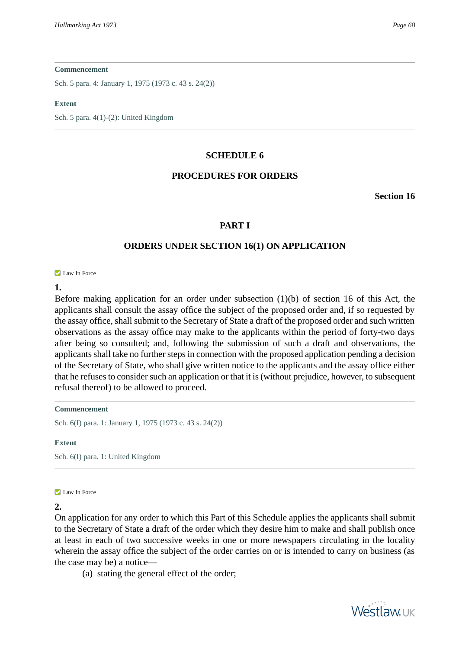Sch. 5 para. 4: January 1, 1975 (1973 c. 43 s. 24(2))

#### **Extent**

Sch. 5 para. 4(1)-(2): United Kingdom

### **SCHEDULE 6**

# **PROCEDURES FOR ORDERS**

**Section 16**

# **PART I**

# **ORDERS UNDER SECTION 16(1) ON APPLICATION**

**Law In Force** 

**1.** 

Before making application for an order under subsection (1)(b) of section 16 of this Act, the applicants shall consult the assay office the subject of the proposed order and, if so requested by the assay office, shall submit to the Secretary of State a draft of the proposed order and such written observations as the assay office may make to the applicants within the period of forty-two days after being so consulted; and, following the submission of such a draft and observations, the applicants shall take no further steps in connection with the proposed application pending a decision of the Secretary of State, who shall give written notice to the applicants and the assay office either that he refuses to consider such an application or that it is (without prejudice, however, to subsequent refusal thereof) to be allowed to proceed.

#### **Commencement**

Sch. 6(I) para. 1: January 1, 1975 (1973 c. 43 s. 24(2))

#### **Extent**

Sch. 6(I) para. 1: United Kingdom

#### **Law In Force**

### **2.**

On application for any order to which this Part of this Schedule applies the applicants shall submit to the Secretary of State a draft of the order which they desire him to make and shall publish once at least in each of two successive weeks in one or more newspapers circulating in the locality wherein the assay office the subject of the order carries on or is intended to carry on business (as the case may be) a notice—

(a) stating the general effect of the order;

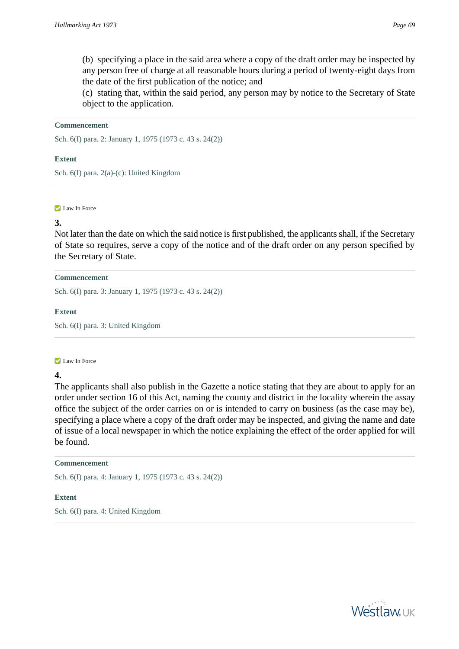(b) specifying a place in the said area where a copy of the draft order may be inspected by any person free of charge at all reasonable hours during a period of twenty-eight days from the date of the first publication of the notice; and

(c) stating that, within the said period, any person may by notice to the Secretary of State object to the application.

#### **Commencement**

Sch. 6(I) para. 2: January 1, 1975 (1973 c. 43 s. 24(2))

#### **Extent**

Sch. 6(I) para. 2(a)-(c): United Kingdom

#### **Law In Force**

### **3.**

Not later than the date on which the said notice is first published, the applicants shall, if the Secretary of State so requires, serve a copy of the notice and of the draft order on any person specified by the Secretary of State.

#### **Commencement**

Sch. 6(I) para. 3: January 1, 1975 (1973 c. 43 s. 24(2))

### **Extent**

Sch. 6(I) para. 3: United Kingdom

#### **Law In Force**

# **4.**

The applicants shall also publish in the Gazette a notice stating that they are about to apply for an order under section 16 of this Act, naming the county and district in the locality wherein the assay office the subject of the order carries on or is intended to carry on business (as the case may be), specifying a place where a copy of the draft order may be inspected, and giving the name and date of issue of a local newspaper in which the notice explaining the effect of the order applied for will be found.

### **Commencement**

Sch. 6(I) para. 4: January 1, 1975 (1973 c. 43 s. 24(2))

### **Extent**

Sch. 6(I) para. 4: United Kingdom

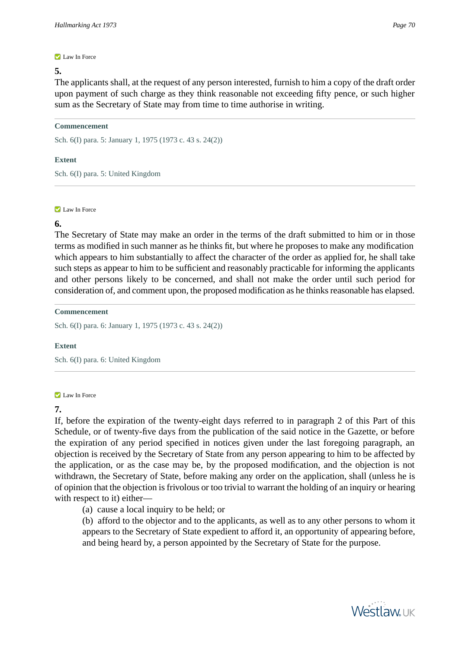#### **Law In Force**

#### **5.**

The applicants shall, at the request of any person interested, furnish to him a copy of the draft order upon payment of such charge as they think reasonable not exceeding fifty pence, or such higher sum as the Secretary of State may from time to time authorise in writing.

#### **Commencement**

Sch. 6(I) para. 5: January 1, 1975 (1973 c. 43 s. 24(2))

#### **Extent**

Sch. 6(I) para. 5: United Kingdom

#### **Law In Force**

# **6.**

The Secretary of State may make an order in the terms of the draft submitted to him or in those terms as modified in such manner as he thinks fit, but where he proposes to make any modification which appears to him substantially to affect the character of the order as applied for, he shall take such steps as appear to him to be sufficient and reasonably practicable for informing the applicants and other persons likely to be concerned, and shall not make the order until such period for consideration of, and comment upon, the proposed modification as he thinks reasonable has elapsed.

#### **Commencement**

Sch. 6(I) para. 6: January 1, 1975 (1973 c. 43 s. 24(2))

### **Extent**

Sch. 6(I) para. 6: United Kingdom

#### **Law In Force**

# **7.**

If, before the expiration of the twenty-eight days referred to in paragraph 2 of this Part of this Schedule, or of twenty-five days from the publication of the said notice in the Gazette, or before the expiration of any period specified in notices given under the last foregoing paragraph, an objection is received by the Secretary of State from any person appearing to him to be affected by the application, or as the case may be, by the proposed modification, and the objection is not withdrawn, the Secretary of State, before making any order on the application, shall (unless he is of opinion that the objection is frivolous or too trivial to warrant the holding of an inquiry or hearing with respect to it) either—

(a) cause a local inquiry to be held; or

(b) afford to the objector and to the applicants, as well as to any other persons to whom it appears to the Secretary of State expedient to afford it, an opportunity of appearing before, and being heard by, a person appointed by the Secretary of State for the purpose.

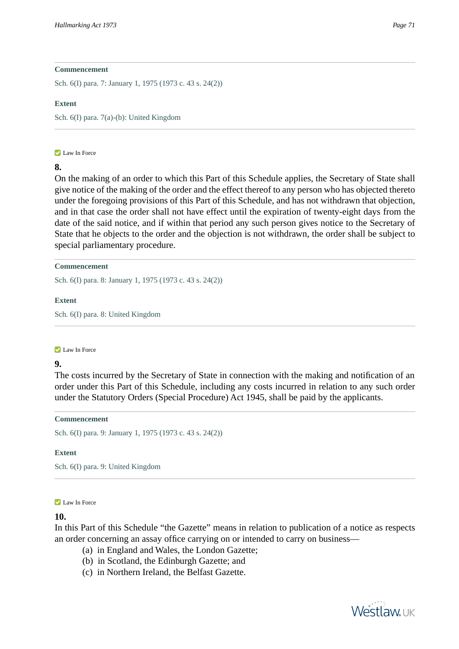Sch. 6(I) para. 7: January 1, 1975 (1973 c. 43 s. 24(2))

#### **Extent**

Sch. 6(I) para. 7(a)-(b): United Kingdom

#### **Law In Force**

# **8.**

On the making of an order to which this Part of this Schedule applies, the Secretary of State shall give notice of the making of the order and the effect thereof to any person who has objected thereto under the foregoing provisions of this Part of this Schedule, and has not withdrawn that objection, and in that case the order shall not have effect until the expiration of twenty-eight days from the date of the said notice, and if within that period any such person gives notice to the Secretary of State that he objects to the order and the objection is not withdrawn, the order shall be subject to special parliamentary procedure.

#### **Commencement**

Sch. 6(I) para. 8: January 1, 1975 (1973 c. 43 s. 24(2))

#### **Extent**

Sch. 6(I) para. 8: United Kingdom

#### **Law In Force**

# **9.**

The costs incurred by the Secretary of State in connection with the making and notification of an order under this Part of this Schedule, including any costs incurred in relation to any such order under the Statutory Orders (Special Procedure) Act 1945, shall be paid by the applicants.

#### **Commencement**

Sch. 6(I) para. 9: January 1, 1975 (1973 c. 43 s. 24(2))

#### **Extent**

Sch. 6(I) para. 9: United Kingdom

#### **Law In Force**

### **10.**

In this Part of this Schedule "the Gazette" means in relation to publication of a notice as respects an order concerning an assay office carrying on or intended to carry on business—

- (a) in England and Wales, the London Gazette;
- (b) in Scotland, the Edinburgh Gazette; and
- (c) in Northern Ireland, the Belfast Gazette.

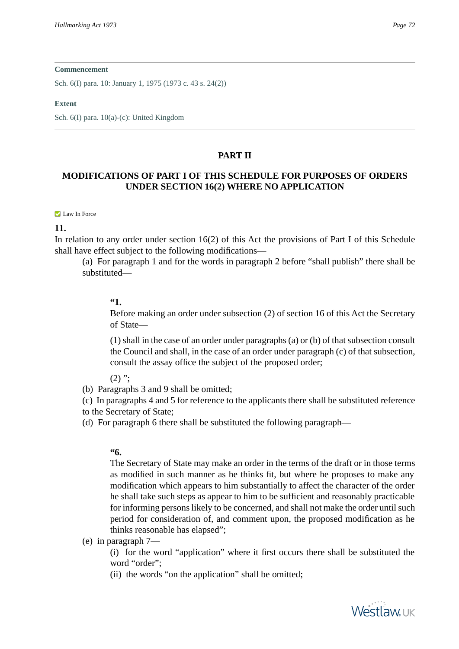Sch. 6(I) para. 10: January 1, 1975 (1973 c. 43 s. 24(2))

#### **Extent**

Sch. 6(I) para. 10(a)-(c): United Kingdom

### **PART II**

# **MODIFICATIONS OF PART I OF THIS SCHEDULE FOR PURPOSES OF ORDERS UNDER SECTION 16(2) WHERE NO APPLICATION**

#### **Law In Force**

### **11.**

In relation to any order under section 16(2) of this Act the provisions of Part I of this Schedule shall have effect subject to the following modifications—

(a) For paragraph 1 and for the words in paragraph 2 before "shall publish" there shall be substituted—

# **"1.**

Before making an order under subsection (2) of section 16 of this Act the Secretary of State—

(1) shall in the case of an order under paragraphs (a) or (b) of that subsection consult the Council and shall, in the case of an order under paragraph (c) of that subsection, consult the assay office the subject of the proposed order;

 $(2)$  ":

(b) Paragraphs 3 and 9 shall be omitted;

(c) In paragraphs 4 and 5 for reference to the applicants there shall be substituted reference to the Secretary of State;

(d) For paragraph 6 there shall be substituted the following paragraph—

### **"6.**

The Secretary of State may make an order in the terms of the draft or in those terms as modified in such manner as he thinks fit, but where he proposes to make any modification which appears to him substantially to affect the character of the order he shall take such steps as appear to him to be sufficient and reasonably practicable for informing persons likely to be concerned, and shall not make the order until such period for consideration of, and comment upon, the proposed modification as he thinks reasonable has elapsed";

(e) in paragraph 7—

(i) for the word "application" where it first occurs there shall be substituted the word "order";

(ii) the words "on the application" shall be omitted;

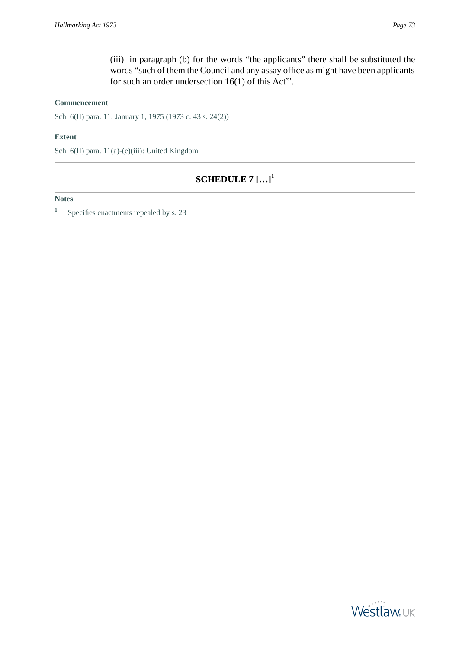### **Commencement**

Sch. 6(II) para. 11: January 1, 1975 (1973 c. 43 s. 24(2))

#### **Extent**

<span id="page-72-0"></span>Sch. 6(II) para. 11(a)-(e)(iii): United Kingdom

# **SCHEDULE 7 […]<sup>1</sup>**

### **Notes**

**1** Specifies enactments repealed by s. 23

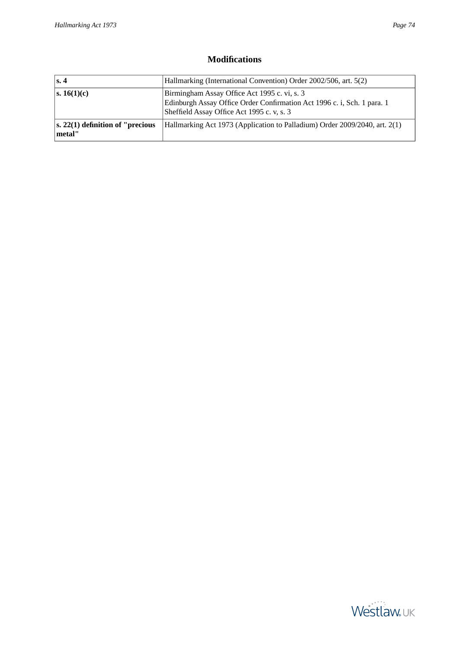## **Modifications**

<span id="page-73-0"></span>

| Hallmarking (International Convention) Order 2002/506, art. 5(2)<br>$\vert$ s. 4 |                                                                                                                                                                       |
|----------------------------------------------------------------------------------|-----------------------------------------------------------------------------------------------------------------------------------------------------------------------|
| s. 16(1)(c)                                                                      | Birmingham Assay Office Act 1995 c. vi, s. 3<br>Edinburgh Assay Office Order Confirmation Act 1996 c. i, Sch. 1 para. 1<br>Sheffield Assay Office Act 1995 c. v, s. 3 |
| $ s, 22(1)$ definition of "precious"<br>$ $ metal"                               | Hallmarking Act 1973 (Application to Palladium) Order $2009/2040$ , art. $2(1)$                                                                                       |

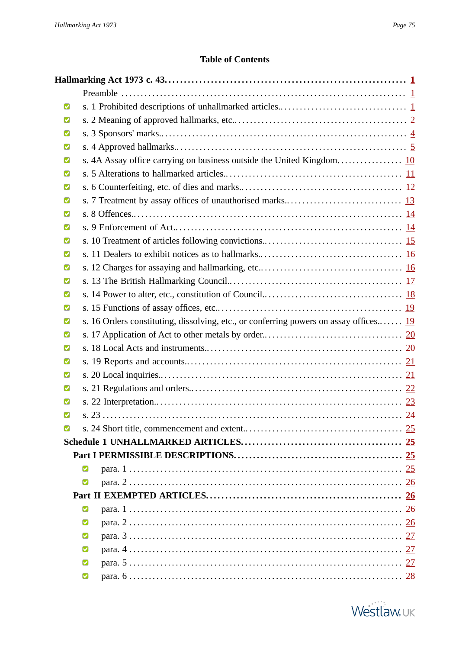## **Table of Contents**

<span id="page-74-0"></span>

| M |   |                                                                                       |  |
|---|---|---------------------------------------------------------------------------------------|--|
| M |   |                                                                                       |  |
|   |   |                                                                                       |  |
| M |   |                                                                                       |  |
|   |   |                                                                                       |  |
|   |   |                                                                                       |  |
| M |   |                                                                                       |  |
|   |   |                                                                                       |  |
| M |   |                                                                                       |  |
|   |   |                                                                                       |  |
| M |   |                                                                                       |  |
| M |   |                                                                                       |  |
| M |   |                                                                                       |  |
| M |   |                                                                                       |  |
|   |   |                                                                                       |  |
| M |   |                                                                                       |  |
| M |   | s. 16 Orders constituting, dissolving, etc., or conferring powers on assay offices 19 |  |
| M |   |                                                                                       |  |
| M |   |                                                                                       |  |
|   |   |                                                                                       |  |
| M |   |                                                                                       |  |
| M |   |                                                                                       |  |
|   |   |                                                                                       |  |
| M |   |                                                                                       |  |
| М |   |                                                                                       |  |
|   |   |                                                                                       |  |
|   |   |                                                                                       |  |
|   | M |                                                                                       |  |
|   | ☑ |                                                                                       |  |
|   |   |                                                                                       |  |
|   | Ø |                                                                                       |  |
|   | M |                                                                                       |  |
|   | M |                                                                                       |  |
|   | M |                                                                                       |  |
|   | M |                                                                                       |  |
|   | M |                                                                                       |  |

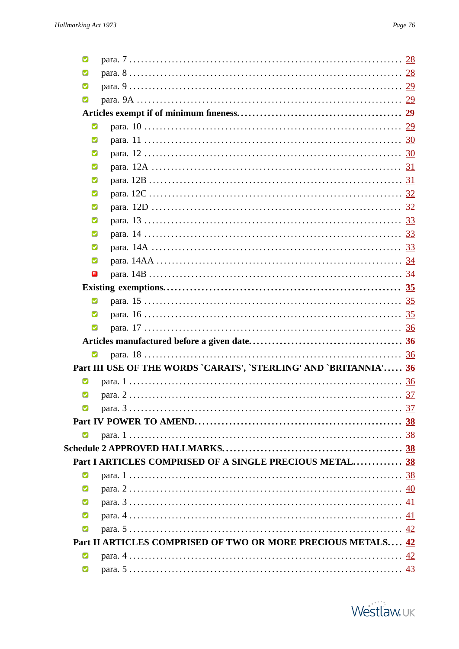| M |                                                                   |  |
|---|-------------------------------------------------------------------|--|
| М |                                                                   |  |
| М |                                                                   |  |
| M |                                                                   |  |
|   |                                                                   |  |
| M |                                                                   |  |
| Ø |                                                                   |  |
| М |                                                                   |  |
| M |                                                                   |  |
| M |                                                                   |  |
| M |                                                                   |  |
| M |                                                                   |  |
| M |                                                                   |  |
| M |                                                                   |  |
| M |                                                                   |  |
| M |                                                                   |  |
| ⊠ |                                                                   |  |
|   |                                                                   |  |
| Ø |                                                                   |  |
| M |                                                                   |  |
| M |                                                                   |  |
|   |                                                                   |  |
| M |                                                                   |  |
|   |                                                                   |  |
|   | Part III USE OF THE WORDS `CARATS', `STERLING' AND `BRITANNIA' 36 |  |
| М |                                                                   |  |
| M |                                                                   |  |
| Ø |                                                                   |  |
|   |                                                                   |  |
| M |                                                                   |  |
|   |                                                                   |  |
|   | Part I ARTICLES COMPRISED OF A SINGLE PRECIOUS METAL 38           |  |
| M |                                                                   |  |
| M |                                                                   |  |
| M |                                                                   |  |
| M |                                                                   |  |
| M |                                                                   |  |
|   | Part II ARTICLES COMPRISED OF TWO OR MORE PRECIOUS METALS 42      |  |
| M |                                                                   |  |

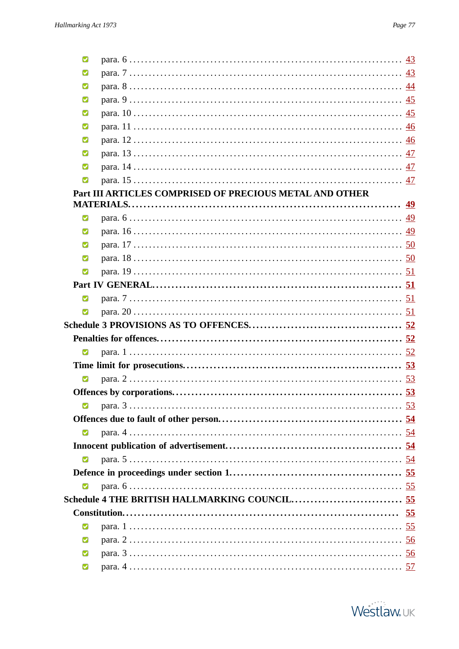| Ø |                                                         |  |
|---|---------------------------------------------------------|--|
| М |                                                         |  |
| Ø |                                                         |  |
| M |                                                         |  |
| Ø |                                                         |  |
| M |                                                         |  |
| Ø |                                                         |  |
| М |                                                         |  |
| M |                                                         |  |
| Ø |                                                         |  |
|   | Part III ARTICLES COMPRISED OF PRECIOUS METAL AND OTHER |  |
|   |                                                         |  |
| Ø |                                                         |  |
| Ø |                                                         |  |
| М |                                                         |  |
| M |                                                         |  |
| Ø |                                                         |  |
|   |                                                         |  |
| Ø |                                                         |  |
| Ø |                                                         |  |
|   |                                                         |  |
|   |                                                         |  |
| Ø |                                                         |  |
|   |                                                         |  |
| Ø |                                                         |  |
|   |                                                         |  |
| Ø |                                                         |  |
|   |                                                         |  |
| Ø |                                                         |  |
|   |                                                         |  |
| Ø |                                                         |  |
|   |                                                         |  |
| Ø |                                                         |  |
|   |                                                         |  |
|   |                                                         |  |
| Ø |                                                         |  |
| M |                                                         |  |
| M |                                                         |  |
| M |                                                         |  |
|   |                                                         |  |

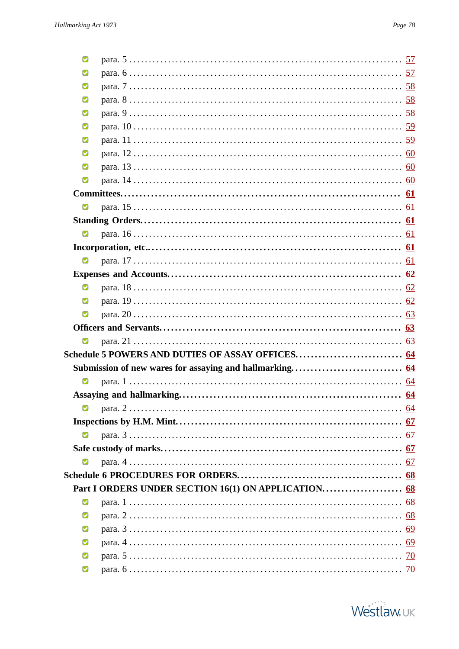| Ø                       |  |
|-------------------------|--|
| Ø                       |  |
| Ø                       |  |
| М                       |  |
| Ø                       |  |
| М                       |  |
| Ø                       |  |
| М                       |  |
| Ø                       |  |
| M                       |  |
|                         |  |
| $\blacksquare$          |  |
|                         |  |
| $\blacksquare$          |  |
|                         |  |
| $\overline{\mathbf{v}}$ |  |
|                         |  |
| Ø                       |  |
| Ø                       |  |
| M                       |  |
|                         |  |
| M                       |  |
|                         |  |
|                         |  |
| $\blacksquare$          |  |
|                         |  |
| Ø                       |  |
|                         |  |
| M                       |  |
|                         |  |
| Ø                       |  |
|                         |  |
|                         |  |
| Ø                       |  |
| M                       |  |
| M                       |  |
| M                       |  |
| Ø                       |  |
| M                       |  |